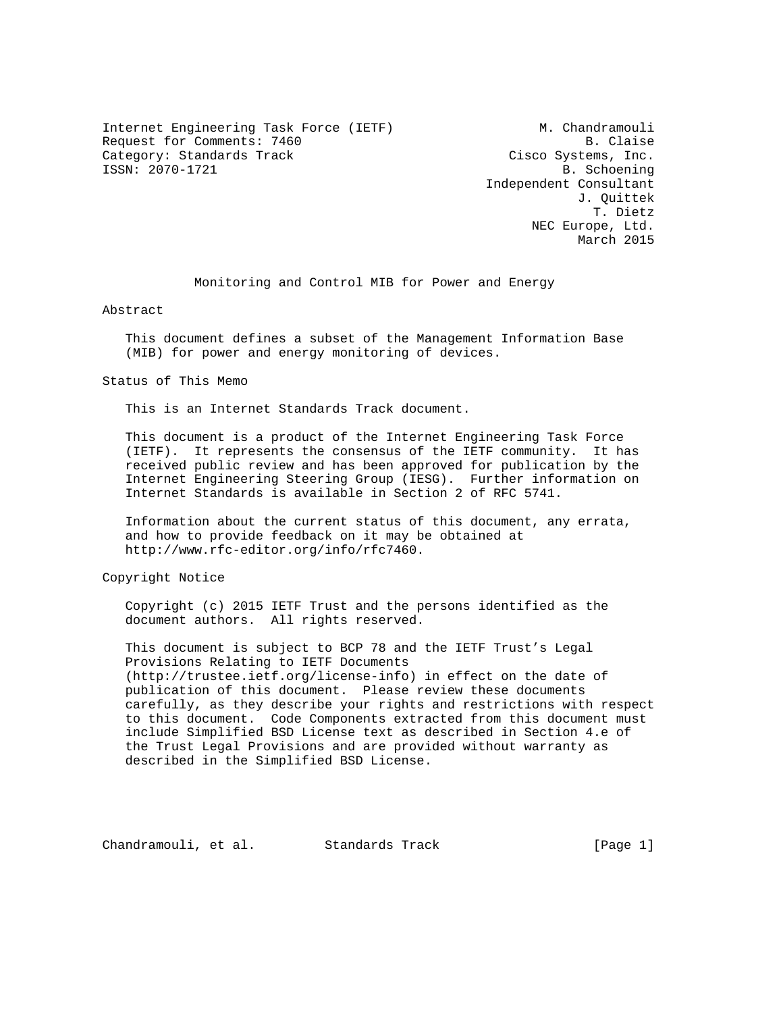Internet Engineering Task Force (IETF) M. Chandramouli Request for Comments: 7460 B. Claise Category: Standards Track Cisco Systems, Inc. ISSN: 2070-1721 B. Schoening

 Independent Consultant J. Quittek T. Dietz NEC Europe, Ltd. March 2015

Monitoring and Control MIB for Power and Energy

Abstract

 This document defines a subset of the Management Information Base (MIB) for power and energy monitoring of devices.

Status of This Memo

This is an Internet Standards Track document.

 This document is a product of the Internet Engineering Task Force (IETF). It represents the consensus of the IETF community. It has received public review and has been approved for publication by the Internet Engineering Steering Group (IESG). Further information on Internet Standards is available in Section 2 of RFC 5741.

 Information about the current status of this document, any errata, and how to provide feedback on it may be obtained at http://www.rfc-editor.org/info/rfc7460.

Copyright Notice

 Copyright (c) 2015 IETF Trust and the persons identified as the document authors. All rights reserved.

 This document is subject to BCP 78 and the IETF Trust's Legal Provisions Relating to IETF Documents (http://trustee.ietf.org/license-info) in effect on the date of publication of this document. Please review these documents carefully, as they describe your rights and restrictions with respect to this document. Code Components extracted from this document must include Simplified BSD License text as described in Section 4.e of the Trust Legal Provisions and are provided without warranty as described in the Simplified BSD License.

Chandramouli, et al. Standards Track [Page 1]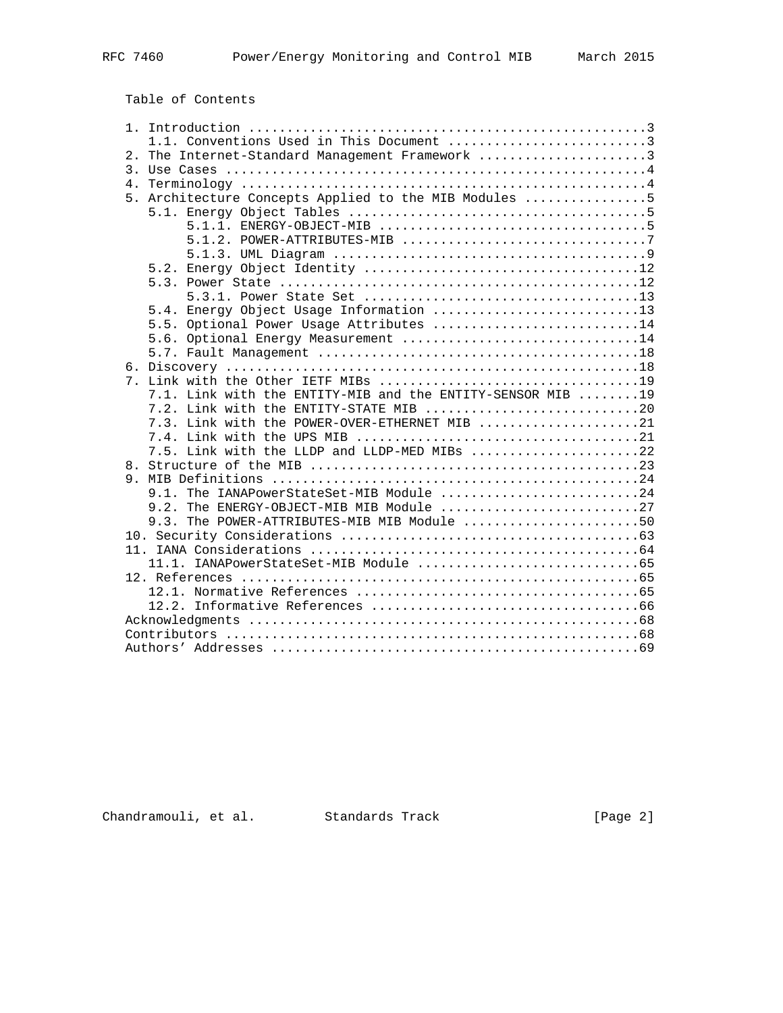Table of Contents

|    | 1.1. Conventions Used in This Document 3                   |
|----|------------------------------------------------------------|
|    | 2. The Internet-Standard Management Framework 3            |
|    |                                                            |
| 4. |                                                            |
|    | 5. Architecture Concepts Applied to the MIB Modules 5      |
|    |                                                            |
|    |                                                            |
|    |                                                            |
|    |                                                            |
|    |                                                            |
|    |                                                            |
|    |                                                            |
|    | 5.4. Energy Object Usage Information 13                    |
|    | 5.5. Optional Power Usage Attributes 14                    |
|    | 5.6. Optional Energy Measurement 14                        |
|    |                                                            |
|    |                                                            |
|    |                                                            |
|    | 7.1. Link with the ENTITY-MIB and the ENTITY-SENSOR MIB 19 |
|    | 7.2. Link with the ENTITY-STATE MIB 20                     |
|    | 7.3. Link with the POWER-OVER-ETHERNET MIB 21              |
|    |                                                            |
|    | 7.5. Link with the LLDP and LLDP-MED MIBs 22               |
|    |                                                            |
|    | 9.1. The IANAPowerStateSet-MIB Module 24                   |
|    | The ENERGY-OBJECT-MIB MIB Module 27<br>9.2.                |
|    | 9.3. The POWER-ATTRIBUTES-MIB MIB Module 50                |
|    |                                                            |
|    |                                                            |
|    |                                                            |
|    |                                                            |
|    |                                                            |
|    |                                                            |
|    |                                                            |
|    |                                                            |
|    |                                                            |
|    |                                                            |

Chandramouli, et al. Standards Track [Page 2]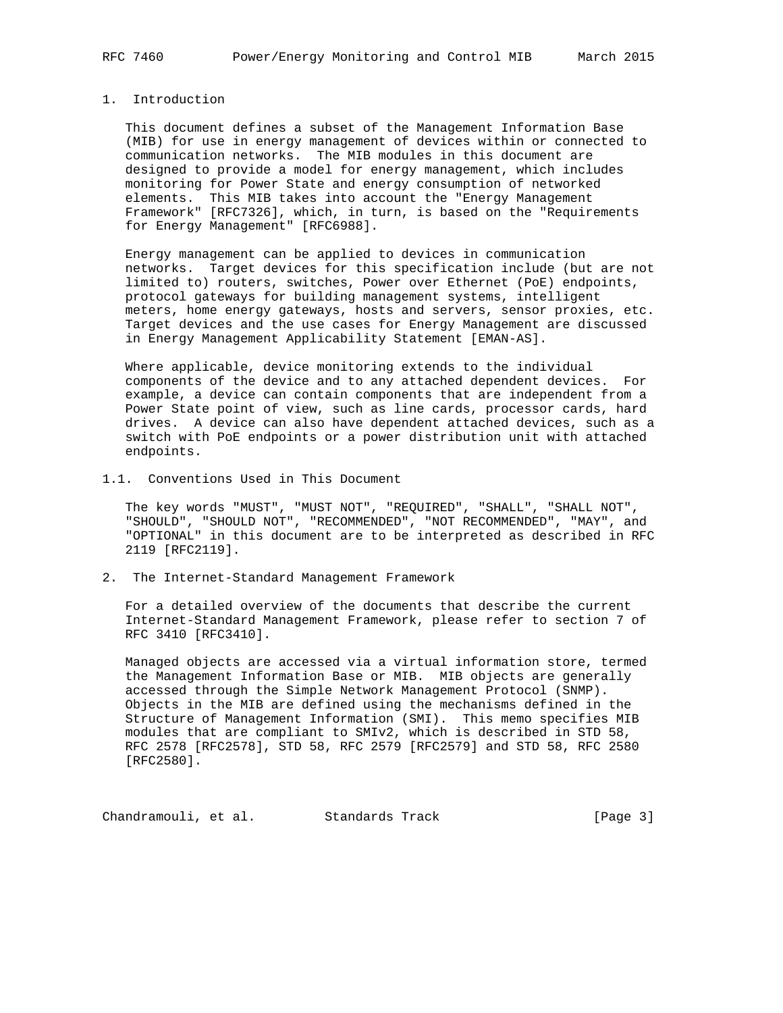# 1. Introduction

 This document defines a subset of the Management Information Base (MIB) for use in energy management of devices within or connected to communication networks. The MIB modules in this document are designed to provide a model for energy management, which includes monitoring for Power State and energy consumption of networked elements. This MIB takes into account the "Energy Management Framework" [RFC7326], which, in turn, is based on the "Requirements for Energy Management" [RFC6988].

 Energy management can be applied to devices in communication networks. Target devices for this specification include (but are not limited to) routers, switches, Power over Ethernet (PoE) endpoints, protocol gateways for building management systems, intelligent meters, home energy gateways, hosts and servers, sensor proxies, etc. Target devices and the use cases for Energy Management are discussed in Energy Management Applicability Statement [EMAN-AS].

 Where applicable, device monitoring extends to the individual components of the device and to any attached dependent devices. For example, a device can contain components that are independent from a Power State point of view, such as line cards, processor cards, hard drives. A device can also have dependent attached devices, such as a switch with PoE endpoints or a power distribution unit with attached endpoints.

### 1.1. Conventions Used in This Document

 The key words "MUST", "MUST NOT", "REQUIRED", "SHALL", "SHALL NOT", "SHOULD", "SHOULD NOT", "RECOMMENDED", "NOT RECOMMENDED", "MAY", and "OPTIONAL" in this document are to be interpreted as described in RFC 2119 [RFC2119].

2. The Internet-Standard Management Framework

 For a detailed overview of the documents that describe the current Internet-Standard Management Framework, please refer to section 7 of RFC 3410 [RFC3410].

 Managed objects are accessed via a virtual information store, termed the Management Information Base or MIB. MIB objects are generally accessed through the Simple Network Management Protocol (SNMP). Objects in the MIB are defined using the mechanisms defined in the Structure of Management Information (SMI). This memo specifies MIB modules that are compliant to SMIv2, which is described in STD 58, RFC 2578 [RFC2578], STD 58, RFC 2579 [RFC2579] and STD 58, RFC 2580 [RFC2580].

Chandramouli, et al. Standards Track [Page 3]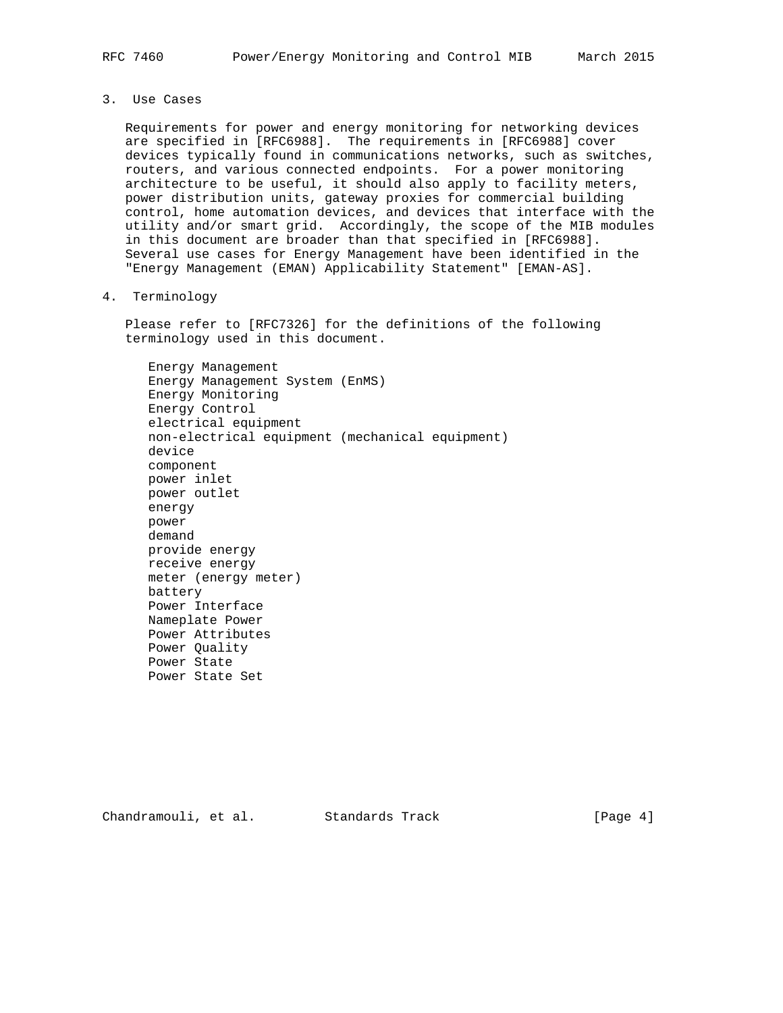3. Use Cases

 Requirements for power and energy monitoring for networking devices are specified in [RFC6988]. The requirements in [RFC6988] cover devices typically found in communications networks, such as switches, routers, and various connected endpoints. For a power monitoring architecture to be useful, it should also apply to facility meters, power distribution units, gateway proxies for commercial building control, home automation devices, and devices that interface with the utility and/or smart grid. Accordingly, the scope of the MIB modules in this document are broader than that specified in [RFC6988]. Several use cases for Energy Management have been identified in the "Energy Management (EMAN) Applicability Statement" [EMAN-AS].

4. Terminology

 Please refer to [RFC7326] for the definitions of the following terminology used in this document.

 Energy Management Energy Management System (EnMS) Energy Monitoring Energy Control electrical equipment non-electrical equipment (mechanical equipment) device component power inlet power outlet energy power demand provide energy receive energy meter (energy meter) battery Power Interface Nameplate Power Power Attributes Power Quality Power State Power State Set

Chandramouli, et al. Standards Track [Page 4]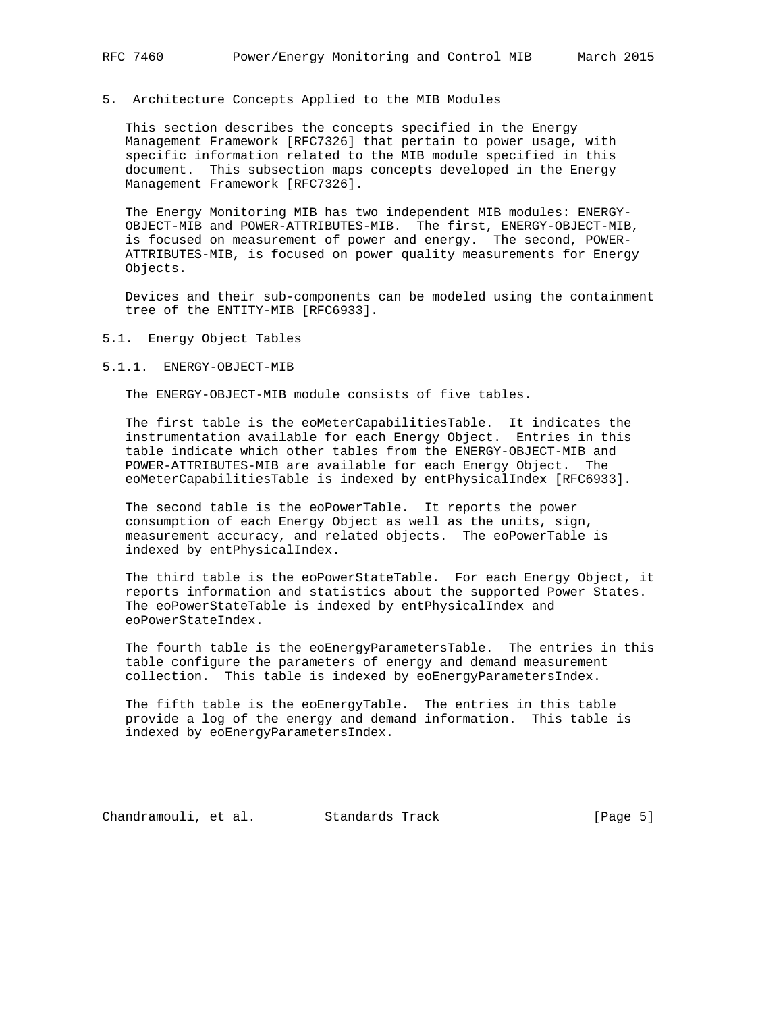## 5. Architecture Concepts Applied to the MIB Modules

 This section describes the concepts specified in the Energy Management Framework [RFC7326] that pertain to power usage, with specific information related to the MIB module specified in this document. This subsection maps concepts developed in the Energy Management Framework [RFC7326].

 The Energy Monitoring MIB has two independent MIB modules: ENERGY- OBJECT-MIB and POWER-ATTRIBUTES-MIB. The first, ENERGY-OBJECT-MIB, is focused on measurement of power and energy. The second, POWER- ATTRIBUTES-MIB, is focused on power quality measurements for Energy Objects.

 Devices and their sub-components can be modeled using the containment tree of the ENTITY-MIB [RFC6933].

5.1. Energy Object Tables

5.1.1. ENERGY-OBJECT-MIB

The ENERGY-OBJECT-MIB module consists of five tables.

 The first table is the eoMeterCapabilitiesTable. It indicates the instrumentation available for each Energy Object. Entries in this table indicate which other tables from the ENERGY-OBJECT-MIB and POWER-ATTRIBUTES-MIB are available for each Energy Object. The eoMeterCapabilitiesTable is indexed by entPhysicalIndex [RFC6933].

 The second table is the eoPowerTable. It reports the power consumption of each Energy Object as well as the units, sign, measurement accuracy, and related objects. The eoPowerTable is indexed by entPhysicalIndex.

 The third table is the eoPowerStateTable. For each Energy Object, it reports information and statistics about the supported Power States. The eoPowerStateTable is indexed by entPhysicalIndex and eoPowerStateIndex.

 The fourth table is the eoEnergyParametersTable. The entries in this table configure the parameters of energy and demand measurement collection. This table is indexed by eoEnergyParametersIndex.

 The fifth table is the eoEnergyTable. The entries in this table provide a log of the energy and demand information. This table is indexed by eoEnergyParametersIndex.

Chandramouli, et al. Standards Track [Page 5]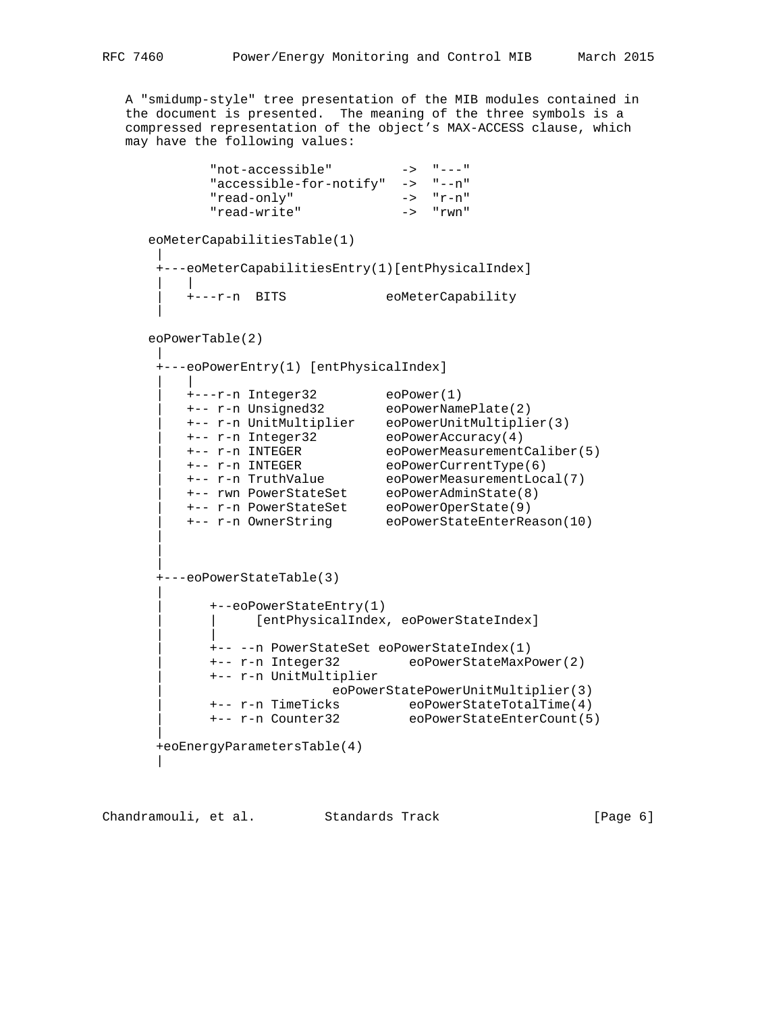A "smidump-style" tree presentation of the MIB modules contained in the document is presented. The meaning of the three symbols is a compressed representation of the object's MAX-ACCESS clause, which may have the following values:

| "accessible-for-notify"<br>"read-only"<br>"read-write"<br>eoMeterCapabilitiesTable(1)<br>+---eoMeterCapabilitiesEntry(1)[entPhysicalIndex]<br><b>BITS</b><br>+---r-n<br>$e$ oPowerTable $(2)$<br>+---eoPowerEntry(1) [entPhysicalIndex]<br>+---r-n Integer32<br>+-- r-n Unsigned32<br>+-- r-n UnitMultiplier<br>+-- r-n Integer32<br>+-- r-n INTEGER<br>+-- r-n INTEGER<br>+-- r-n TruthValue<br>+-- rwn PowerStateSet<br>+-- r-n PowerStateSet<br>+-- r-n OwnerString<br>+---eoPowerStateTable(3)<br>+--eoPowerStateEntry(1)<br>[entPhysicalIndex, eoPowerStateIndex]<br>+-- -- n PowerStateSet eoPowerStateIndex(1)<br>+-- r-n Integer32<br>+-- r-n UnitMultiplier | $-> "--n"$<br>$-> "r-n"$<br>$\rightarrow$ "rwn"<br>eoMeterCapability |
|----------------------------------------------------------------------------------------------------------------------------------------------------------------------------------------------------------------------------------------------------------------------------------------------------------------------------------------------------------------------------------------------------------------------------------------------------------------------------------------------------------------------------------------------------------------------------------------------------------------------------------------------------------------------|----------------------------------------------------------------------|
|                                                                                                                                                                                                                                                                                                                                                                                                                                                                                                                                                                                                                                                                      |                                                                      |
|                                                                                                                                                                                                                                                                                                                                                                                                                                                                                                                                                                                                                                                                      |                                                                      |
|                                                                                                                                                                                                                                                                                                                                                                                                                                                                                                                                                                                                                                                                      |                                                                      |
|                                                                                                                                                                                                                                                                                                                                                                                                                                                                                                                                                                                                                                                                      |                                                                      |
|                                                                                                                                                                                                                                                                                                                                                                                                                                                                                                                                                                                                                                                                      |                                                                      |
|                                                                                                                                                                                                                                                                                                                                                                                                                                                                                                                                                                                                                                                                      |                                                                      |
|                                                                                                                                                                                                                                                                                                                                                                                                                                                                                                                                                                                                                                                                      |                                                                      |
|                                                                                                                                                                                                                                                                                                                                                                                                                                                                                                                                                                                                                                                                      |                                                                      |
|                                                                                                                                                                                                                                                                                                                                                                                                                                                                                                                                                                                                                                                                      |                                                                      |
|                                                                                                                                                                                                                                                                                                                                                                                                                                                                                                                                                                                                                                                                      |                                                                      |
|                                                                                                                                                                                                                                                                                                                                                                                                                                                                                                                                                                                                                                                                      |                                                                      |
|                                                                                                                                                                                                                                                                                                                                                                                                                                                                                                                                                                                                                                                                      | $e$ o $P$ ower $(1)$                                                 |
|                                                                                                                                                                                                                                                                                                                                                                                                                                                                                                                                                                                                                                                                      | eoPowerNamePlate(2)                                                  |
|                                                                                                                                                                                                                                                                                                                                                                                                                                                                                                                                                                                                                                                                      | eoPowerUnitMultiplier(3)                                             |
|                                                                                                                                                                                                                                                                                                                                                                                                                                                                                                                                                                                                                                                                      | $e$ oPowerAccuracy $(4)$                                             |
|                                                                                                                                                                                                                                                                                                                                                                                                                                                                                                                                                                                                                                                                      | eoPowerMeasurementCaliber(5)                                         |
|                                                                                                                                                                                                                                                                                                                                                                                                                                                                                                                                                                                                                                                                      | $e$ oPowerCurrentType $(6)$                                          |
|                                                                                                                                                                                                                                                                                                                                                                                                                                                                                                                                                                                                                                                                      | eoPowerMeasurementLocal(7)                                           |
|                                                                                                                                                                                                                                                                                                                                                                                                                                                                                                                                                                                                                                                                      | eoPowerAdminState(8)                                                 |
|                                                                                                                                                                                                                                                                                                                                                                                                                                                                                                                                                                                                                                                                      | eoPowerOperState(9)<br>eoPowerStateEnterReason(10)                   |
|                                                                                                                                                                                                                                                                                                                                                                                                                                                                                                                                                                                                                                                                      |                                                                      |
|                                                                                                                                                                                                                                                                                                                                                                                                                                                                                                                                                                                                                                                                      |                                                                      |
|                                                                                                                                                                                                                                                                                                                                                                                                                                                                                                                                                                                                                                                                      |                                                                      |
|                                                                                                                                                                                                                                                                                                                                                                                                                                                                                                                                                                                                                                                                      |                                                                      |
|                                                                                                                                                                                                                                                                                                                                                                                                                                                                                                                                                                                                                                                                      |                                                                      |
|                                                                                                                                                                                                                                                                                                                                                                                                                                                                                                                                                                                                                                                                      |                                                                      |
|                                                                                                                                                                                                                                                                                                                                                                                                                                                                                                                                                                                                                                                                      |                                                                      |
|                                                                                                                                                                                                                                                                                                                                                                                                                                                                                                                                                                                                                                                                      | eoPowerStateMaxPower(2)                                              |
|                                                                                                                                                                                                                                                                                                                                                                                                                                                                                                                                                                                                                                                                      | eoPowerStatePowerUnitMultiplier(3)                                   |
| +-- r-n TimeTicks                                                                                                                                                                                                                                                                                                                                                                                                                                                                                                                                                                                                                                                    |                                                                      |
| +-- r-n Counter32                                                                                                                                                                                                                                                                                                                                                                                                                                                                                                                                                                                                                                                    |                                                                      |
|                                                                                                                                                                                                                                                                                                                                                                                                                                                                                                                                                                                                                                                                      | $e$ oPowerStateTotalTime $(4)$<br>eoPowerStateEnterCount(5)          |

Chandramouli, et al. Standards Track (Page 6)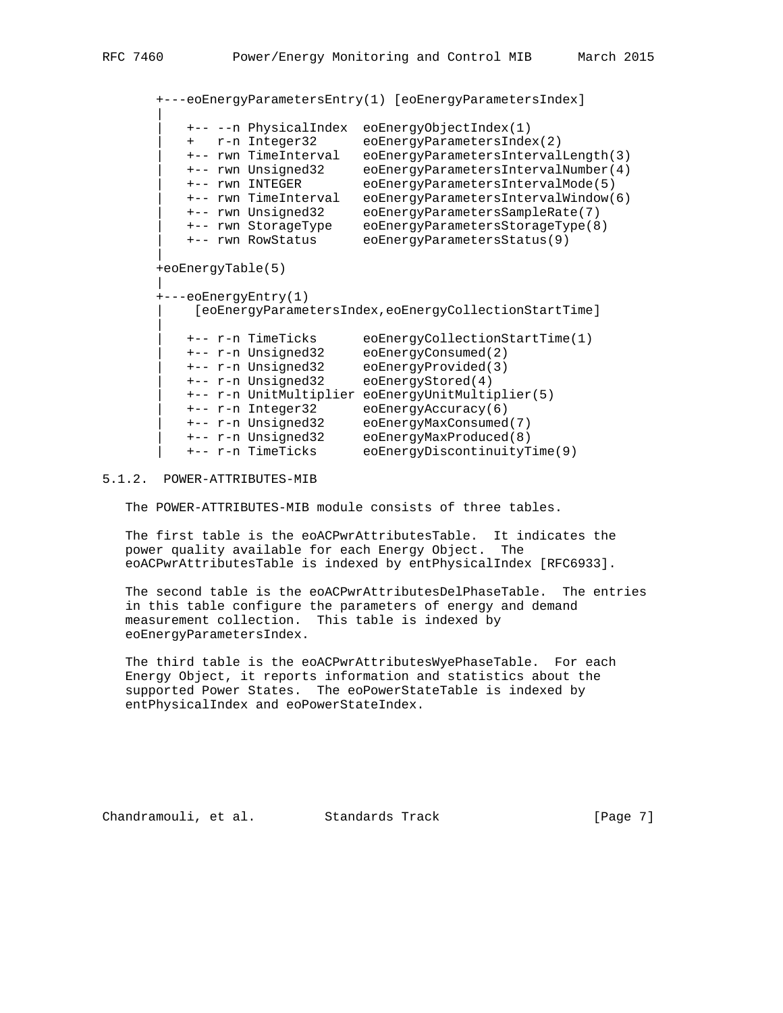+---eoEnergyParametersEntry(1) [eoEnergyParametersIndex] | | +-- --n PhysicalIndex eoEnergyObjectIndex(1) | + r-n Integer32 eoEnergyParametersIndex(2) | +-- rwn TimeInterval eoEnergyParametersIntervalLength(3) | +-- rwn Unsigned32 eoEnergyParametersIntervalNumber(4) | +-- rwn INTEGER eoEnergyParametersIntervalMode(5) | +-- rwn TimeInterval eoEnergyParametersIntervalWindow(6) | +-- rwn Unsigned32 eoEnergyParametersSampleRate(7) | +-- rwn StorageType eoEnergyParametersStorageType(8) | +-- rwn RowStatus eoEnergyParametersStatus(9) | +eoEnergyTable(5) | +---eoEnergyEntry(1) | [eoEnergyParametersIndex,eoEnergyCollectionStartTime] | | +-- r-n TimeTicks eoEnergyCollectionStartTime(1) | +-- r-n Unsigned32 eoEnergyConsumed(2) | +-- r-n Unsigned32 eoEnergyProvided(3) | +-- r-n Unsigned32 eoEnergyStored(4) | +-- r-n UnitMultiplier eoEnergyUnitMultiplier(5) | +-- r-n Integer32 eoEnergyAccuracy(6) | +-- r-n Unsigned32 eoEnergyMaxConsumed(7) | +-- r-n Unsigned32 eoEnergyMaxProduced(8) | +-- r-n TimeTicks eoEnergyDiscontinuityTime(9)

#### 5.1.2. POWER-ATTRIBUTES-MIB

The POWER-ATTRIBUTES-MIB module consists of three tables.

 The first table is the eoACPwrAttributesTable. It indicates the power quality available for each Energy Object. The eoACPwrAttributesTable is indexed by entPhysicalIndex [RFC6933].

 The second table is the eoACPwrAttributesDelPhaseTable. The entries in this table configure the parameters of energy and demand measurement collection. This table is indexed by eoEnergyParametersIndex.

The third table is the eoACPwrAttributesWyePhaseTable. For each Energy Object, it reports information and statistics about the supported Power States. The eoPowerStateTable is indexed by entPhysicalIndex and eoPowerStateIndex.

Chandramouli, et al. Standards Track [Page 7]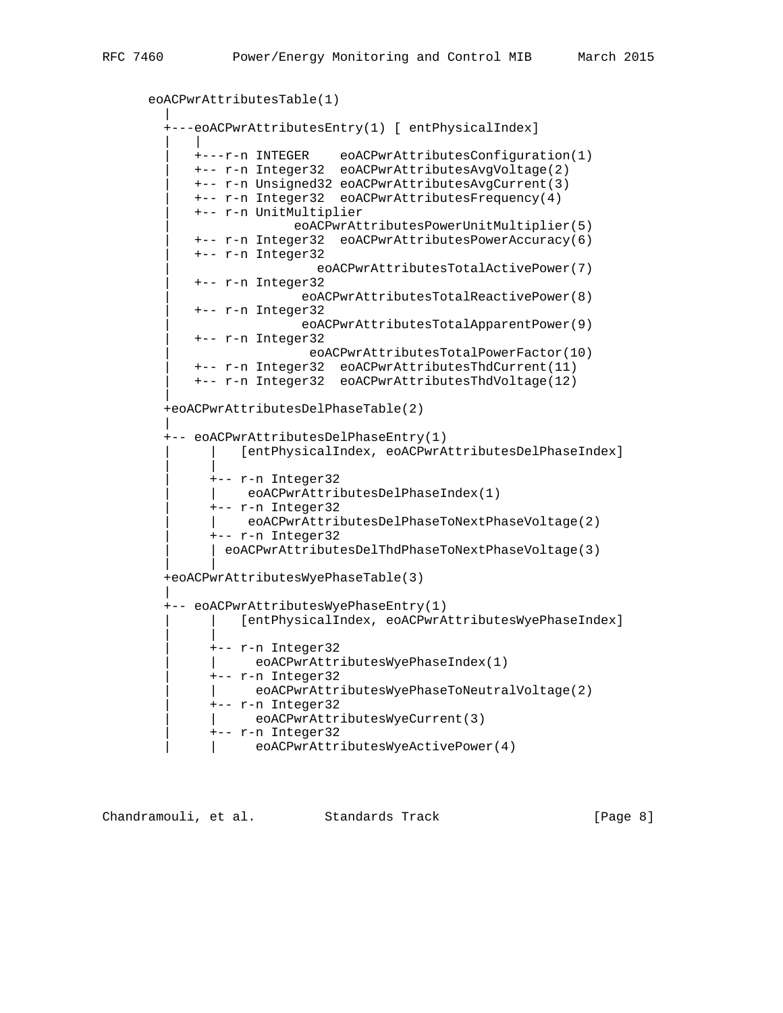```
 eoACPwrAttributesTable(1)
 |
         +---eoACPwrAttributesEntry(1) [ entPhysicalIndex]
 | |
 | +---r-n INTEGER eoACPwrAttributesConfiguration(1)
 | +-- r-n Integer32 eoACPwrAttributesAvgVoltage(2)
            | +-- r-n Unsigned32 eoACPwrAttributesAvgCurrent(3)
            | +-- r-n Integer32 eoACPwrAttributesFrequency(4)
            | +-- r-n UnitMultiplier
                         | eoACPwrAttributesPowerUnitMultiplier(5)
            | +-- r-n Integer32 eoACPwrAttributesPowerAccuracy(6)
            | +-- r-n Integer32
                             | eoACPwrAttributesTotalActivePower(7)
            | +-- r-n Integer32
                          | eoACPwrAttributesTotalReactivePower(8)
            | +-- r-n Integer32
                          | eoACPwrAttributesTotalApparentPower(9)
            | +-- r-n Integer32
                           | eoACPwrAttributesTotalPowerFactor(10)
            | +-- r-n Integer32 eoACPwrAttributesThdCurrent(11)
            | +-- r-n Integer32 eoACPwrAttributesThdVoltage(12)
 |
         +eoACPwrAttributesDelPhaseTable(2)
 |
         +-- eoACPwrAttributesDelPhaseEntry(1)
                  | | [entPhysicalIndex, eoACPwrAttributesDelPhaseIndex]
 | |
              | +-- r-n Integer32
                  | | eoACPwrAttributesDelPhaseIndex(1)
              | +-- r-n Integer32
                   | | eoACPwrAttributesDelPhaseToNextPhaseVoltage(2)
              | +-- r-n Integer32
              | eoACPwrAttributesDelThdPhaseToNextPhaseVoltage(3)
 | |
         +eoACPwrAttributesWyePhaseTable(3)
 |
         +-- eoACPwrAttributesWyePhaseEntry(1)
                  | | [entPhysicalIndex, eoACPwrAttributesWyePhaseIndex]
 | |
              | +-- r-n Integer32
                   | | eoACPwrAttributesWyePhaseIndex(1)
              | +-- r-n Integer32
                   | | eoACPwrAttributesWyePhaseToNeutralVoltage(2)
              | +-- r-n Integer32
              | | eoACPwrAttributesWyeCurrent(3)
              | +-- r-n Integer32
                  | | eoACPwrAttributesWyeActivePower(4)
```

| Chandramouli, et al. | Standards Track | [Page 8] |  |
|----------------------|-----------------|----------|--|
|                      |                 |          |  |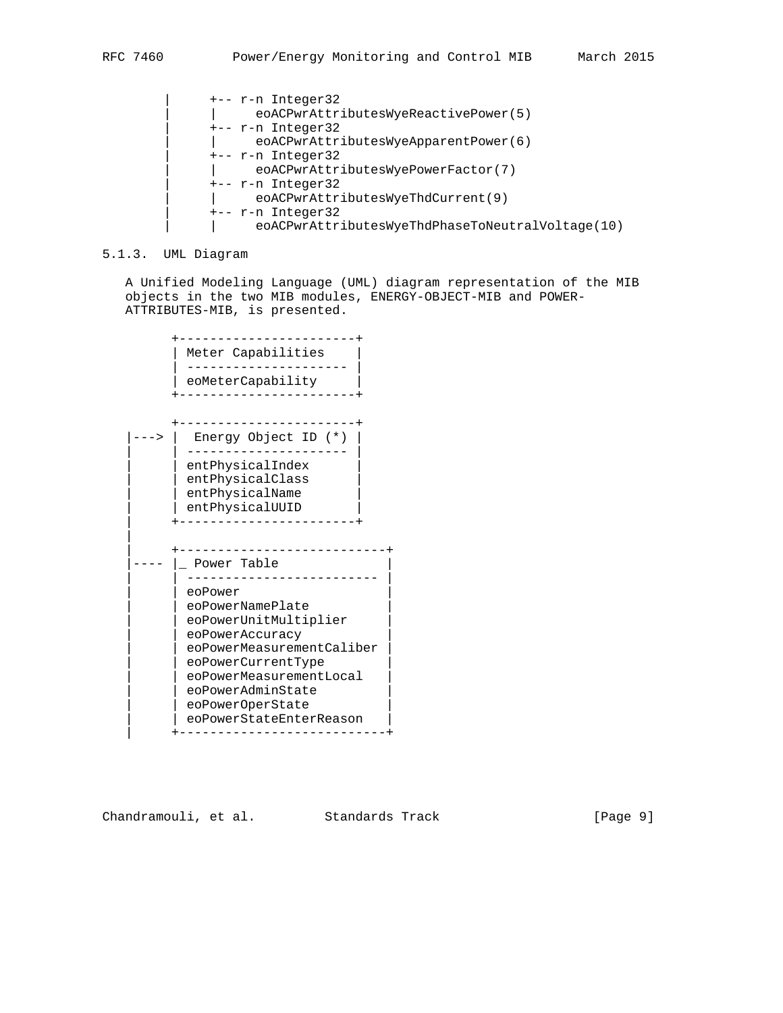```
 | +-- r-n Integer32
 | | eoACPwrAttributesWyeReactivePower(5)
 | +-- r-n Integer32
 | | eoACPwrAttributesWyeApparentPower(6)
 | +-- r-n Integer32
 | | eoACPwrAttributesWyePowerFactor(7)
 | +-- r-n Integer32
      | | eoACPwrAttributesWyeThdCurrent(9)
 | +-- r-n Integer32
 | | eoACPwrAttributesWyeThdPhaseToNeutralVoltage(10)
```
### 5.1.3. UML Diagram

 A Unified Modeling Language (UML) diagram representation of the MIB objects in the two MIB modules, ENERGY-OBJECT-MIB and POWER- ATTRIBUTES-MIB, is presented.

```
 +-----------------------+
        | Meter Capabilities
          | --------------------- |
          | eoMeterCapability |
         +-----------------------+
         +-----------------------+
    |---> | Energy Object ID (*) |
 | | --------------------- |
 | | entPhysicalIndex |
         | entPhysicalClass
 | | entPhysicalName |
 | | entPhysicalUUID |
         | +-----------------------+
|| || || ||
         | +---------------------------+
   ---- \vert Power Table
          | | ------------------------- |
          | | eoPower |
         | eoPowerNamePlate
 | | eoPowerUnitMultiplier |
 | | eoPowerAccuracy |
         | eoPowerMeasurementCaliber
         eoPowerCurrentType
          | | eoPowerMeasurementLocal |
         | eoPowerAdminState
         | eoPowerOperState
         | eoPowerStateEnterReason
          | +---------------------------+
```
Chandramouli, et al. Standards Track [Page 9]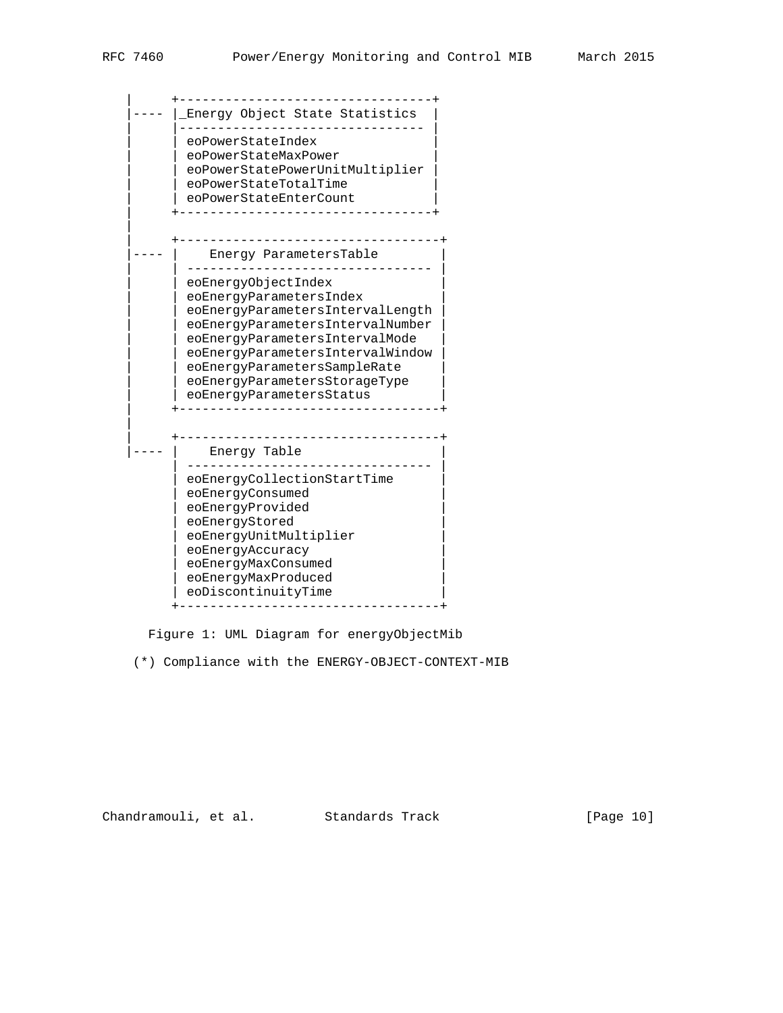| +---------------------------------+ ---- | Energy Object State Statistics | |-------------------------------- | | eoPowerStateIndex | | eoPowerStateMaxPower | | | eoPowerStatePowerUnitMultiplier | | eoPowerStateTotalTime | eoPowerStateEnterCount | +---------------------------------+ || || || || | +----------------------------------+ ---- | Energy ParametersTable | --------------------------------eoEnergyObjectIndex | | eoEnergyParametersIndex | | eoEnergyParametersIntervalLength | | eoEnergyParametersIntervalNumber | | | eoEnergyParametersIntervalMode | | eoEnergyParametersIntervalWindow | eoEnergyParametersSampleRate | | eoEnergyParametersStorageType | | eoEnergyParametersStatus | +----------------------------------+ || || | +----------------------------------+ ---- | Energy Table | -------------------------------- | | eoEnergyCollectionStartTime | | eoEnergyConsumed | | eoEnergyProvided | | eoEnergyStored | | eoEnergyUnitMultiplier | | eoEnergyAccuracy | | eoEnergyMaxConsumed | | eoEnergyMaxProduced | | eoDiscontinuityTime | +----------------------------------+

Figure 1: UML Diagram for energyObjectMib

(\*) Compliance with the ENERGY-OBJECT-CONTEXT-MIB

Chandramouli, et al. Standards Track [Page 10]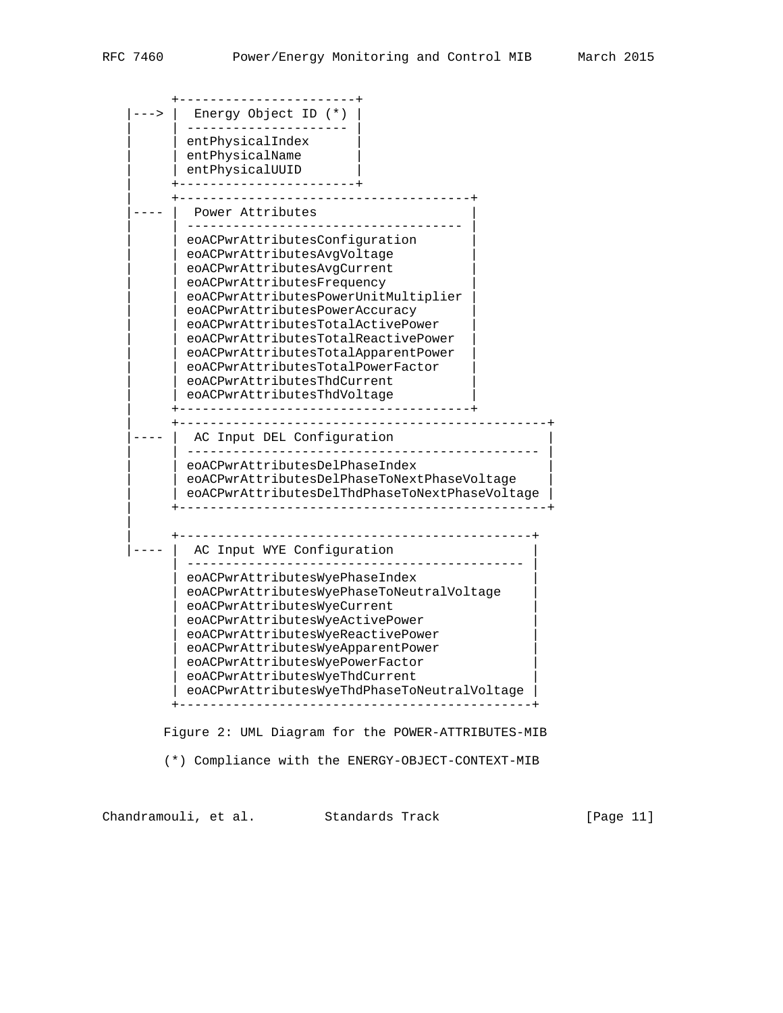| $\rightarrow$ | Energy Object ID (*)                                                   |
|---------------|------------------------------------------------------------------------|
|               | entPhysicalIndex                                                       |
|               | entPhysicalName                                                        |
|               | entPhysicalUUID                                                        |
|               | Power Attributes                                                       |
|               |                                                                        |
|               | eoACPwrAttributesConfiquration                                         |
|               | eoACPwrAttributesAvgVoltage                                            |
|               | eoACPwrAttributesAvqCurrent                                            |
|               | eoACPwrAttributesFrequency                                             |
|               | eoACPwrAttributesPowerUnitMultiplier<br>eoACPwrAttributesPowerAccuracy |
|               | eoACPwrAttributesTotalActivePower                                      |
|               | eoACPwrAttributesTotalReactivePower                                    |
|               | eoACPwrAttributesTotalApparentPower                                    |
|               | eoACPwrAttributesTotalPowerFactor                                      |
|               | eoACPwrAttributesThdCurrent                                            |
|               | eoACPwrAttributesThdVoltage                                            |
|               | AC Input DEL Configuration                                             |
|               |                                                                        |
|               | eoACPwrAttributesDelPhaseIndex                                         |
|               | eoACPwrAttributesDelPhaseToNextPhaseVoltage                            |
|               | eoACPwrAttributesDelThdPhaseToNextPhaseVoltage                         |
|               |                                                                        |
|               | AC Input WYE Configuration                                             |
|               | eoACPwrAttributesWyePhaseIndex                                         |
|               | eoACPwrAttributesWyePhaseToNeutralVoltage                              |
|               | eoACPwrAttributesWyeCurrent                                            |
|               | eoACPwrAttributesWyeActivePower<br>eoACPwrAttributesWyeReactivePower   |
|               | eoACPwrAttributesWyeApparentPower                                      |
|               | eoACPwrAttributesWyePowerFactor                                        |
|               | eoACPwrAttributesWyeThdCurrent                                         |
|               | eoACPwrAttributesWyeThdPhaseToNeutralVoltage                           |

 Figure 2: UML Diagram for the POWER-ATTRIBUTES-MIB (\*) Compliance with the ENERGY-OBJECT-CONTEXT-MIB

Chandramouli, et al. Standards Track [Page 11]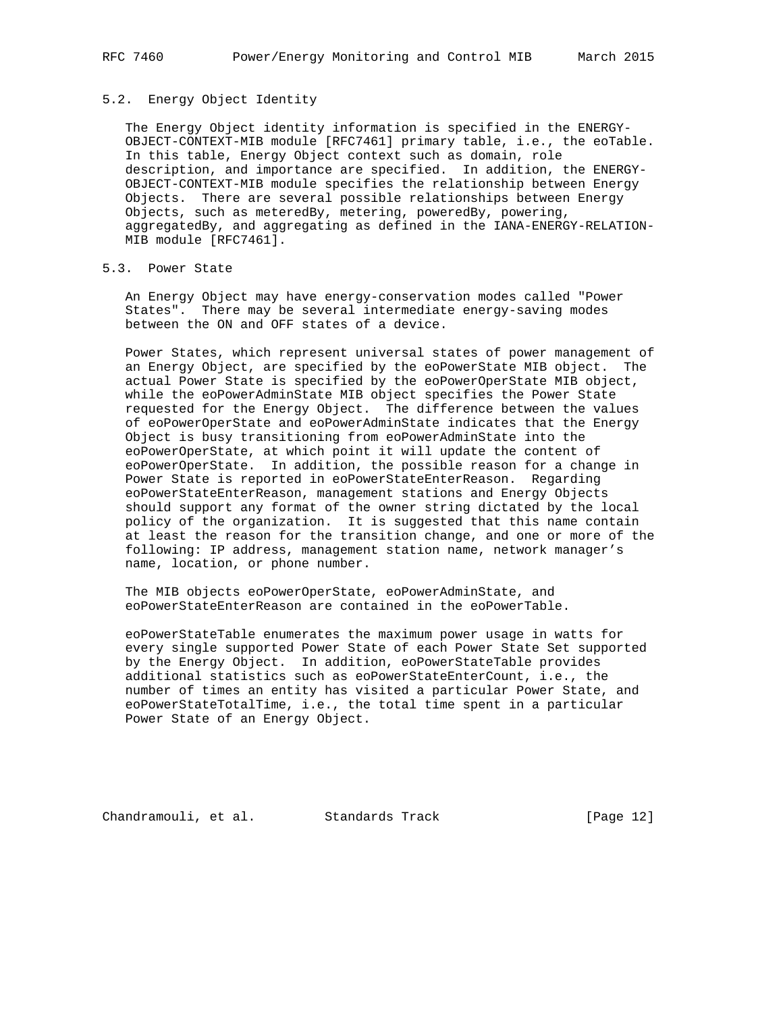# 5.2. Energy Object Identity

 The Energy Object identity information is specified in the ENERGY- OBJECT-CONTEXT-MIB module [RFC7461] primary table, i.e., the eoTable. In this table, Energy Object context such as domain, role description, and importance are specified. In addition, the ENERGY- OBJECT-CONTEXT-MIB module specifies the relationship between Energy Objects. There are several possible relationships between Energy Objects, such as meteredBy, metering, poweredBy, powering, aggregatedBy, and aggregating as defined in the IANA-ENERGY-RELATION- MIB module [RFC7461].

# 5.3. Power State

 An Energy Object may have energy-conservation modes called "Power States". There may be several intermediate energy-saving modes between the ON and OFF states of a device.

 Power States, which represent universal states of power management of an Energy Object, are specified by the eoPowerState MIB object. The actual Power State is specified by the eoPowerOperState MIB object, while the eoPowerAdminState MIB object specifies the Power State requested for the Energy Object. The difference between the values of eoPowerOperState and eoPowerAdminState indicates that the Energy Object is busy transitioning from eoPowerAdminState into the eoPowerOperState, at which point it will update the content of eoPowerOperState. In addition, the possible reason for a change in Power State is reported in eoPowerStateEnterReason. Regarding eoPowerStateEnterReason, management stations and Energy Objects should support any format of the owner string dictated by the local policy of the organization. It is suggested that this name contain at least the reason for the transition change, and one or more of the following: IP address, management station name, network manager's name, location, or phone number.

 The MIB objects eoPowerOperState, eoPowerAdminState, and eoPowerStateEnterReason are contained in the eoPowerTable.

 eoPowerStateTable enumerates the maximum power usage in watts for every single supported Power State of each Power State Set supported by the Energy Object. In addition, eoPowerStateTable provides additional statistics such as eoPowerStateEnterCount, i.e., the number of times an entity has visited a particular Power State, and eoPowerStateTotalTime, i.e., the total time spent in a particular Power State of an Energy Object.

Chandramouli, et al. Standards Track [Page 12]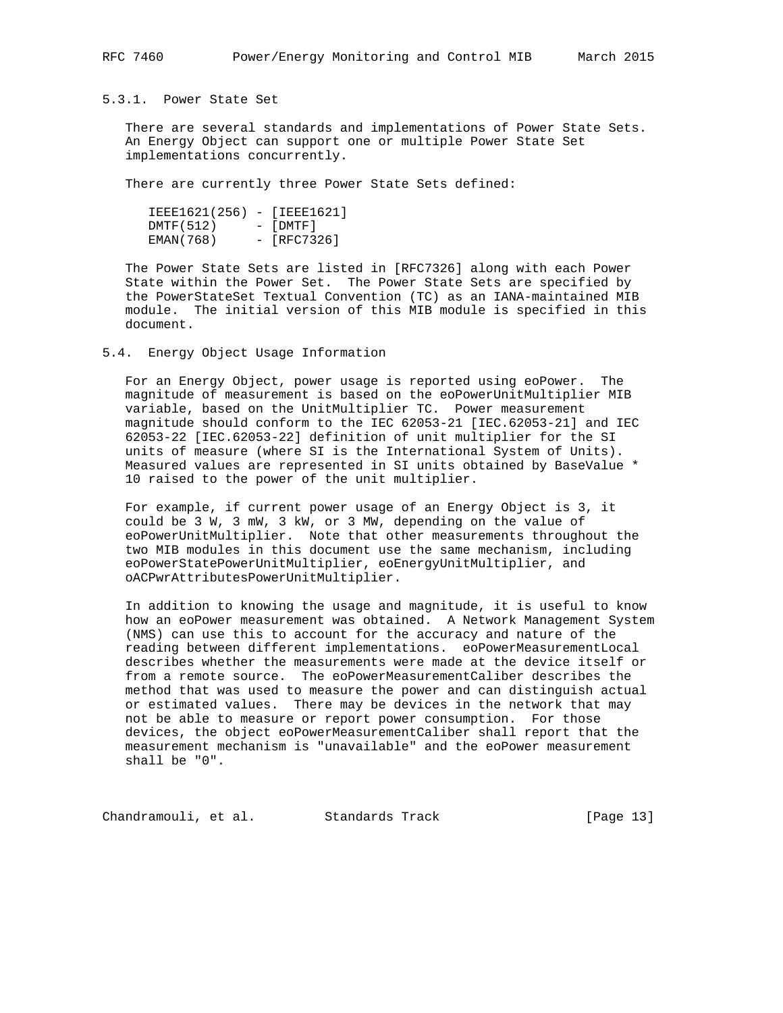## 5.3.1. Power State Set

 There are several standards and implementations of Power State Sets. An Energy Object can support one or multiple Power State Set implementations concurrently.

There are currently three Power State Sets defined:

 IEEE1621(256) - [IEEE1621] DMTF(512) - [DMTF] EMAN(768) - [RFC7326]

 The Power State Sets are listed in [RFC7326] along with each Power State within the Power Set. The Power State Sets are specified by the PowerStateSet Textual Convention (TC) as an IANA-maintained MIB module. The initial version of this MIB module is specified in this document.

## 5.4. Energy Object Usage Information

 For an Energy Object, power usage is reported using eoPower. The magnitude of measurement is based on the eoPowerUnitMultiplier MIB variable, based on the UnitMultiplier TC. Power measurement magnitude should conform to the IEC 62053-21 [IEC.62053-21] and IEC 62053-22 [IEC.62053-22] definition of unit multiplier for the SI units of measure (where SI is the International System of Units). Measured values are represented in SI units obtained by BaseValue \* 10 raised to the power of the unit multiplier.

 For example, if current power usage of an Energy Object is 3, it could be 3 W, 3 mW, 3 kW, or 3 MW, depending on the value of eoPowerUnitMultiplier. Note that other measurements throughout the two MIB modules in this document use the same mechanism, including eoPowerStatePowerUnitMultiplier, eoEnergyUnitMultiplier, and oACPwrAttributesPowerUnitMultiplier.

 In addition to knowing the usage and magnitude, it is useful to know how an eoPower measurement was obtained. A Network Management System (NMS) can use this to account for the accuracy and nature of the reading between different implementations. eoPowerMeasurementLocal describes whether the measurements were made at the device itself or from a remote source. The eoPowerMeasurementCaliber describes the method that was used to measure the power and can distinguish actual or estimated values. There may be devices in the network that may not be able to measure or report power consumption. For those devices, the object eoPowerMeasurementCaliber shall report that the measurement mechanism is "unavailable" and the eoPower measurement shall be "0".

Chandramouli, et al. Standards Track [Page 13]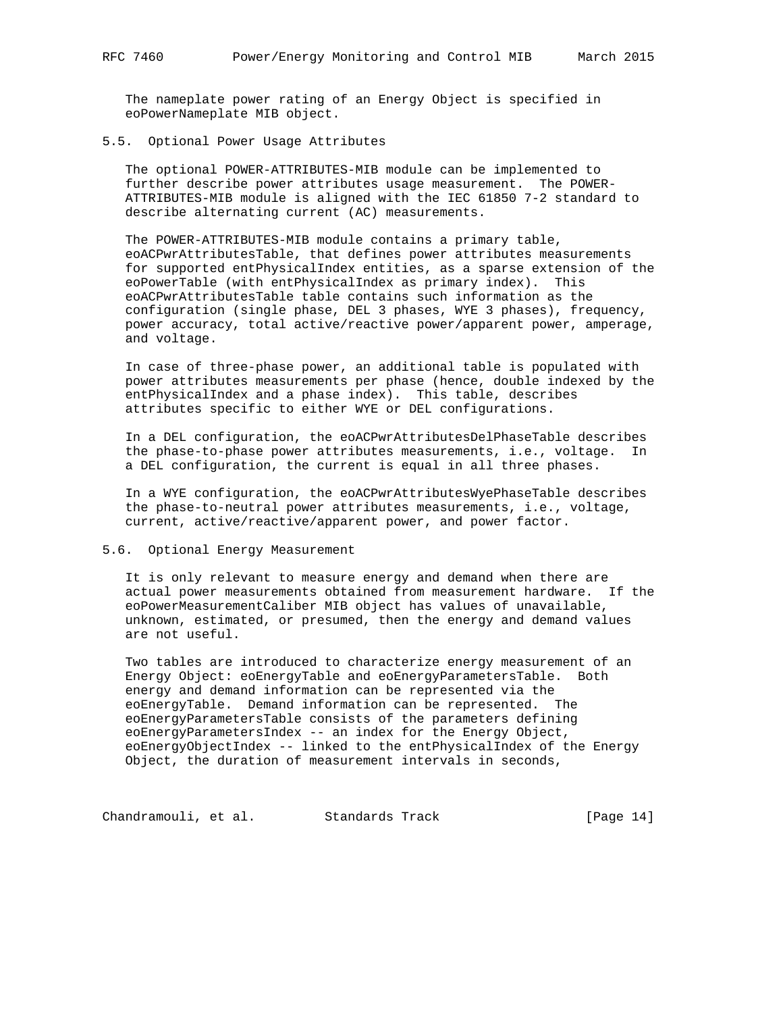The nameplate power rating of an Energy Object is specified in eoPowerNameplate MIB object.

### 5.5. Optional Power Usage Attributes

 The optional POWER-ATTRIBUTES-MIB module can be implemented to further describe power attributes usage measurement. The POWER- ATTRIBUTES-MIB module is aligned with the IEC 61850 7-2 standard to describe alternating current (AC) measurements.

 The POWER-ATTRIBUTES-MIB module contains a primary table, eoACPwrAttributesTable, that defines power attributes measurements for supported entPhysicalIndex entities, as a sparse extension of the eoPowerTable (with entPhysicalIndex as primary index). This eoACPwrAttributesTable table contains such information as the configuration (single phase, DEL 3 phases, WYE 3 phases), frequency, power accuracy, total active/reactive power/apparent power, amperage, and voltage.

 In case of three-phase power, an additional table is populated with power attributes measurements per phase (hence, double indexed by the entPhysicalIndex and a phase index). This table, describes attributes specific to either WYE or DEL configurations.

 In a DEL configuration, the eoACPwrAttributesDelPhaseTable describes the phase-to-phase power attributes measurements, i.e., voltage. In a DEL configuration, the current is equal in all three phases.

 In a WYE configuration, the eoACPwrAttributesWyePhaseTable describes the phase-to-neutral power attributes measurements, i.e., voltage, current, active/reactive/apparent power, and power factor.

5.6. Optional Energy Measurement

 It is only relevant to measure energy and demand when there are actual power measurements obtained from measurement hardware. If the eoPowerMeasurementCaliber MIB object has values of unavailable, unknown, estimated, or presumed, then the energy and demand values are not useful.

 Two tables are introduced to characterize energy measurement of an Energy Object: eoEnergyTable and eoEnergyParametersTable. Both energy and demand information can be represented via the eoEnergyTable. Demand information can be represented. The eoEnergyParametersTable consists of the parameters defining eoEnergyParametersIndex -- an index for the Energy Object, eoEnergyObjectIndex -- linked to the entPhysicalIndex of the Energy Object, the duration of measurement intervals in seconds,

Chandramouli, et al. Standards Track [Page 14]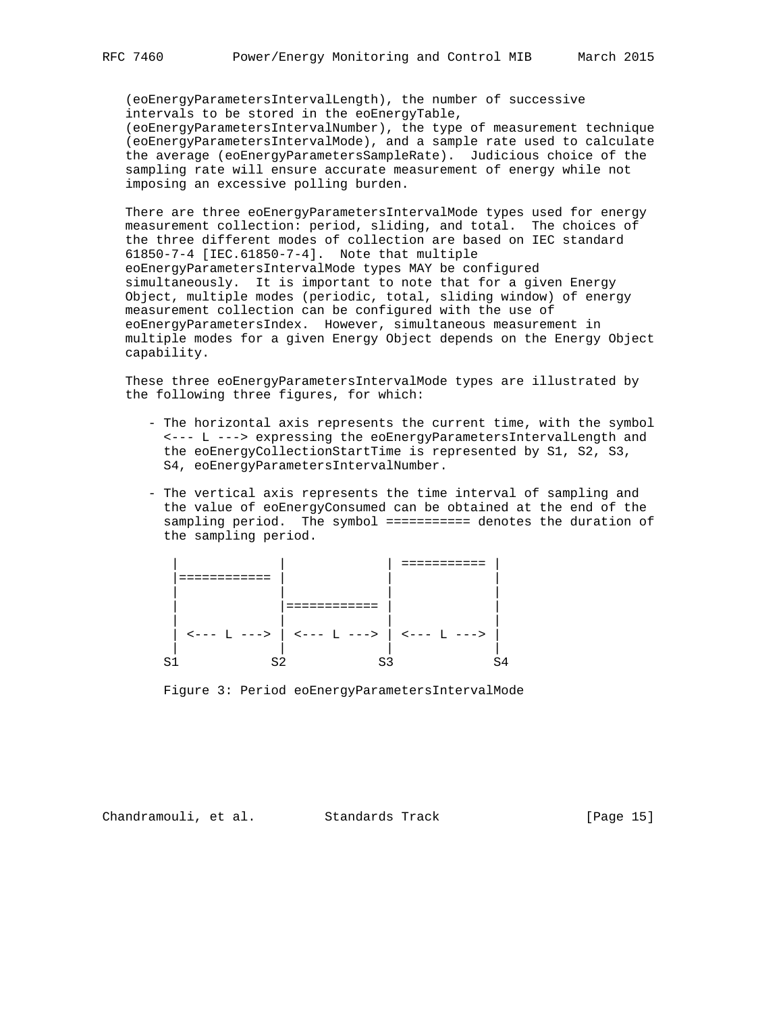(eoEnergyParametersIntervalLength), the number of successive intervals to be stored in the eoEnergyTable, (eoEnergyParametersIntervalNumber), the type of measurement technique (eoEnergyParametersIntervalMode), and a sample rate used to calculate the average (eoEnergyParametersSampleRate). Judicious choice of the sampling rate will ensure accurate measurement of energy while not imposing an excessive polling burden.

 There are three eoEnergyParametersIntervalMode types used for energy measurement collection: period, sliding, and total. The choices of the three different modes of collection are based on IEC standard 61850-7-4 [IEC.61850-7-4]. Note that multiple eoEnergyParametersIntervalMode types MAY be configured simultaneously. It is important to note that for a given Energy Object, multiple modes (periodic, total, sliding window) of energy measurement collection can be configured with the use of eoEnergyParametersIndex. However, simultaneous measurement in multiple modes for a given Energy Object depends on the Energy Object capability.

 These three eoEnergyParametersIntervalMode types are illustrated by the following three figures, for which:

- The horizontal axis represents the current time, with the symbol <--- L ---> expressing the eoEnergyParametersIntervalLength and the eoEnergyCollectionStartTime is represented by S1, S2, S3, S4, eoEnergyParametersIntervalNumber.
- The vertical axis represents the time interval of sampling and the value of eoEnergyConsumed can be obtained at the end of the sampling period. The symbol =========== denotes the duration of the sampling period.

|  |                                                                                                                                                                                                 | ------- |  |
|--|-------------------------------------------------------------------------------------------------------------------------------------------------------------------------------------------------|---------|--|
|  |                                                                                                                                                                                                 |         |  |
|  |                                                                                                                                                                                                 |         |  |
|  | . _ _ _ _ _ _ _ _ _ _                                                                                                                                                                           |         |  |
|  |                                                                                                                                                                                                 |         |  |
|  | $\left  \begin{array}{cc} 1 & -2 \\ 0 & -2 \end{array} \right $ $\left  \begin{array}{cc} 2 & -2 \\ 0 & -2 \end{array} \right $ $\left  \begin{array}{cc} 2 & -2 \\ 0 & -2 \end{array} \right $ |         |  |
|  |                                                                                                                                                                                                 |         |  |
|  |                                                                                                                                                                                                 |         |  |

Figure 3: Period eoEnergyParametersIntervalMode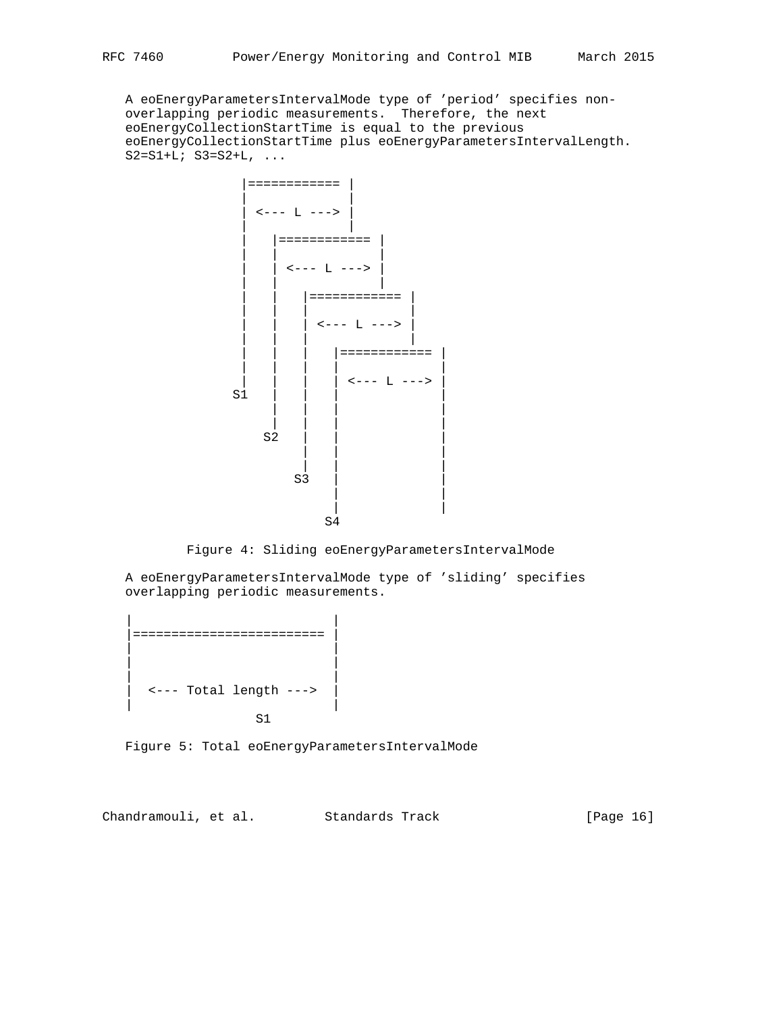A eoEnergyParametersIntervalMode type of 'period' specifies non overlapping periodic measurements. Therefore, the next eoEnergyCollectionStartTime is equal to the previous eoEnergyCollectionStartTime plus eoEnergyParametersIntervalLength.  $S2 = S1 + L; S3 = S2 + L, ...$ 



Figure 4: Sliding eoEnergyParametersIntervalMode

 A eoEnergyParametersIntervalMode type of 'sliding' specifies overlapping periodic measurements.

```
 | |
  |========================= |
 | |
 | |
 | |
   | <--- Total length ---> |
 | |
S<sub>1</sub> S<sub>1</sub>
```
Figure 5: Total eoEnergyParametersIntervalMode

Chandramouli, et al. Standards Track [Page 16]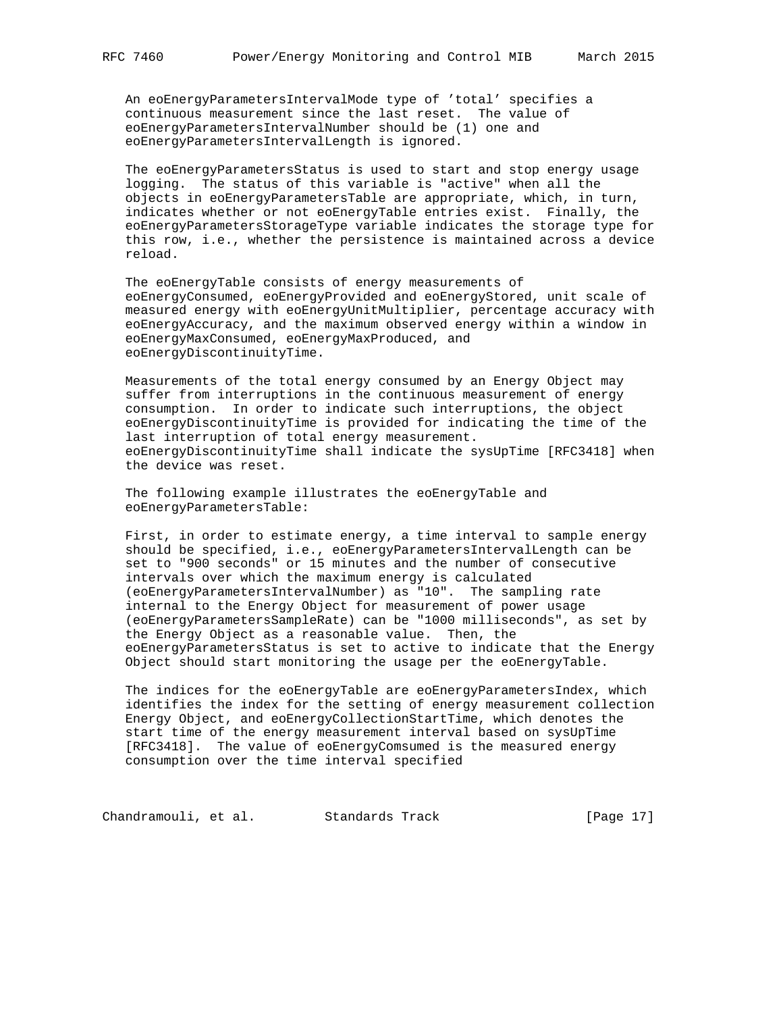An eoEnergyParametersIntervalMode type of 'total' specifies a continuous measurement since the last reset. The value of eoEnergyParametersIntervalNumber should be (1) one and eoEnergyParametersIntervalLength is ignored.

 The eoEnergyParametersStatus is used to start and stop energy usage logging. The status of this variable is "active" when all the objects in eoEnergyParametersTable are appropriate, which, in turn, indicates whether or not eoEnergyTable entries exist. Finally, the eoEnergyParametersStorageType variable indicates the storage type for this row, i.e., whether the persistence is maintained across a device reload.

 The eoEnergyTable consists of energy measurements of eoEnergyConsumed, eoEnergyProvided and eoEnergyStored, unit scale of measured energy with eoEnergyUnitMultiplier, percentage accuracy with eoEnergyAccuracy, and the maximum observed energy within a window in eoEnergyMaxConsumed, eoEnergyMaxProduced, and eoEnergyDiscontinuityTime.

 Measurements of the total energy consumed by an Energy Object may suffer from interruptions in the continuous measurement of energy consumption. In order to indicate such interruptions, the object eoEnergyDiscontinuityTime is provided for indicating the time of the last interruption of total energy measurement. eoEnergyDiscontinuityTime shall indicate the sysUpTime [RFC3418] when the device was reset.

 The following example illustrates the eoEnergyTable and eoEnergyParametersTable:

 First, in order to estimate energy, a time interval to sample energy should be specified, i.e., eoEnergyParametersIntervalLength can be set to "900 seconds" or 15 minutes and the number of consecutive intervals over which the maximum energy is calculated (eoEnergyParametersIntervalNumber) as "10". The sampling rate internal to the Energy Object for measurement of power usage (eoEnergyParametersSampleRate) can be "1000 milliseconds", as set by the Energy Object as a reasonable value. Then, the eoEnergyParametersStatus is set to active to indicate that the Energy Object should start monitoring the usage per the eoEnergyTable.

 The indices for the eoEnergyTable are eoEnergyParametersIndex, which identifies the index for the setting of energy measurement collection Energy Object, and eoEnergyCollectionStartTime, which denotes the start time of the energy measurement interval based on sysUpTime [RFC3418]. The value of eoEnergyComsumed is the measured energy consumption over the time interval specified

Chandramouli, et al. Standards Track [Page 17]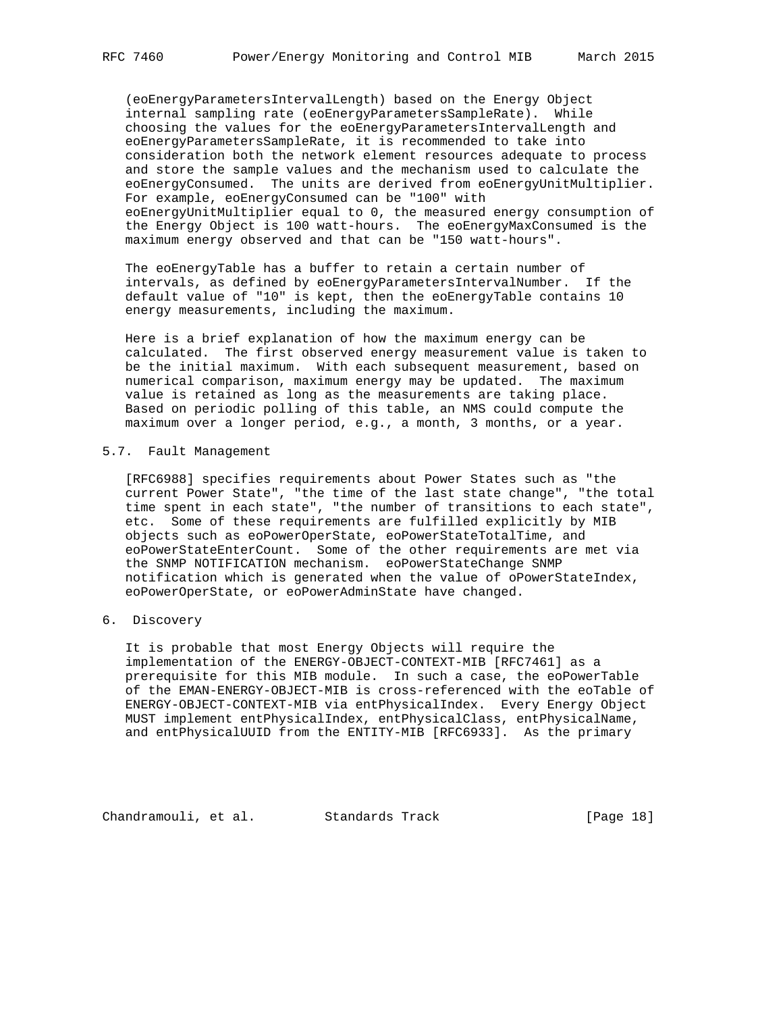(eoEnergyParametersIntervalLength) based on the Energy Object internal sampling rate (eoEnergyParametersSampleRate). While choosing the values for the eoEnergyParametersIntervalLength and eoEnergyParametersSampleRate, it is recommended to take into consideration both the network element resources adequate to process and store the sample values and the mechanism used to calculate the eoEnergyConsumed. The units are derived from eoEnergyUnitMultiplier. For example, eoEnergyConsumed can be "100" with eoEnergyUnitMultiplier equal to 0, the measured energy consumption of the Energy Object is 100 watt-hours. The eoEnergyMaxConsumed is the maximum energy observed and that can be "150 watt-hours".

 The eoEnergyTable has a buffer to retain a certain number of intervals, as defined by eoEnergyParametersIntervalNumber. If the default value of "10" is kept, then the eoEnergyTable contains 10 energy measurements, including the maximum.

 Here is a brief explanation of how the maximum energy can be calculated. The first observed energy measurement value is taken to be the initial maximum. With each subsequent measurement, based on numerical comparison, maximum energy may be updated. The maximum value is retained as long as the measurements are taking place. Based on periodic polling of this table, an NMS could compute the maximum over a longer period, e.g., a month, 3 months, or a year.

## 5.7. Fault Management

 [RFC6988] specifies requirements about Power States such as "the current Power State", "the time of the last state change", "the total time spent in each state", "the number of transitions to each state", etc. Some of these requirements are fulfilled explicitly by MIB objects such as eoPowerOperState, eoPowerStateTotalTime, and eoPowerStateEnterCount. Some of the other requirements are met via the SNMP NOTIFICATION mechanism. eoPowerStateChange SNMP notification which is generated when the value of oPowerStateIndex, eoPowerOperState, or eoPowerAdminState have changed.

# 6. Discovery

 It is probable that most Energy Objects will require the implementation of the ENERGY-OBJECT-CONTEXT-MIB [RFC7461] as a prerequisite for this MIB module. In such a case, the eoPowerTable of the EMAN-ENERGY-OBJECT-MIB is cross-referenced with the eoTable of ENERGY-OBJECT-CONTEXT-MIB via entPhysicalIndex. Every Energy Object MUST implement entPhysicalIndex, entPhysicalClass, entPhysicalName, and entPhysicalUUID from the ENTITY-MIB [RFC6933]. As the primary

Chandramouli, et al. Standards Track [Page 18]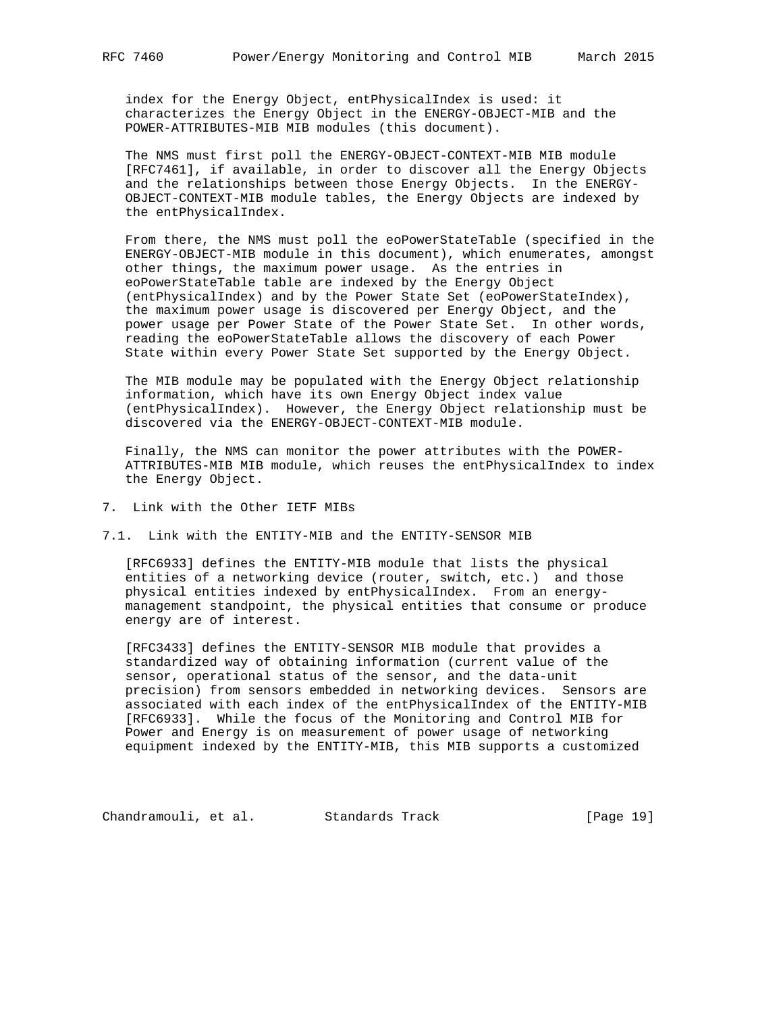index for the Energy Object, entPhysicalIndex is used: it characterizes the Energy Object in the ENERGY-OBJECT-MIB and the POWER-ATTRIBUTES-MIB MIB modules (this document).

 The NMS must first poll the ENERGY-OBJECT-CONTEXT-MIB MIB module [RFC7461], if available, in order to discover all the Energy Objects and the relationships between those Energy Objects. In the ENERGY- OBJECT-CONTEXT-MIB module tables, the Energy Objects are indexed by the entPhysicalIndex.

 From there, the NMS must poll the eoPowerStateTable (specified in the ENERGY-OBJECT-MIB module in this document), which enumerates, amongst other things, the maximum power usage. As the entries in eoPowerStateTable table are indexed by the Energy Object (entPhysicalIndex) and by the Power State Set (eoPowerStateIndex), the maximum power usage is discovered per Energy Object, and the power usage per Power State of the Power State Set. In other words, reading the eoPowerStateTable allows the discovery of each Power State within every Power State Set supported by the Energy Object.

 The MIB module may be populated with the Energy Object relationship information, which have its own Energy Object index value (entPhysicalIndex). However, the Energy Object relationship must be discovered via the ENERGY-OBJECT-CONTEXT-MIB module.

 Finally, the NMS can monitor the power attributes with the POWER- ATTRIBUTES-MIB MIB module, which reuses the entPhysicalIndex to index the Energy Object.

- 7. Link with the Other IETF MIBs
- 7.1. Link with the ENTITY-MIB and the ENTITY-SENSOR MIB

 [RFC6933] defines the ENTITY-MIB module that lists the physical entities of a networking device (router, switch, etc.) and those physical entities indexed by entPhysicalIndex. From an energy management standpoint, the physical entities that consume or produce energy are of interest.

 [RFC3433] defines the ENTITY-SENSOR MIB module that provides a standardized way of obtaining information (current value of the sensor, operational status of the sensor, and the data-unit precision) from sensors embedded in networking devices. Sensors are associated with each index of the entPhysicalIndex of the ENTITY-MIB [RFC6933]. While the focus of the Monitoring and Control MIB for Power and Energy is on measurement of power usage of networking equipment indexed by the ENTITY-MIB, this MIB supports a customized

Chandramouli, et al. Standards Track [Page 19]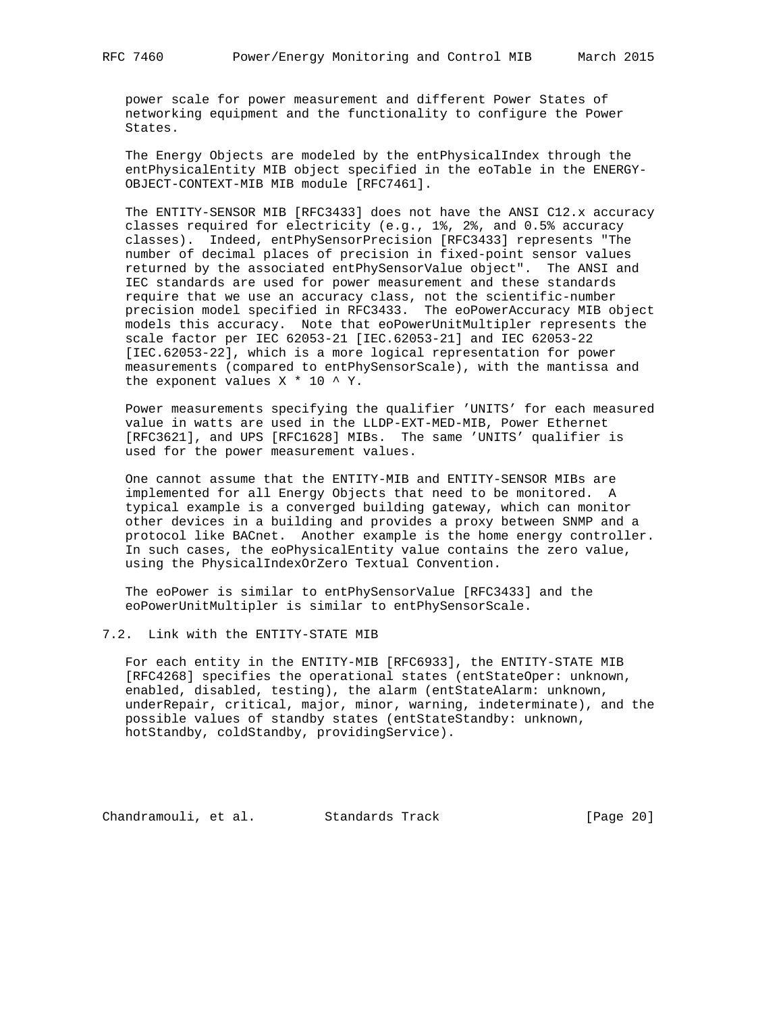power scale for power measurement and different Power States of networking equipment and the functionality to configure the Power States.

 The Energy Objects are modeled by the entPhysicalIndex through the entPhysicalEntity MIB object specified in the eoTable in the ENERGY- OBJECT-CONTEXT-MIB MIB module [RFC7461].

 The ENTITY-SENSOR MIB [RFC3433] does not have the ANSI C12.x accuracy classes required for electricity (e.g., 1%, 2%, and 0.5% accuracy classes). Indeed, entPhySensorPrecision [RFC3433] represents "The number of decimal places of precision in fixed-point sensor values returned by the associated entPhySensorValue object". The ANSI and IEC standards are used for power measurement and these standards require that we use an accuracy class, not the scientific-number precision model specified in RFC3433. The eoPowerAccuracy MIB object models this accuracy. Note that eoPowerUnitMultipler represents the scale factor per IEC 62053-21 [IEC.62053-21] and IEC 62053-22 [IEC.62053-22], which is a more logical representation for power measurements (compared to entPhySensorScale), with the mantissa and the exponent values  $X * 10 * Y$ .

 Power measurements specifying the qualifier 'UNITS' for each measured value in watts are used in the LLDP-EXT-MED-MIB, Power Ethernet [RFC3621], and UPS [RFC1628] MIBs. The same 'UNITS' qualifier is used for the power measurement values.

 One cannot assume that the ENTITY-MIB and ENTITY-SENSOR MIBs are implemented for all Energy Objects that need to be monitored. A typical example is a converged building gateway, which can monitor other devices in a building and provides a proxy between SNMP and a protocol like BACnet. Another example is the home energy controller. In such cases, the eoPhysicalEntity value contains the zero value, using the PhysicalIndexOrZero Textual Convention.

 The eoPower is similar to entPhySensorValue [RFC3433] and the eoPowerUnitMultipler is similar to entPhySensorScale.

# 7.2. Link with the ENTITY-STATE MIB

 For each entity in the ENTITY-MIB [RFC6933], the ENTITY-STATE MIB [RFC4268] specifies the operational states (entStateOper: unknown, enabled, disabled, testing), the alarm (entStateAlarm: unknown, underRepair, critical, major, minor, warning, indeterminate), and the possible values of standby states (entStateStandby: unknown, hotStandby, coldStandby, providingService).

Chandramouli, et al. Standards Track [Page 20]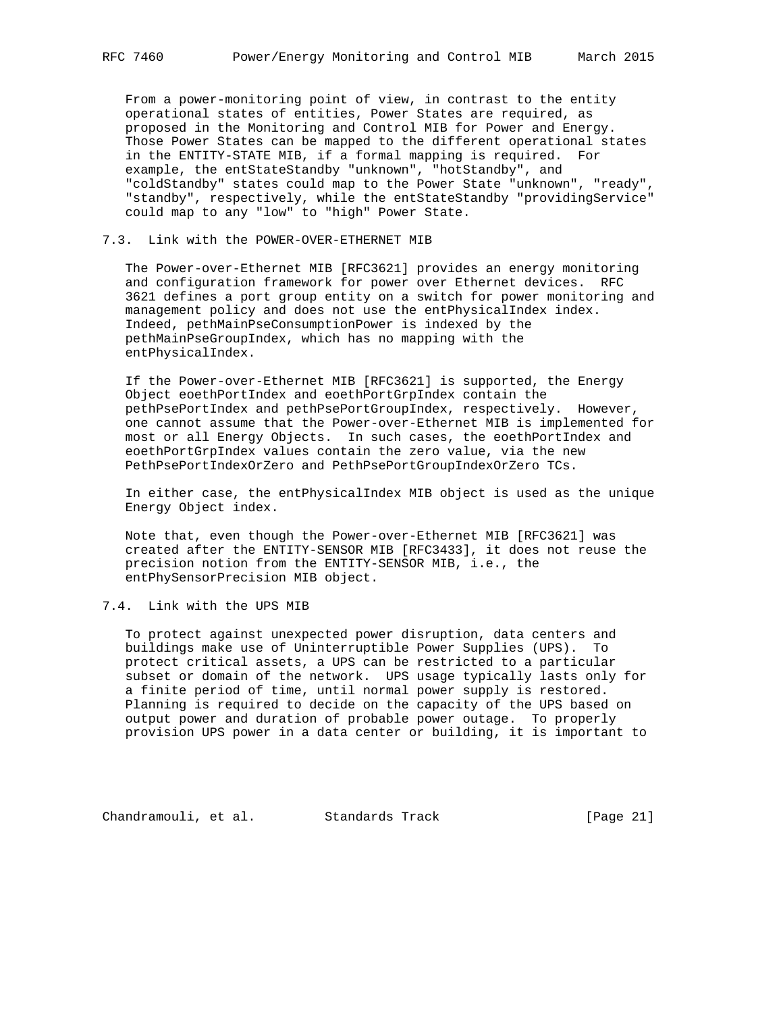From a power-monitoring point of view, in contrast to the entity operational states of entities, Power States are required, as proposed in the Monitoring and Control MIB for Power and Energy. Those Power States can be mapped to the different operational states in the ENTITY-STATE MIB, if a formal mapping is required. For example, the entStateStandby "unknown", "hotStandby", and "coldStandby" states could map to the Power State "unknown", "ready", "standby", respectively, while the entStateStandby "providingService" could map to any "low" to "high" Power State.

### 7.3. Link with the POWER-OVER-ETHERNET MIB

 The Power-over-Ethernet MIB [RFC3621] provides an energy monitoring and configuration framework for power over Ethernet devices. RFC 3621 defines a port group entity on a switch for power monitoring and management policy and does not use the entPhysicalIndex index. Indeed, pethMainPseConsumptionPower is indexed by the pethMainPseGroupIndex, which has no mapping with the entPhysicalIndex.

 If the Power-over-Ethernet MIB [RFC3621] is supported, the Energy Object eoethPortIndex and eoethPortGrpIndex contain the pethPsePortIndex and pethPsePortGroupIndex, respectively. However, one cannot assume that the Power-over-Ethernet MIB is implemented for most or all Energy Objects. In such cases, the eoethPortIndex and eoethPortGrpIndex values contain the zero value, via the new PethPsePortIndexOrZero and PethPsePortGroupIndexOrZero TCs.

 In either case, the entPhysicalIndex MIB object is used as the unique Energy Object index.

 Note that, even though the Power-over-Ethernet MIB [RFC3621] was created after the ENTITY-SENSOR MIB [RFC3433], it does not reuse the precision notion from the ENTITY-SENSOR MIB, i.e., the entPhySensorPrecision MIB object.

7.4. Link with the UPS MIB

 To protect against unexpected power disruption, data centers and buildings make use of Uninterruptible Power Supplies (UPS). To protect critical assets, a UPS can be restricted to a particular subset or domain of the network. UPS usage typically lasts only for a finite period of time, until normal power supply is restored. Planning is required to decide on the capacity of the UPS based on output power and duration of probable power outage. To properly provision UPS power in a data center or building, it is important to

Chandramouli, et al. Standards Track [Page 21]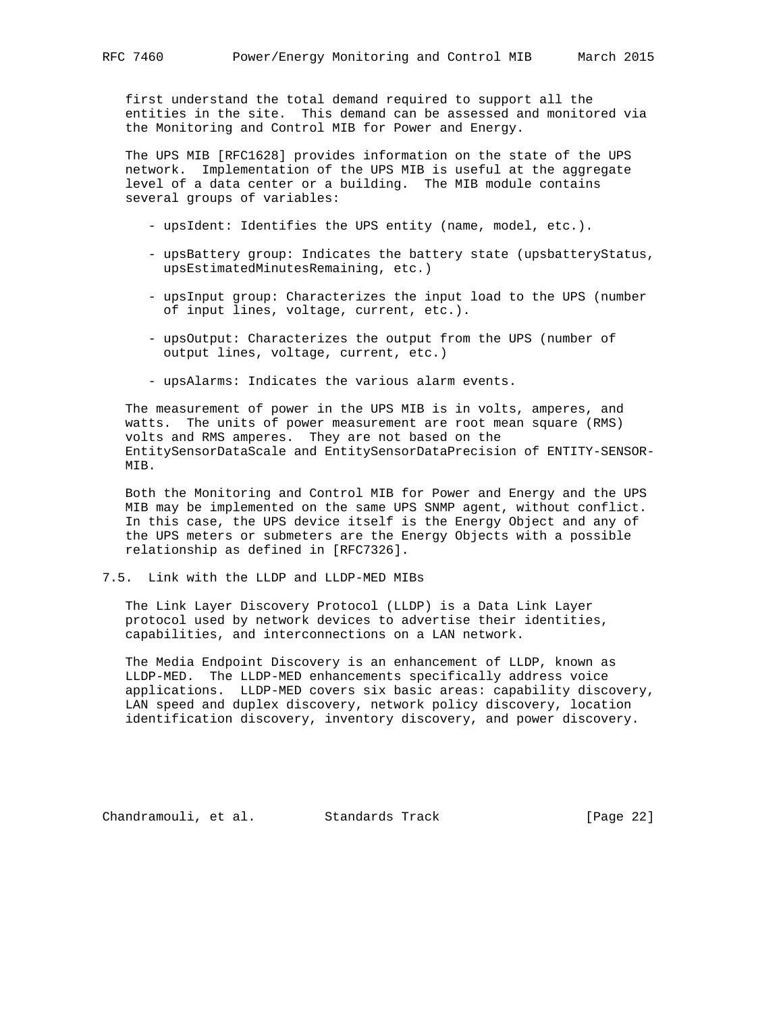first understand the total demand required to support all the entities in the site. This demand can be assessed and monitored via the Monitoring and Control MIB for Power and Energy.

 The UPS MIB [RFC1628] provides information on the state of the UPS network. Implementation of the UPS MIB is useful at the aggregate level of a data center or a building. The MIB module contains several groups of variables:

- upsIdent: Identifies the UPS entity (name, model, etc.).
- upsBattery group: Indicates the battery state (upsbatteryStatus, upsEstimatedMinutesRemaining, etc.)
- upsInput group: Characterizes the input load to the UPS (number of input lines, voltage, current, etc.).
- upsOutput: Characterizes the output from the UPS (number of output lines, voltage, current, etc.)
- upsAlarms: Indicates the various alarm events.

 The measurement of power in the UPS MIB is in volts, amperes, and watts. The units of power measurement are root mean square (RMS) volts and RMS amperes. They are not based on the EntitySensorDataScale and EntitySensorDataPrecision of ENTITY-SENSOR- MIB.

 Both the Monitoring and Control MIB for Power and Energy and the UPS MIB may be implemented on the same UPS SNMP agent, without conflict. In this case, the UPS device itself is the Energy Object and any of the UPS meters or submeters are the Energy Objects with a possible relationship as defined in [RFC7326].

### 7.5. Link with the LLDP and LLDP-MED MIBs

 The Link Layer Discovery Protocol (LLDP) is a Data Link Layer protocol used by network devices to advertise their identities, capabilities, and interconnections on a LAN network.

 The Media Endpoint Discovery is an enhancement of LLDP, known as LLDP-MED. The LLDP-MED enhancements specifically address voice applications. LLDP-MED covers six basic areas: capability discovery, LAN speed and duplex discovery, network policy discovery, location identification discovery, inventory discovery, and power discovery.

Chandramouli, et al. Standards Track [Page 22]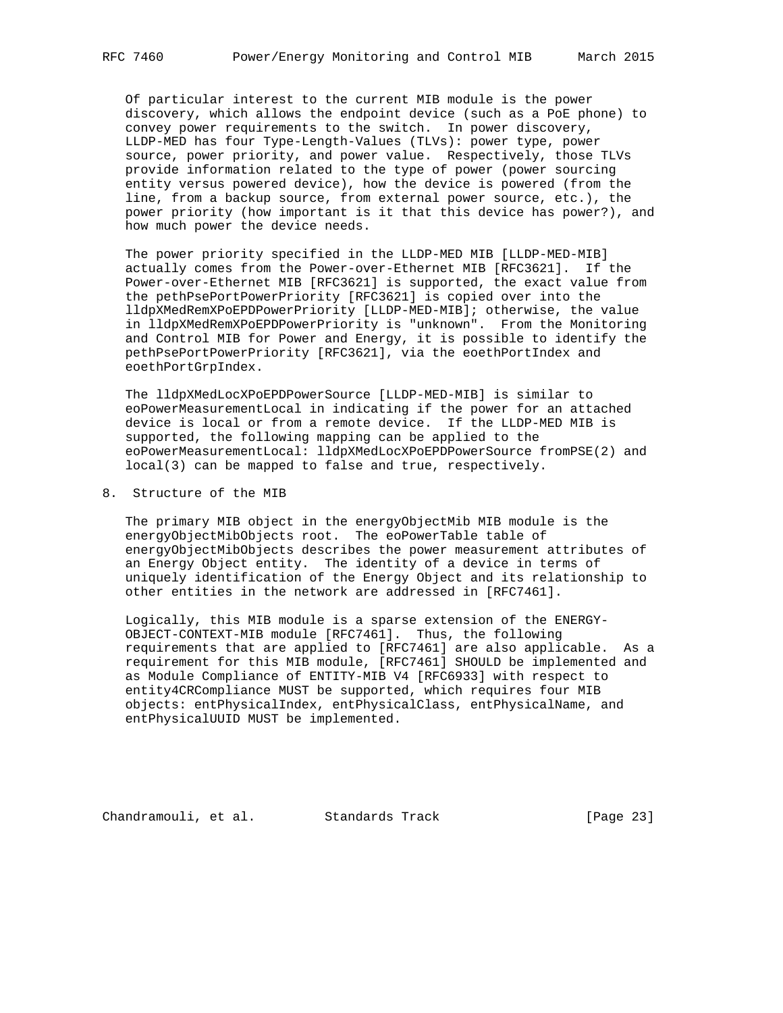Of particular interest to the current MIB module is the power discovery, which allows the endpoint device (such as a PoE phone) to convey power requirements to the switch. In power discovery, LLDP-MED has four Type-Length-Values (TLVs): power type, power source, power priority, and power value. Respectively, those TLVs provide information related to the type of power (power sourcing entity versus powered device), how the device is powered (from the line, from a backup source, from external power source, etc.), the power priority (how important is it that this device has power?), and how much power the device needs.

 The power priority specified in the LLDP-MED MIB [LLDP-MED-MIB] actually comes from the Power-over-Ethernet MIB [RFC3621]. If the Power-over-Ethernet MIB [RFC3621] is supported, the exact value from the pethPsePortPowerPriority [RFC3621] is copied over into the lldpXMedRemXPoEPDPowerPriority [LLDP-MED-MIB]; otherwise, the value in lldpXMedRemXPoEPDPowerPriority is "unknown". From the Monitoring and Control MIB for Power and Energy, it is possible to identify the pethPsePortPowerPriority [RFC3621], via the eoethPortIndex and eoethPortGrpIndex.

 The lldpXMedLocXPoEPDPowerSource [LLDP-MED-MIB] is similar to eoPowerMeasurementLocal in indicating if the power for an attached device is local or from a remote device. If the LLDP-MED MIB is supported, the following mapping can be applied to the eoPowerMeasurementLocal: lldpXMedLocXPoEPDPowerSource fromPSE(2) and local(3) can be mapped to false and true, respectively.

8. Structure of the MIB

 The primary MIB object in the energyObjectMib MIB module is the energyObjectMibObjects root. The eoPowerTable table of energyObjectMibObjects describes the power measurement attributes of an Energy Object entity. The identity of a device in terms of uniquely identification of the Energy Object and its relationship to other entities in the network are addressed in [RFC7461].

 Logically, this MIB module is a sparse extension of the ENERGY- OBJECT-CONTEXT-MIB module [RFC7461]. Thus, the following requirements that are applied to [RFC7461] are also applicable. As a requirement for this MIB module, [RFC7461] SHOULD be implemented and as Module Compliance of ENTITY-MIB V4 [RFC6933] with respect to entity4CRCompliance MUST be supported, which requires four MIB objects: entPhysicalIndex, entPhysicalClass, entPhysicalName, and entPhysicalUUID MUST be implemented.

Chandramouli, et al. Standards Track [Page 23]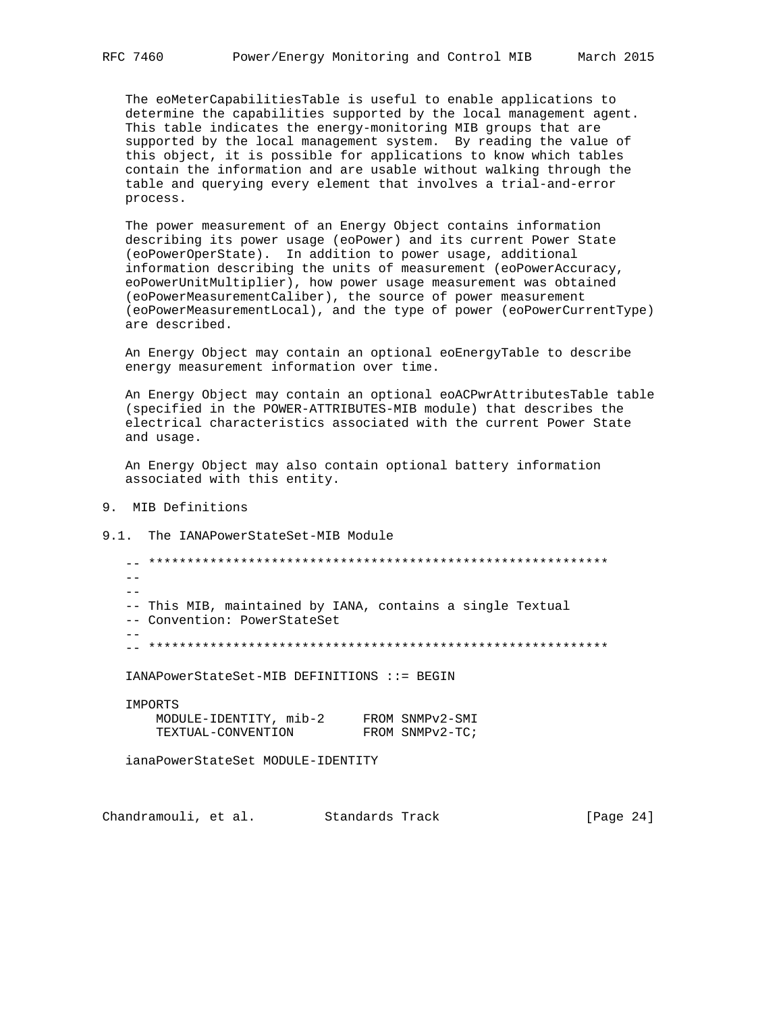The eoMeterCapabilitiesTable is useful to enable applications to determine the capabilities supported by the local management agent. This table indicates the energy-monitoring MIB groups that are supported by the local management system. By reading the value of this object, it is possible for applications to know which tables contain the information and are usable without walking through the table and querying every element that involves a trial-and-error process.

 The power measurement of an Energy Object contains information describing its power usage (eoPower) and its current Power State (eoPowerOperState). In addition to power usage, additional information describing the units of measurement (eoPowerAccuracy, eoPowerUnitMultiplier), how power usage measurement was obtained (eoPowerMeasurementCaliber), the source of power measurement (eoPowerMeasurementLocal), and the type of power (eoPowerCurrentType) are described.

 An Energy Object may contain an optional eoEnergyTable to describe energy measurement information over time.

 An Energy Object may contain an optional eoACPwrAttributesTable table (specified in the POWER-ATTRIBUTES-MIB module) that describes the electrical characteristics associated with the current Power State and usage.

 An Energy Object may also contain optional battery information associated with this entity.

- 9. MIB Definitions
- 9.1. The IANAPowerStateSet-MIB Module

 -- \*\*\*\*\*\*\*\*\*\*\*\*\*\*\*\*\*\*\*\*\*\*\*\*\*\*\*\*\*\*\*\*\*\*\*\*\*\*\*\*\*\*\*\*\*\*\*\*\*\*\*\*\*\*\*\*\*\*\*\*  $-$  -- This MIB, maintained by IANA, contains a single Textual -- Convention: PowerStateSet  $-$ -- \*\*\*\*\*\*\*\*\*\*\*\*\*\*\*\*\*\*\*\*\*\*\*\*\*\*\*\*\*\*\*\*\*\*\*\*\*\*\*\*\*\*\*\*\*\*\*\*\*\*\*\*\*\*\*\*\*\*\*\*

IANAPowerStateSet-MIB DEFINITIONS ::= BEGIN

| IMPORTS                |                 |
|------------------------|-----------------|
| MODULE-IDENTITY, mib-2 | FROM SNMPv2-SMI |
| TEXTUAL-CONVENTION     | FROM SNMPv2-TC; |

ianaPowerStateSet MODULE-IDENTITY

Chandramouli, et al. Standards Track [Page 24]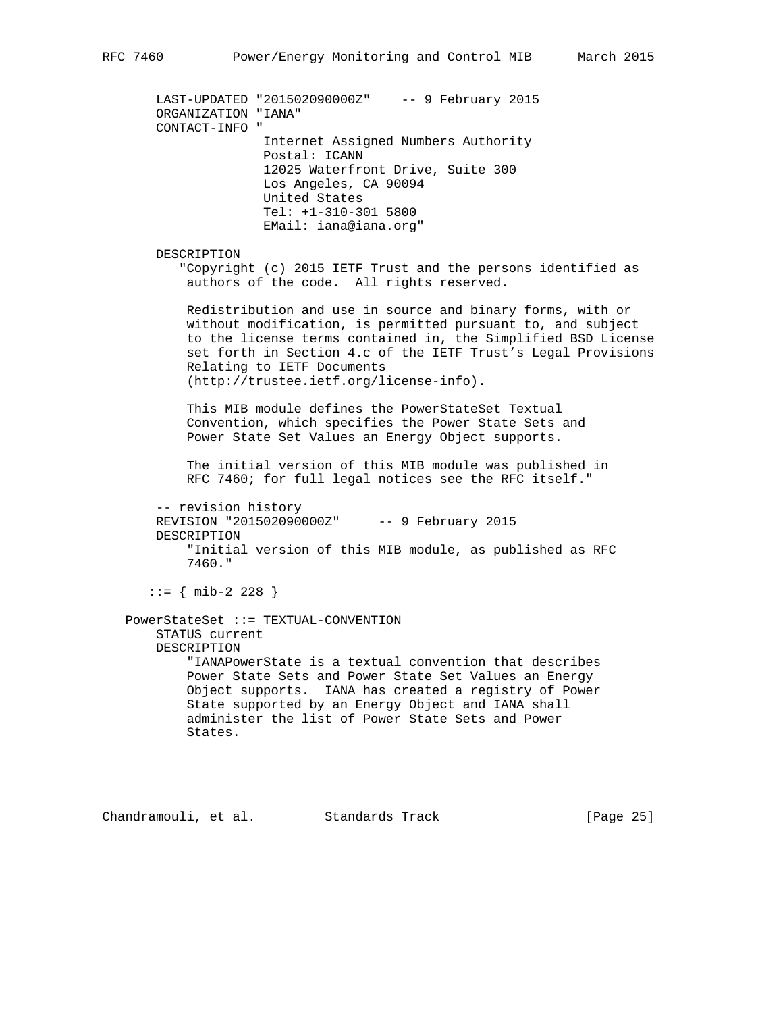LAST-UPDATED "201502090000Z" -- 9 February 2015 ORGANIZATION "IANA" CONTACT-INFO " Internet Assigned Numbers Authority Postal: ICANN 12025 Waterfront Drive, Suite 300 Los Angeles, CA 90094 United States Tel: +1-310-301 5800 EMail: iana@iana.org" DESCRIPTION "Copyright (c) 2015 IETF Trust and the persons identified as authors of the code. All rights reserved. Redistribution and use in source and binary forms, with or without modification, is permitted pursuant to, and subject to the license terms contained in, the Simplified BSD License set forth in Section 4.c of the IETF Trust's Legal Provisions Relating to IETF Documents (http://trustee.ietf.org/license-info). This MIB module defines the PowerStateSet Textual Convention, which specifies the Power State Sets and Power State Set Values an Energy Object supports. The initial version of this MIB module was published in RFC 7460; for full legal notices see the RFC itself." -- revision history REVISION "201502090000Z" -- 9 February 2015 DESCRIPTION "Initial version of this MIB module, as published as RFC 7460." ::= { mib-2 228 } PowerStateSet ::= TEXTUAL-CONVENTION STATUS current DESCRIPTION "IANAPowerState is a textual convention that describes Power State Sets and Power State Set Values an Energy Object supports. IANA has created a registry of Power State supported by an Energy Object and IANA shall administer the list of Power State Sets and Power States.

Chandramouli, et al. Standards Track [Page 25]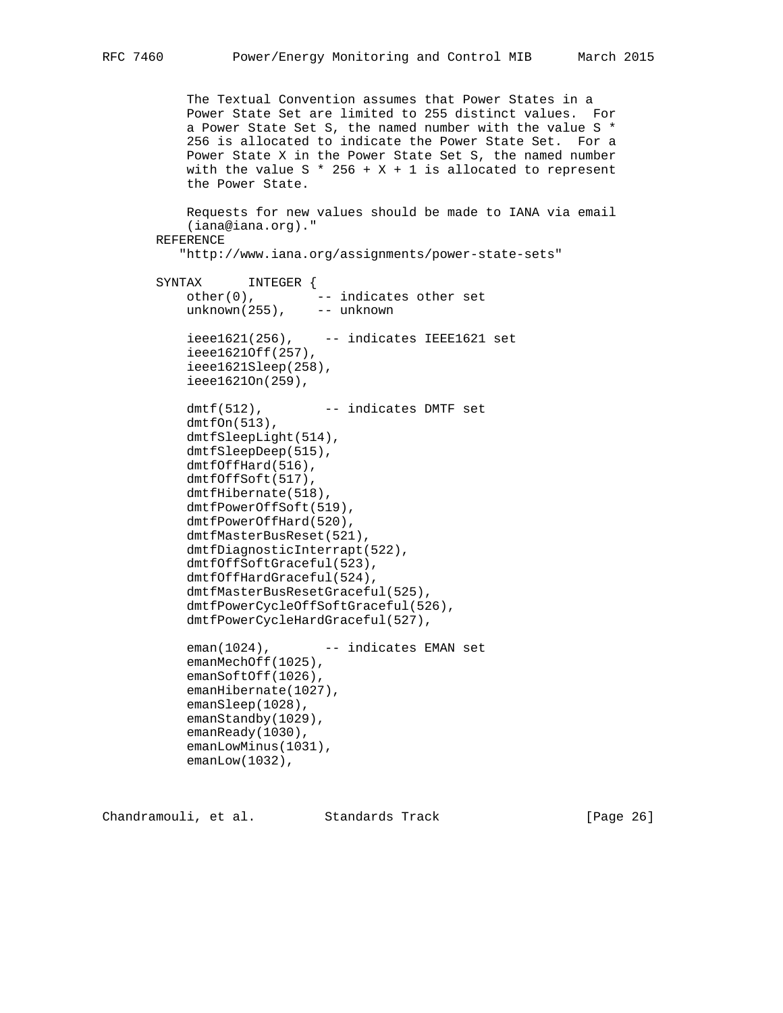The Textual Convention assumes that Power States in a Power State Set are limited to 255 distinct values. For a Power State Set S, the named number with the value S \* 256 is allocated to indicate the Power State Set. For a Power State X in the Power State Set S, the named number with the value  $S * 256 + X + 1$  is allocated to represent the Power State. Requests for new values should be made to IANA via email (iana@iana.org)." REFERENCE "http://www.iana.org/assignments/power-state-sets" SYNTAX INTEGER { other(0),  $-$  indicates other set unknown(255), -- unknown  $ieee1621(256)$ ,  $-$ - indicates IEEE1621 set ieee1621Off(257), ieee1621Sleep(258), ieee1621On(259), dmtf(512), -- indicates DMTF set  $dmtfon(513)$ , dmtfSleepLight(514), dmtfSleepDeep(515), dmtfOffHard(516), dmtfOffSoft(517), dmtfHibernate(518), dmtfPowerOffSoft(519), dmtfPowerOffHard(520), dmtfMasterBusReset(521), dmtfDiagnosticInterrapt(522), dmtfOffSoftGraceful(523), dmtfOffHardGraceful(524), dmtfMasterBusResetGraceful(525), dmtfPowerCycleOffSoftGraceful(526), dmtfPowerCycleHardGraceful(527), eman(1024), -- indicates EMAN set emanMechOff(1025), emanSoftOff(1026), emanHibernate(1027), emanSleep(1028), emanStandby(1029), emanReady(1030), emanLowMinus(1031), emanLow(1032),

Chandramouli, et al. Standards Track [Page 26]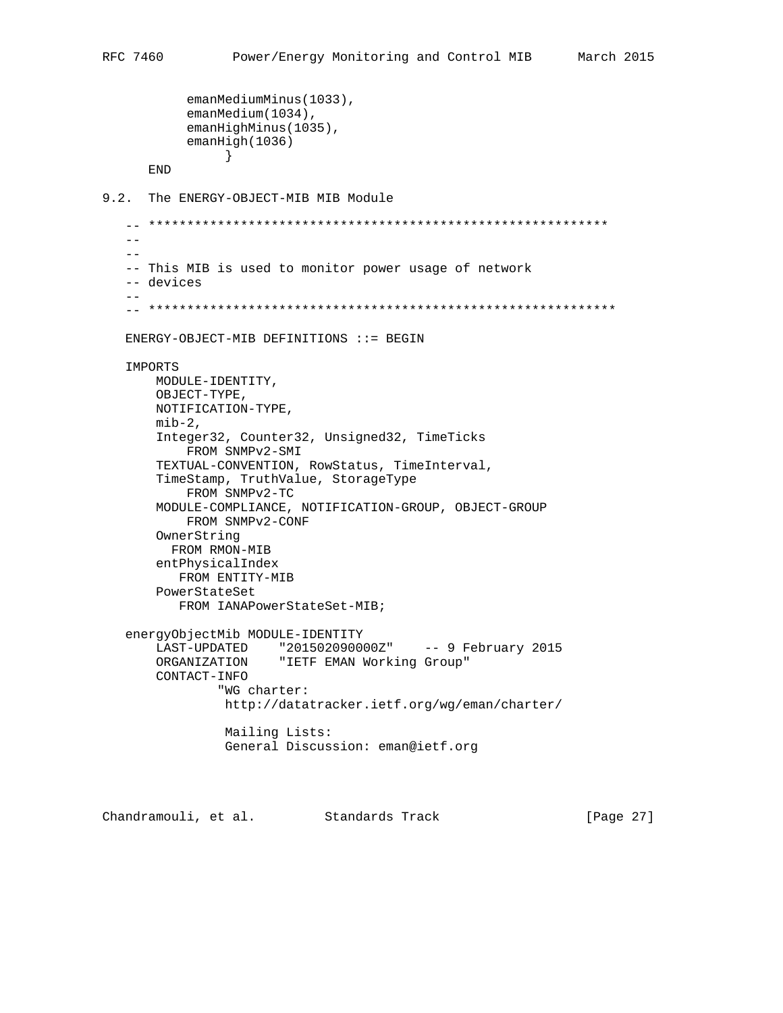```
 emanMediumMinus(1033),
            emanMedium(1034),
            emanHighMinus(1035),
            emanHigh(1036)
 }
       END
9.2. The ENERGY-OBJECT-MIB MIB Module
    -- ************************************************************
   - -- -- This MIB is used to monitor power usage of network
    -- devices
- -- *************************************************************
   ENERGY-OBJECT-MIB DEFINITIONS ::= BEGIN
    IMPORTS
       MODULE-IDENTITY,
       OBJECT-TYPE,
       NOTIFICATION-TYPE,
      min-2, Integer32, Counter32, Unsigned32, TimeTicks
            FROM SNMPv2-SMI
        TEXTUAL-CONVENTION, RowStatus, TimeInterval,
        TimeStamp, TruthValue, StorageType
            FROM SNMPv2-TC
       MODULE-COMPLIANCE, NOTIFICATION-GROUP, OBJECT-GROUP
           FROM SNMPv2-CONF
        OwnerString
         FROM RMON-MIB
        entPhysicalIndex
          FROM ENTITY-MIB
       PowerStateSet
          FROM IANAPowerStateSet-MIB;
    energyObjectMib MODULE-IDENTITY
       LAST-UPDATED "201502090000Z" -- 9 February 2015
       ORGANIZATION "IETF EMAN Working Group"
       CONTACT-INFO
                "WG charter:
                http://datatracker.ietf.org/wg/eman/charter/
                 Mailing Lists:
                 General Discussion: eman@ietf.org
```
Chandramouli, et al. Standards Track [Page 27]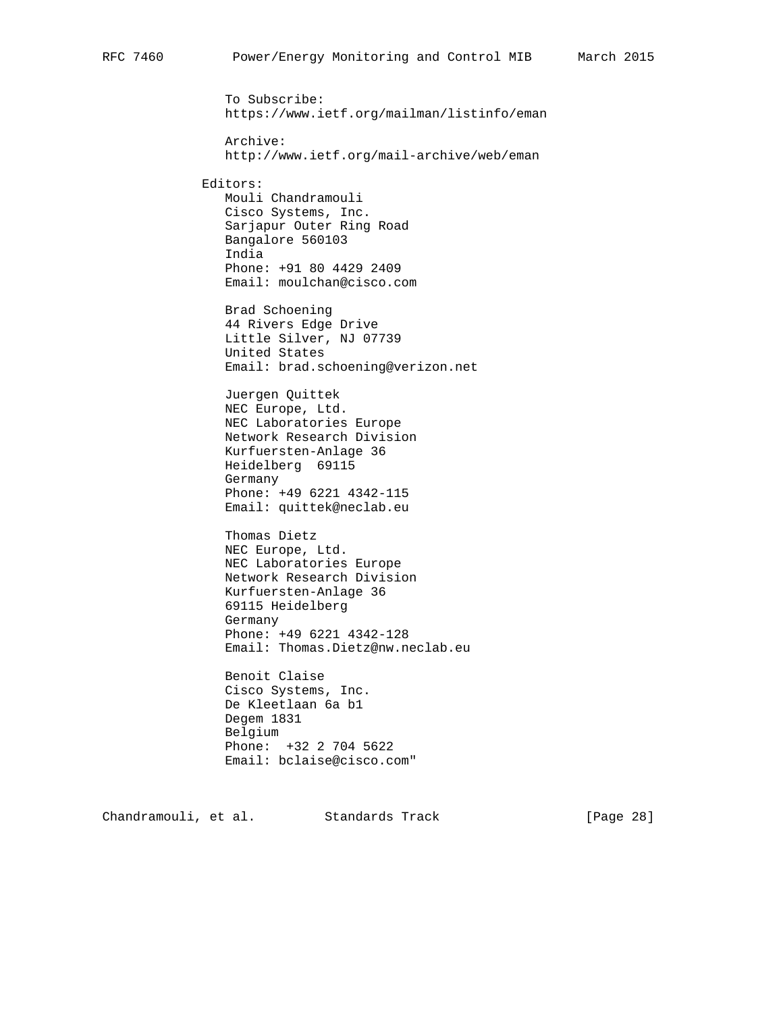To Subscribe: https://www.ietf.org/mailman/listinfo/eman Archive: http://www.ietf.org/mail-archive/web/eman Editors: Mouli Chandramouli Cisco Systems, Inc. Sarjapur Outer Ring Road Bangalore 560103 India Phone: +91 80 4429 2409 Email: moulchan@cisco.com Brad Schoening 44 Rivers Edge Drive Little Silver, NJ 07739 United States Email: brad.schoening@verizon.net Juergen Quittek NEC Europe, Ltd. NEC Laboratories Europe Network Research Division Kurfuersten-Anlage 36 Heidelberg 69115 Germany Phone: +49 6221 4342-115 Email: quittek@neclab.eu Thomas Dietz NEC Europe, Ltd. NEC Laboratories Europe Network Research Division Kurfuersten-Anlage 36 69115 Heidelberg Germany Phone: +49 6221 4342-128 Email: Thomas.Dietz@nw.neclab.eu

 Benoit Claise Cisco Systems, Inc. De Kleetlaan 6a b1 Degem 1831 Belgium Phone: +32 2 704 5622 Email: bclaise@cisco.com"

Chandramouli, et al. Standards Track [Page 28]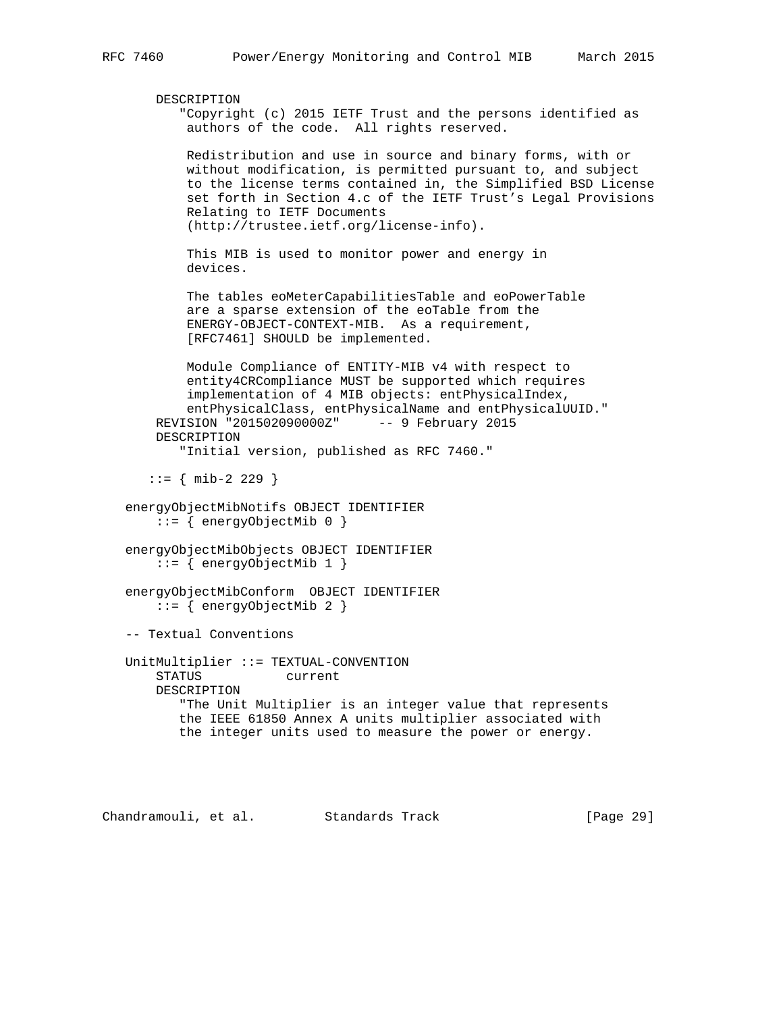```
 DESCRIPTION
        "Copyright (c) 2015 IETF Trust and the persons identified as
         authors of the code. All rights reserved.
         Redistribution and use in source and binary forms, with or
         without modification, is permitted pursuant to, and subject
         to the license terms contained in, the Simplified BSD License
         set forth in Section 4.c of the IETF Trust's Legal Provisions
         Relating to IETF Documents
         (http://trustee.ietf.org/license-info).
         This MIB is used to monitor power and energy in
         devices.
         The tables eoMeterCapabilitiesTable and eoPowerTable
         are a sparse extension of the eoTable from the
         ENERGY-OBJECT-CONTEXT-MIB. As a requirement,
         [RFC7461] SHOULD be implemented.
         Module Compliance of ENTITY-MIB v4 with respect to
         entity4CRCompliance MUST be supported which requires
         implementation of 4 MIB objects: entPhysicalIndex,
         entPhysicalClass, entPhysicalName and entPhysicalUUID."
    REVISION "201502090000Z" -- 9 February 2015
    DESCRIPTION
        "Initial version, published as RFC 7460."
   ::= { mib-2 229 }
 energyObjectMibNotifs OBJECT IDENTIFIER
    ::= { energyObjectMib 0 }
 energyObjectMibObjects OBJECT IDENTIFIER
     ::= { energyObjectMib 1 }
 energyObjectMibConform OBJECT IDENTIFIER
     ::= { energyObjectMib 2 }
 -- Textual Conventions
 UnitMultiplier ::= TEXTUAL-CONVENTION
     STATUS current
     DESCRIPTION
        "The Unit Multiplier is an integer value that represents
        the IEEE 61850 Annex A units multiplier associated with
        the integer units used to measure the power or energy.
```
Chandramouli, et al. Standards Track [Page 29]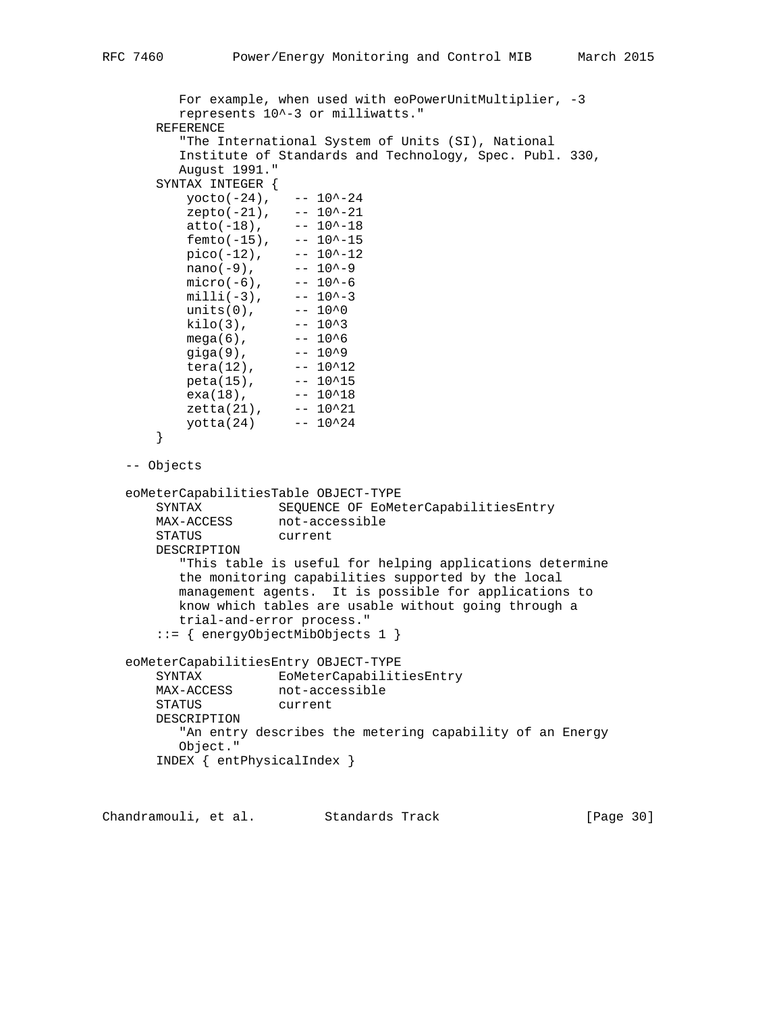```
 For example, when used with eoPowerUnitMultiplier, -3
          represents 10^-3 or milliwatts."
       REFERENCE
          "The International System of Units (SI), National
          Institute of Standards and Technology, Spec. Publ. 330,
          August 1991."
       SYNTAX INTEGER {
          yocto(-24), -- 10^{\sim}-24zepto(-21), -- 10^{\text{-}}-21atto(-18), -- 10^{\sim}-18femto(-15), -- 10^{\lambda}-15
          pico(-12), -- 10^{\lambda}-12<br>nano(-9), -- 10^{\lambda}-9
          \frac{\text{mano}(-9)}{\text{micro}(-6)}, -- 10^-9
micro(-6), -- 10^-6
min11(-3), --- 10^{\lambda} - 3units(0), -- 10<sup>0</sup>kilo(3), -- 10^3mega(6), -- 10^{6} giga(9), -- 10^9
tera(12), -- 10^212peta(15), -- 10^{\lambda}15exa(18), -- 10^18zeta(21), -- 10^221 yotta(24) -- 10^24
       }
   -- Objects
   eoMeterCapabilitiesTable OBJECT-TYPE
      SYNTAX SEQUENCE OF EOMeterCapabilitiesEntry<br>MAX-ACCESS not-accessible
                    not-accessible
       STATUS current
       DESCRIPTION
          "This table is useful for helping applications determine
          the monitoring capabilities supported by the local
          management agents. It is possible for applications to
          know which tables are usable without going through a
          trial-and-error process."
       ::= { energyObjectMibObjects 1 }
   eoMeterCapabilitiesEntry OBJECT-TYPE
       SYNTAX EoMeterCapabilitiesEntry
      MAX-ACCESS not-accessible<br>CEATIC survent
       STATUS current
       DESCRIPTION
          "An entry describes the metering capability of an Energy
          Object."
       INDEX { entPhysicalIndex }
```
Chandramouli, et al. Standards Track [Page 30]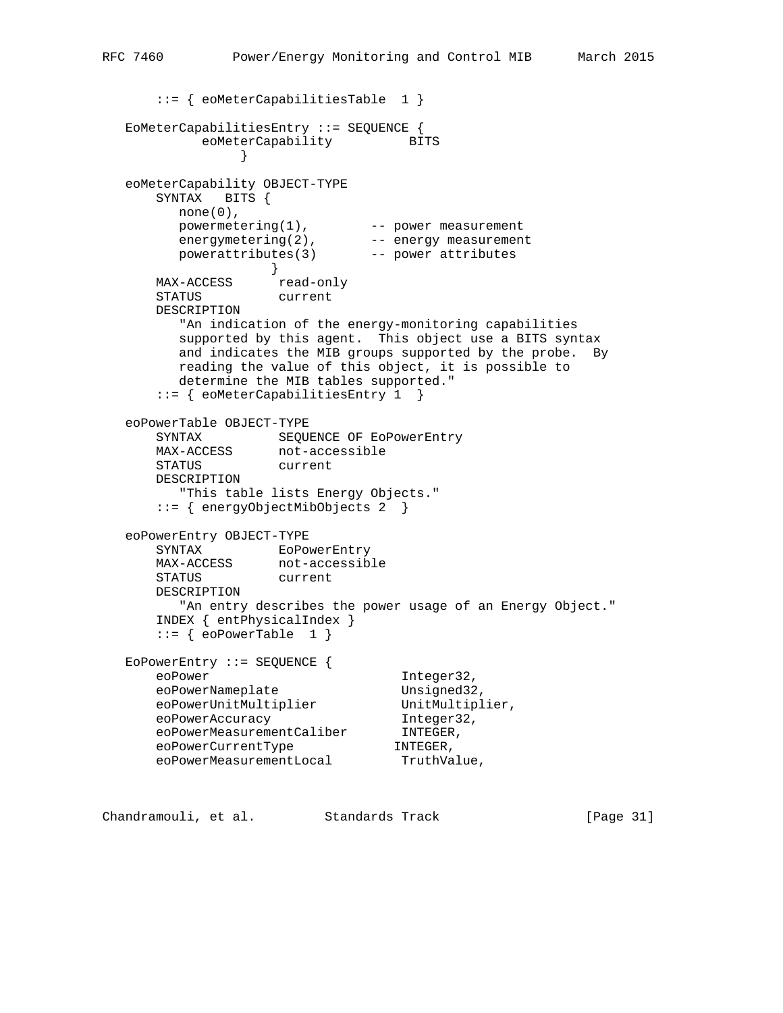```
 ::= { eoMeterCapabilitiesTable 1 }
   EoMeterCapabilitiesEntry ::= SEQUENCE {
          eoMeterCapability BITS
 }
   eoMeterCapability OBJECT-TYPE
      SYNTAX BITS {
       none(0),
 powermetering(1), -- power measurement
energymetering(2), -- energy measurement
 powerattributes(3) -- power attributes
 }
MAX-ACCESS read-only
 STATUS current
      DESCRIPTION
        "An indication of the energy-monitoring capabilities
        supported by this agent. This object use a BITS syntax
        and indicates the MIB groups supported by the probe. By
        reading the value of this object, it is possible to
        determine the MIB tables supported."
      ::= { eoMeterCapabilitiesEntry 1 }
   eoPowerTable OBJECT-TYPE
 SYNTAX SEQUENCE OF EoPowerEntry
 MAX-ACCESS not-accessible
 STATUS current
      DESCRIPTION
        "This table lists Energy Objects."
      ::= { energyObjectMibObjects 2 }
   eoPowerEntry OBJECT-TYPE
 SYNTAX EoPowerEntry
 MAX-ACCESS not-accessible
 STATUS current
      DESCRIPTION
        "An entry describes the power usage of an Energy Object."
      INDEX { entPhysicalIndex }
     ::= { eoPowerTable 1 }
   EoPowerEntry ::= SEQUENCE {
eoPower integer32,
eoPowerNameplate Unsigned32,
eoPowerUnitMultiplier UnitMultiplier,
eoPowerAccuracy integer32,
 eoPowerMeasurementCaliber INTEGER,
 eoPowerCurrentType INTEGER,
eoPowerMeasurementLocal TruthValue,
```
Chandramouli, et al. Standards Track [Page 31]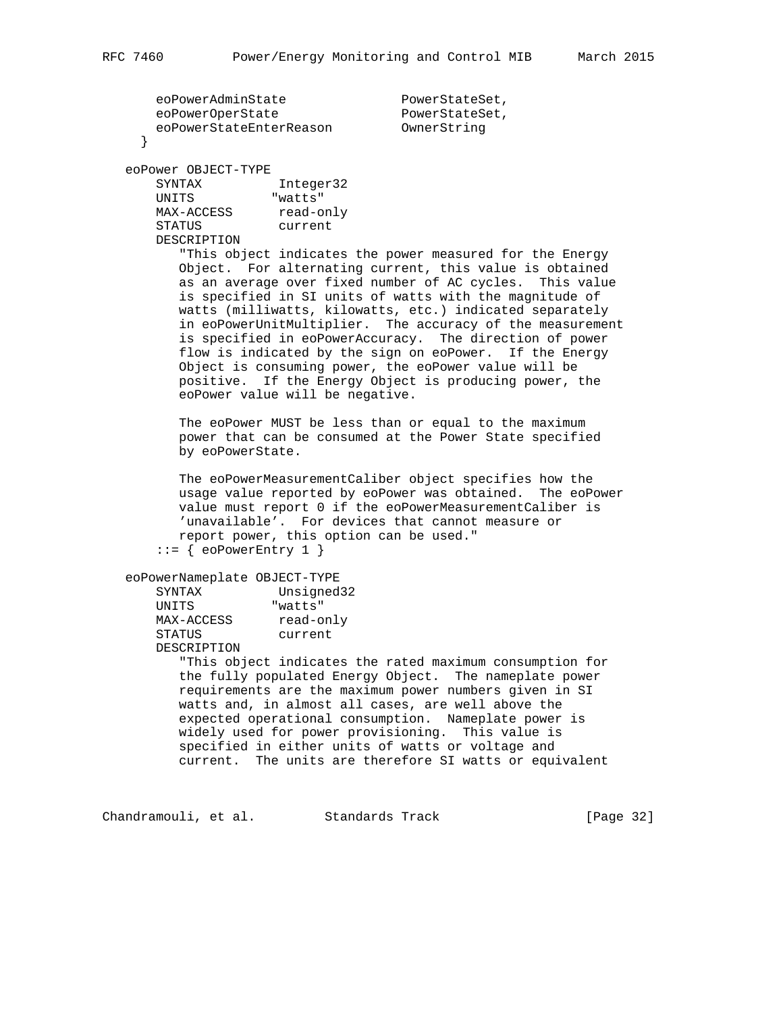```
eoPowerAdminState PowerStateSet,<br>eoPowerOperState PowerStateSet
eoPowerOperState PowerStateSet,
 eoPowerStateEnterReason OwnerString
     }
   eoPower OBJECT-TYPE
 SYNTAX Integer32
UNITS "watts"
MAX-ACCESS read-only
 STATUS current
       DESCRIPTION
          "This object indicates the power measured for the Energy
          Object. For alternating current, this value is obtained
          as an average over fixed number of AC cycles. This value
          is specified in SI units of watts with the magnitude of
          watts (milliwatts, kilowatts, etc.) indicated separately
          in eoPowerUnitMultiplier. The accuracy of the measurement
          is specified in eoPowerAccuracy. The direction of power
          flow is indicated by the sign on eoPower. If the Energy
          Object is consuming power, the eoPower value will be
          positive. If the Energy Object is producing power, the
          eoPower value will be negative.
          The eoPower MUST be less than or equal to the maximum
          power that can be consumed at the Power State specified
          by eoPowerState.
          The eoPowerMeasurementCaliber object specifies how the
          usage value reported by eoPower was obtained. The eoPower
          value must report 0 if the eoPowerMeasurementCaliber is
          'unavailable'. For devices that cannot measure or
          report power, this option can be used."
      ::= { eoPowerEntry 1 }
   eoPowerNameplate OBJECT-TYPE
      SYNTAX Unsigned32<br>
UNITS "watts"
UNITS "watts"
MAX-ACCESS read-only
 STATUS current
       DESCRIPTION
          "This object indicates the rated maximum consumption for
          the fully populated Energy Object. The nameplate power
          requirements are the maximum power numbers given in SI
          watts and, in almost all cases, are well above the
          expected operational consumption. Nameplate power is
          widely used for power provisioning. This value is
          specified in either units of watts or voltage and
          current. The units are therefore SI watts or equivalent
```
Chandramouli, et al. Standards Track [Page 32]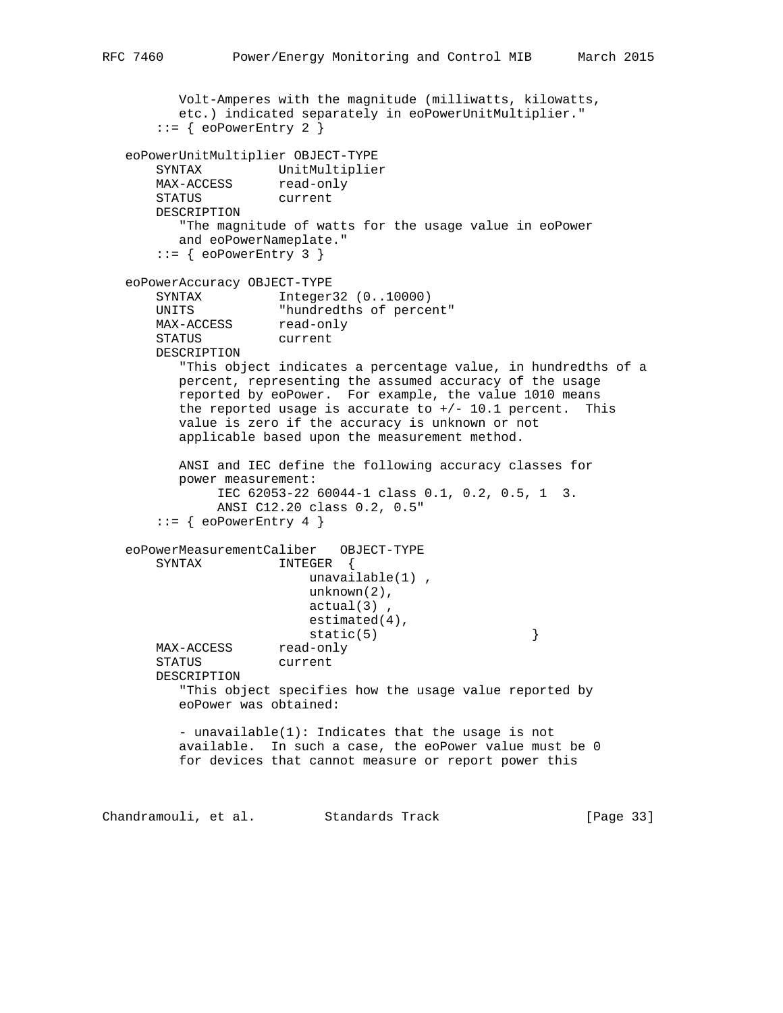```
 Volt-Amperes with the magnitude (milliwatts, kilowatts,
         etc.) indicated separately in eoPowerUnitMultiplier."
      ::= { eoPowerEntry 2 }
   eoPowerUnitMultiplier OBJECT-TYPE
 SYNTAX UnitMultiplier
MAX-ACCESS read-only
       STATUS current
       DESCRIPTION
          "The magnitude of watts for the usage value in eoPower
         and eoPowerNameplate."
      ::= { eoPowerEntry 3 }
   eoPowerAccuracy OBJECT-TYPE
       SYNTAX Integer32 (0..10000)
      UNITS "hundredths of percent"
MAX-ACCESS read-only
 STATUS current
       DESCRIPTION
          "This object indicates a percentage value, in hundredths of a
          percent, representing the assumed accuracy of the usage
         reported by eoPower. For example, the value 1010 means
         the reported usage is accurate to +/- 10.1 percent. This
          value is zero if the accuracy is unknown or not
          applicable based upon the measurement method.
         ANSI and IEC define the following accuracy classes for
          power measurement:
              IEC 62053-22 60044-1 class 0.1, 0.2, 0.5, 1 3.
              ANSI C12.20 class 0.2, 0.5"
      ::= { eoPowerEntry 4 }
   eoPowerMeasurementCaliber OBJECT-TYPE
       SYNTAX INTEGER {
                         unavailable(1) ,
                         unknown(2),
                         actual(3) ,
                         estimated(4),
                    static(5) }
      MAX-ACCESS
       STATUS current
       DESCRIPTION
          "This object specifies how the usage value reported by
          eoPower was obtained:
          - unavailable(1): Indicates that the usage is not
          available. In such a case, the eoPower value must be 0
          for devices that cannot measure or report power this
Chandramouli, et al. Standards Track [Page 33]
```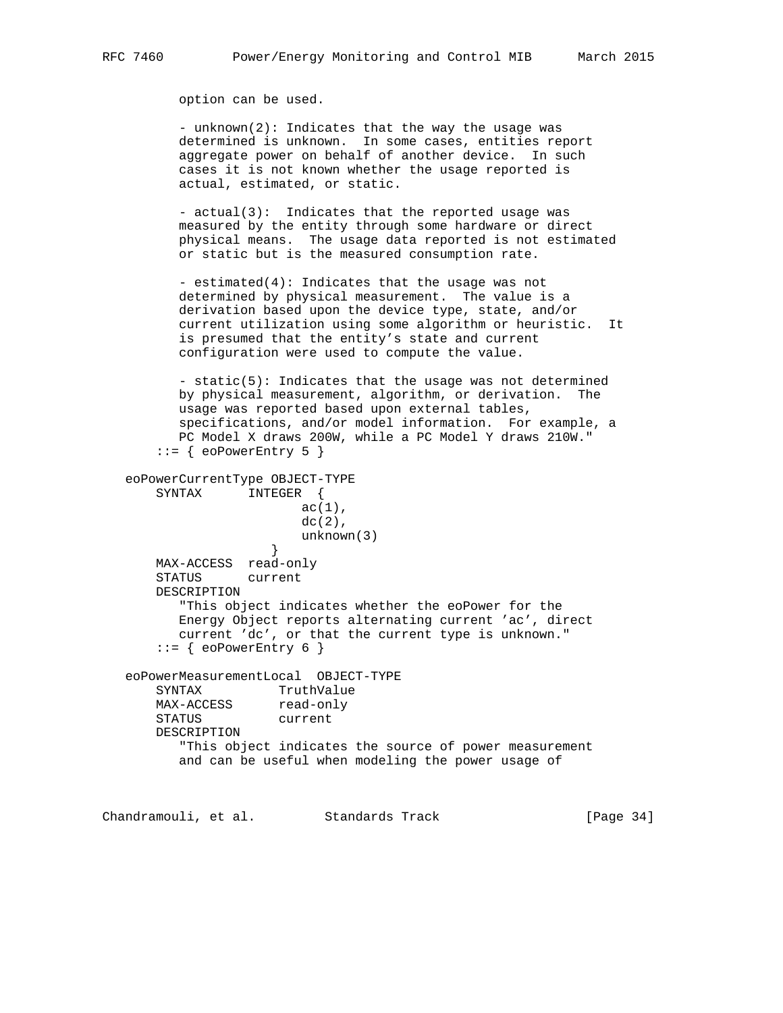option can be used.

 - unknown(2): Indicates that the way the usage was determined is unknown. In some cases, entities report aggregate power on behalf of another device. In such cases it is not known whether the usage reported is actual, estimated, or static.

 - actual(3): Indicates that the reported usage was measured by the entity through some hardware or direct physical means. The usage data reported is not estimated or static but is the measured consumption rate.

 - estimated(4): Indicates that the usage was not determined by physical measurement. The value is a derivation based upon the device type, state, and/or current utilization using some algorithm or heuristic. It is presumed that the entity's state and current configuration were used to compute the value.

 - static(5): Indicates that the usage was not determined by physical measurement, algorithm, or derivation. The usage was reported based upon external tables, specifications, and/or model information. For example, a PC Model X draws 200W, while a PC Model Y draws 210W."  $::=$  { eoPowerEntry 5 }

```
 eoPowerCurrentType OBJECT-TYPE
       SYNTAX INTEGER {
                        ac(1),
                        dc(2),
                    unknown(3)<br>}
 }
       MAX-ACCESS read-only
       STATUS current
       DESCRIPTION
          "This object indicates whether the eoPower for the
          Energy Object reports alternating current 'ac', direct
          current 'dc', or that the current type is unknown."
      ::= { eoPowerEntry 6 }
   eoPowerMeasurementLocal OBJECT-TYPE
       SYNTAX TruthValue
      MAX-ACCESS read-only
       STATUS current
       DESCRIPTION
          "This object indicates the source of power measurement
          and can be useful when modeling the power usage of
```
Chandramouli, et al. Standards Track [Page 34]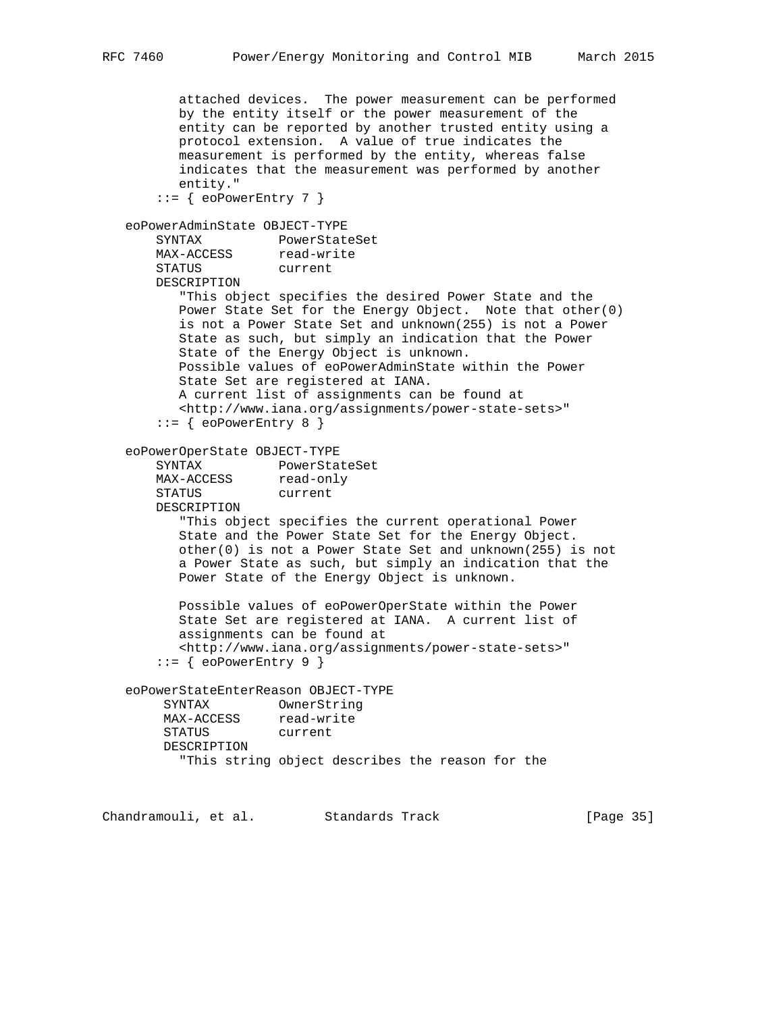attached devices. The power measurement can be performed by the entity itself or the power measurement of the entity can be reported by another trusted entity using a protocol extension. A value of true indicates the measurement is performed by the entity, whereas false indicates that the measurement was performed by another entity."  $::=$  { eoPowerEntry 7 } eoPowerAdminState OBJECT-TYPE SYNTAX PowerStateSet MAX-ACCESS read-write STATUS current DESCRIPTION "This object specifies the desired Power State and the Power State Set for the Energy Object. Note that other(0) is not a Power State Set and unknown(255) is not a Power State as such, but simply an indication that the Power State of the Energy Object is unknown. Possible values of eoPowerAdminState within the Power State Set are registered at IANA. A current list of assignments can be found at <http://www.iana.org/assignments/power-state-sets>"  $::=$  { eoPowerEntry 8 } eoPowerOperState OBJECT-TYPE SYNTAX PowerStateSet MAX-ACCESS read-only STATUS current DESCRIPTION "This object specifies the current operational Power State and the Power State Set for the Energy Object. other(0) is not a Power State Set and unknown(255) is not a Power State as such, but simply an indication that the Power State of the Energy Object is unknown. Possible values of eoPowerOperState within the Power State Set are registered at IANA. A current list of assignments can be found at <http://www.iana.org/assignments/power-state-sets>"  $::=$  { eoPowerEntry 9 } eoPowerStateEnterReason OBJECT-TYPE SYNTAX OwnerString MAX-ACCESS read-write STATUS current DESCRIPTION "This string object describes the reason for the

Chandramouli, et al. Standards Track [Page 35]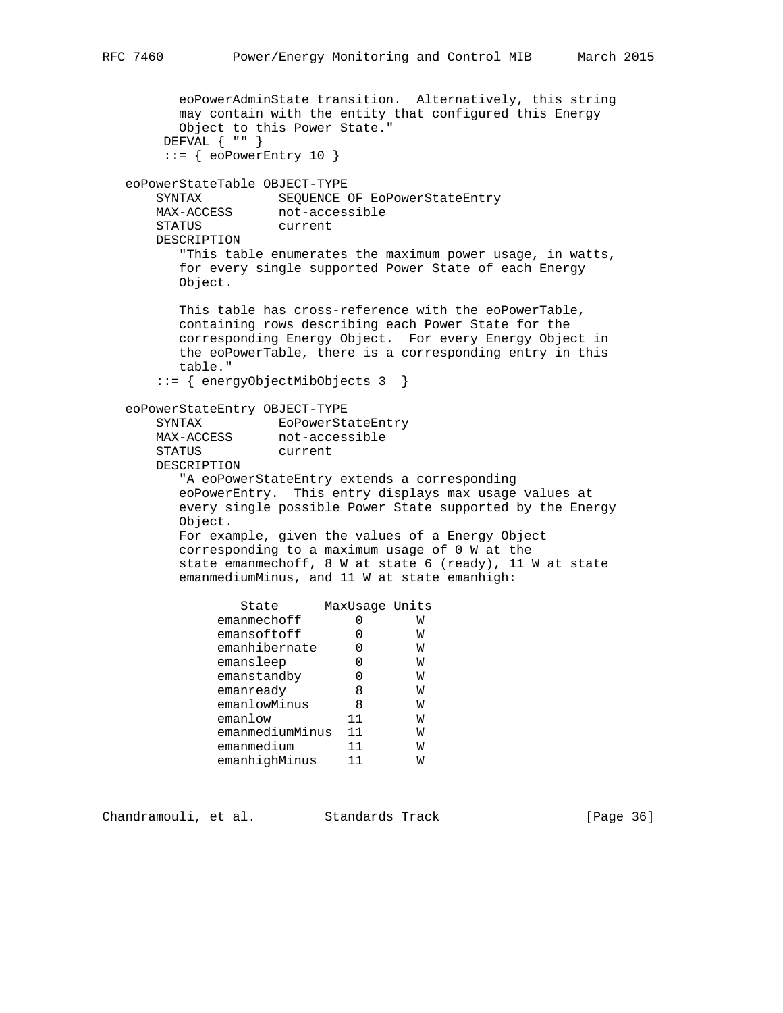```
 eoPowerAdminState transition. Alternatively, this string
        may contain with the entity that configured this Energy
        Object to this Power State."
       DEFVAL { "" }
      ::= { eoPowerEntry 10 }
   eoPowerStateTable OBJECT-TYPE
SYNTAX SEQUENCE OF EoPowerStateEntry
 MAX-ACCESS not-accessible
      STATUS current
      DESCRIPTION
        "This table enumerates the maximum power usage, in watts,
        for every single supported Power State of each Energy
        Object.
        This table has cross-reference with the eoPowerTable,
        containing rows describing each Power State for the
        corresponding Energy Object. For every Energy Object in
        the eoPowerTable, there is a corresponding entry in this
        table."
      ::= { energyObjectMibObjects 3 }
   eoPowerStateEntry OBJECT-TYPE
 SYNTAX EoPowerStateEntry
 MAX-ACCESS not-accessible
      STATUS current
      DESCRIPTION
         "A eoPowerStateEntry extends a corresponding
        eoPowerEntry. This entry displays max usage values at
        every single possible Power State supported by the Energy
        Object.
        For example, given the values of a Energy Object
        corresponding to a maximum usage of 0 W at the
        state emanmechoff, 8 W at state 6 (ready), 11 W at state
        emanmediumMinus, and 11 W at state emanhigh:
               State MaxUsage Units
emanmechoff 0 W
 emansoftoff 0 W
emanhibernate 0 W
 emansleep 0 W
emanstandby 0 W
emanready 8 W
 emanlowMinus 8 W
 emanlow 11 W
            emanmediumMinus 11 W
emanmedium 11 W
 emanhighMinus 11 W
```
Chandramouli, et al. Standards Track [Page 36]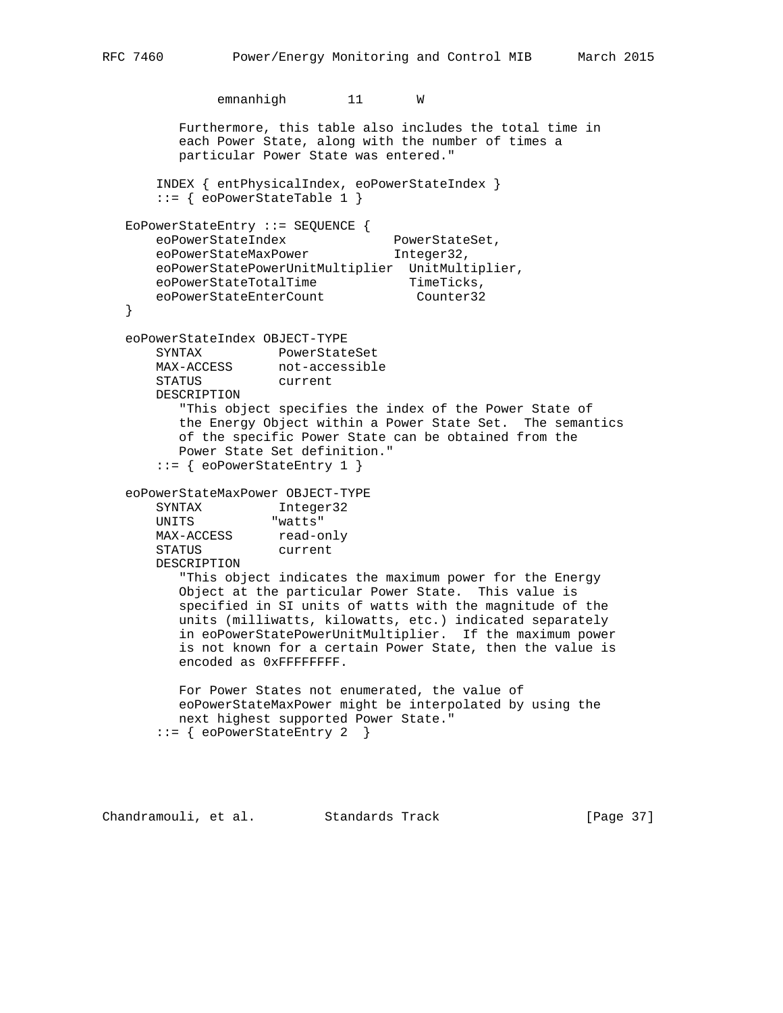```
 emnanhigh 11 W
          Furthermore, this table also includes the total time in
          each Power State, along with the number of times a
          particular Power State was entered."
       INDEX { entPhysicalIndex, eoPowerStateIndex }
       ::= { eoPowerStateTable 1 }
   EoPowerStateEntry ::= SEQUENCE {
eoPowerStateIndex PowerStateSet,
eoPowerStateMaxPower 1nteger32,
       eoPowerStatePowerUnitMultiplier UnitMultiplier,
      \verb|coPowerStateTotalTime| \verb|TimeTicks|,eoPowerStateEnterCount Counter32
   }
   eoPowerStateIndex OBJECT-TYPE
       SYNTAX PowerStateSet
 MAX-ACCESS not-accessible
 STATUS current
       DESCRIPTION
          "This object specifies the index of the Power State of
          the Energy Object within a Power State Set. The semantics
          of the specific Power State can be obtained from the
          Power State Set definition."
       ::= { eoPowerStateEntry 1 }
   eoPowerStateMaxPower OBJECT-TYPE
      SYNTAX Integer32<br>
UNITS "watts"
                    "watts"
MAX-ACCESS read-only
 STATUS current
       DESCRIPTION
          "This object indicates the maximum power for the Energy
          Object at the particular Power State. This value is
          specified in SI units of watts with the magnitude of the
          units (milliwatts, kilowatts, etc.) indicated separately
          in eoPowerStatePowerUnitMultiplier. If the maximum power
          is not known for a certain Power State, then the value is
          encoded as 0xFFFFFFFF.
          For Power States not enumerated, the value of
          eoPowerStateMaxPower might be interpolated by using the
          next highest supported Power State."
       ::= { eoPowerStateEntry 2 }
```
Chandramouli, et al. Standards Track [Page 37]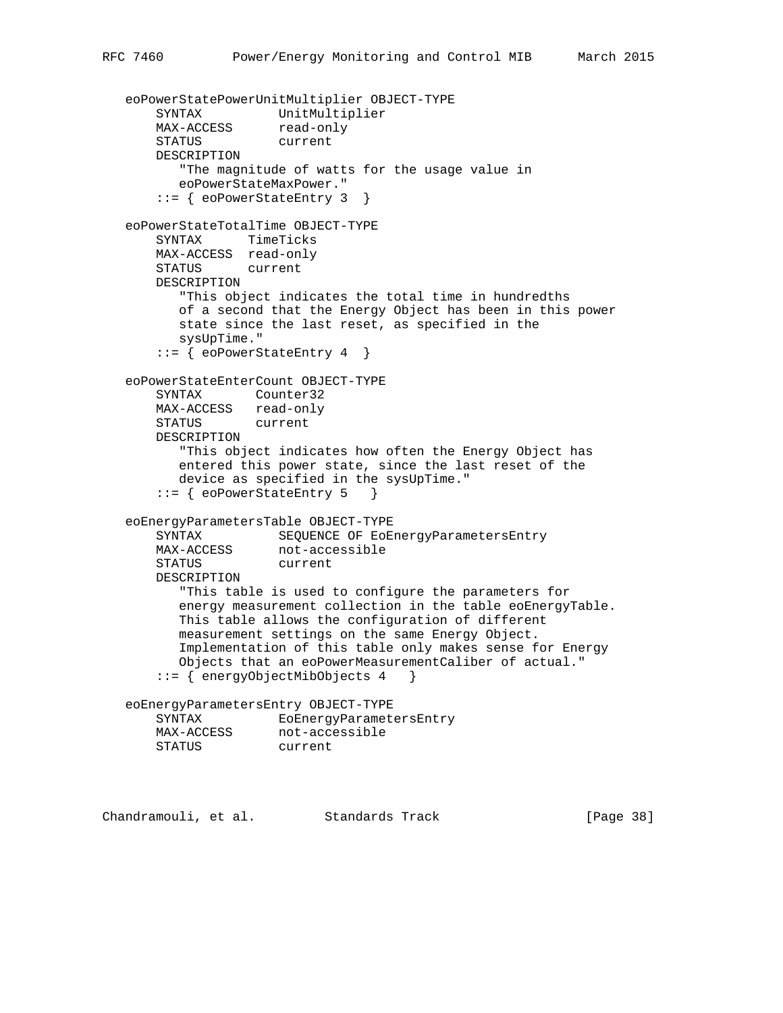```
 eoPowerStatePowerUnitMultiplier OBJECT-TYPE
 SYNTAX UnitMultiplier
MAX-ACCESS read-only
       STATUS current
       DESCRIPTION
          "The magnitude of watts for the usage value in
          eoPowerStateMaxPower."
       ::= { eoPowerStateEntry 3 }
   eoPowerStateTotalTime OBJECT-TYPE
       SYNTAX TimeTicks
       MAX-ACCESS read-only
       STATUS current
       DESCRIPTION
          "This object indicates the total time in hundredths
          of a second that the Energy Object has been in this power
          state since the last reset, as specified in the
          sysUpTime."
       ::= { eoPowerStateEntry 4 }
   eoPowerStateEnterCount OBJECT-TYPE
       SYNTAX Counter32
       MAX-ACCESS read-only
       STATUS current
       DESCRIPTION
          "This object indicates how often the Energy Object has
          entered this power state, since the last reset of the
          device as specified in the sysUpTime."
       ::= { eoPowerStateEntry 5 }
   eoEnergyParametersTable OBJECT-TYPE
       SYNTAX SEQUENCE OF EoEnergyParametersEntry
 MAX-ACCESS not-accessible
 STATUS current
       DESCRIPTION
          "This table is used to configure the parameters for
          energy measurement collection in the table eoEnergyTable.
          This table allows the configuration of different
          measurement settings on the same Energy Object.
          Implementation of this table only makes sense for Energy
          Objects that an eoPowerMeasurementCaliber of actual."
       ::= { energyObjectMibObjects 4 }
   eoEnergyParametersEntry OBJECT-TYPE
       SYNTAX EoEnergyParametersEntry
 MAX-ACCESS not-accessible
 STATUS current
```
Chandramouli, et al. Standards Track [Page 38]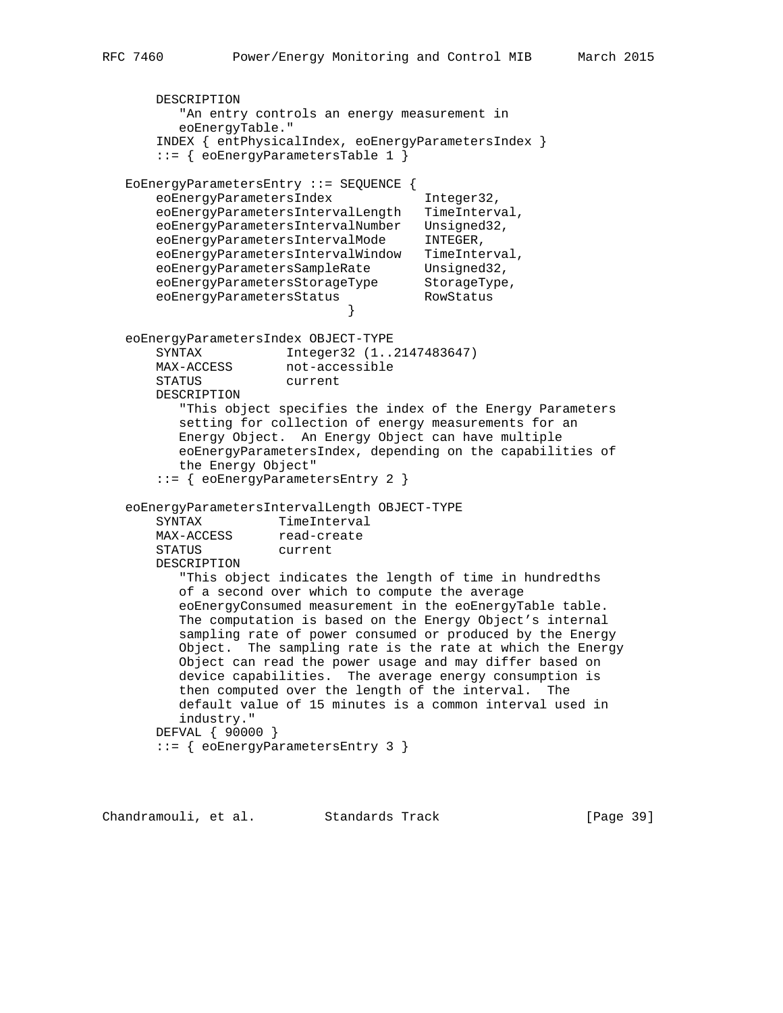```
 DESCRIPTION
          "An entry controls an energy measurement in
         eoEnergyTable."
       INDEX { entPhysicalIndex, eoEnergyParametersIndex }
       ::= { eoEnergyParametersTable 1 }
   EoEnergyParametersEntry ::= SEQUENCE {
      eoEnergyParametersIndex Integer32,
       eoEnergyParametersIntervalLength TimeInterval,
 eoEnergyParametersIntervalNumber Unsigned32,
 eoEnergyParametersIntervalMode INTEGER,
 eoEnergyParametersIntervalWindow TimeInterval,
eoEnergyParametersSampleRate Unsigned32,
eoEnergyParametersStorageType StorageType,
eoEnergyParametersStatus RowStatus
 }
   eoEnergyParametersIndex OBJECT-TYPE
       SYNTAX Integer32 (1..2147483647)
MAX-ACCESS not-accessible
 STATUS current
       DESCRIPTION
          "This object specifies the index of the Energy Parameters
         setting for collection of energy measurements for an
         Energy Object. An Energy Object can have multiple
         eoEnergyParametersIndex, depending on the capabilities of
         the Energy Object"
       ::= { eoEnergyParametersEntry 2 }
   eoEnergyParametersIntervalLength OBJECT-TYPE
SYNTAX TimeInterval
MAX-ACCESS read-create
 STATUS current
       DESCRIPTION
          "This object indicates the length of time in hundredths
         of a second over which to compute the average
         eoEnergyConsumed measurement in the eoEnergyTable table.
         The computation is based on the Energy Object's internal
         sampling rate of power consumed or produced by the Energy
         Object. The sampling rate is the rate at which the Energy
         Object can read the power usage and may differ based on
         device capabilities. The average energy consumption is
         then computed over the length of the interval. The
         default value of 15 minutes is a common interval used in
         industry."
       DEFVAL { 90000 }
       ::= { eoEnergyParametersEntry 3 }
```
Chandramouli, et al. Standards Track [Page 39]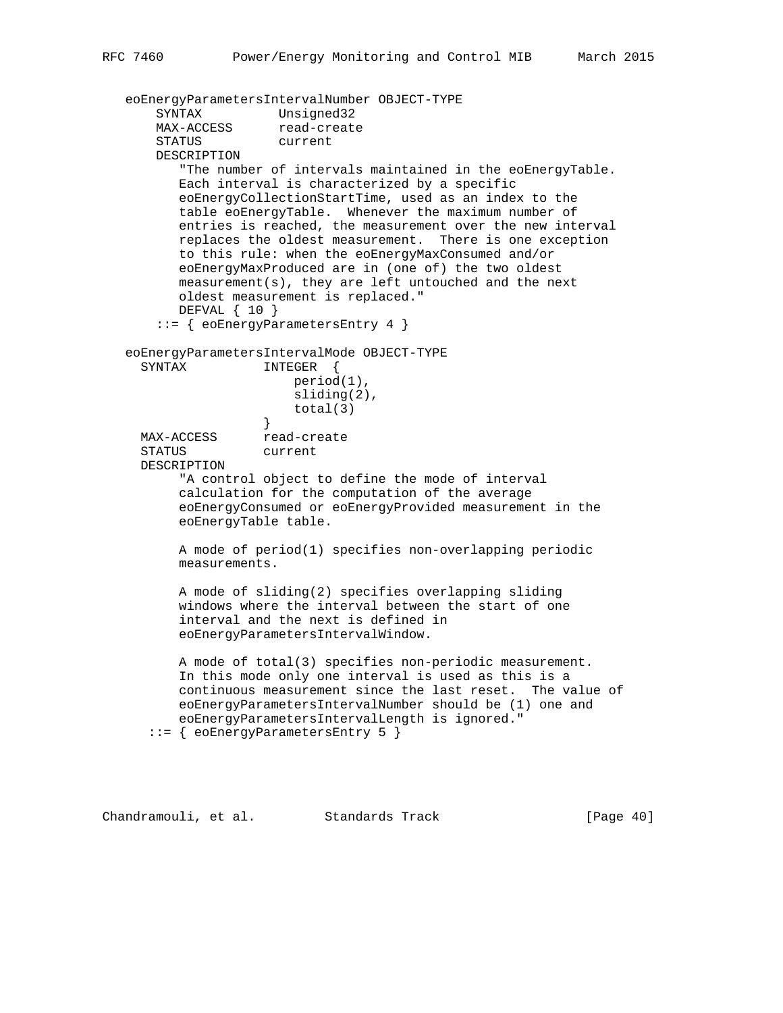```
 eoEnergyParametersIntervalNumber OBJECT-TYPE
      SYNTAX Unsigned32<br>MAX-ACCESS read-create
      MAX-ACCESS
       STATUS current
       DESCRIPTION
          "The number of intervals maintained in the eoEnergyTable.
          Each interval is characterized by a specific
          eoEnergyCollectionStartTime, used as an index to the
          table eoEnergyTable. Whenever the maximum number of
          entries is reached, the measurement over the new interval
          replaces the oldest measurement. There is one exception
          to this rule: when the eoEnergyMaxConsumed and/or
          eoEnergyMaxProduced are in (one of) the two oldest
          measurement(s), they are left untouched and the next
          oldest measurement is replaced."
          DEFVAL { 10 }
       ::= { eoEnergyParametersEntry 4 }
   eoEnergyParametersIntervalMode OBJECT-TYPE
    SYNTAX INTEGER {
                         period(1),
                         sliding(2),
                    total(3) }
    MAX-ACCESS read-create
     STATUS current
     DESCRIPTION
           "A control object to define the mode of interval
          calculation for the computation of the average
          eoEnergyConsumed or eoEnergyProvided measurement in the
          eoEnergyTable table.
          A mode of period(1) specifies non-overlapping periodic
          measurements.
          A mode of sliding(2) specifies overlapping sliding
          windows where the interval between the start of one
          interval and the next is defined in
          eoEnergyParametersIntervalWindow.
          A mode of total(3) specifies non-periodic measurement.
          In this mode only one interval is used as this is a
          continuous measurement since the last reset. The value of
          eoEnergyParametersIntervalNumber should be (1) one and
          eoEnergyParametersIntervalLength is ignored."
       ::= { eoEnergyParametersEntry 5 }
```
Chandramouli, et al. Standards Track [Page 40]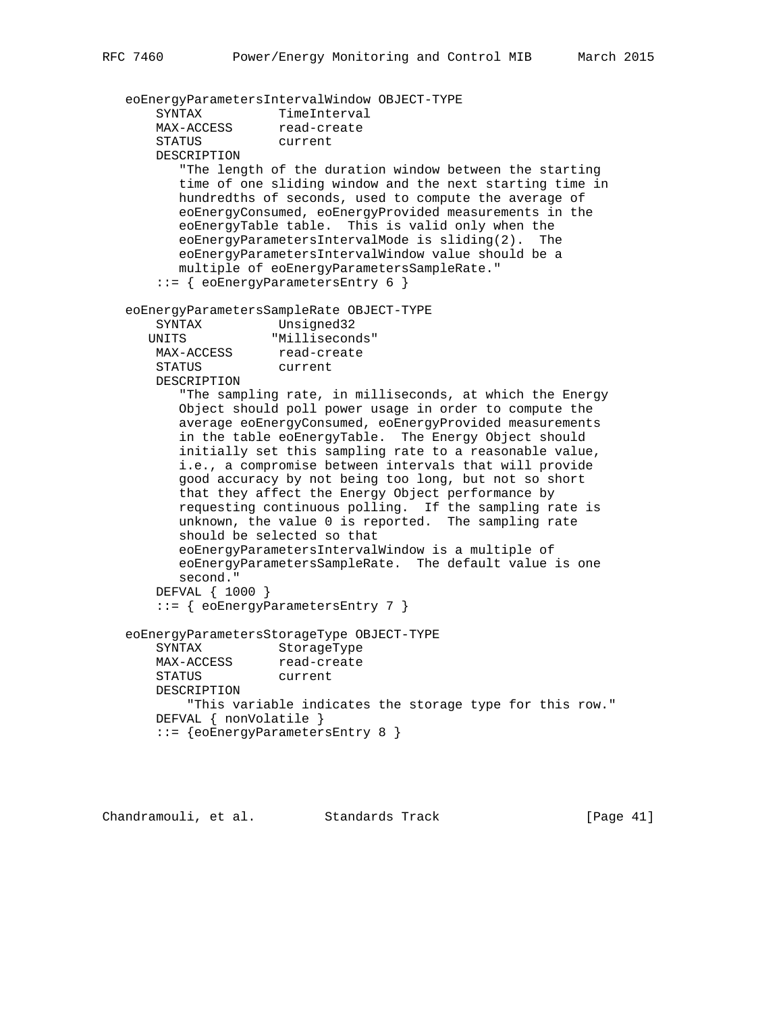eoEnergyParametersIntervalWindow OBJECT-TYPE SYNTAX TimeInterval<br>MAX-ACCESS read-create MAX-ACCESS STATUS current DESCRIPTION "The length of the duration window between the starting time of one sliding window and the next starting time in hundredths of seconds, used to compute the average of eoEnergyConsumed, eoEnergyProvided measurements in the eoEnergyTable table. This is valid only when the eoEnergyParametersIntervalMode is sliding(2). The eoEnergyParametersIntervalWindow value should be a multiple of eoEnergyParametersSampleRate." ::= { eoEnergyParametersEntry 6 } eoEnergyParametersSampleRate OBJECT-TYPE SYNTAX Unsigned32 UNITS "Milliseconds" MAX-ACCESS read-create STATUS current DESCRIPTION "The sampling rate, in milliseconds, at which the Energy Object should poll power usage in order to compute the average eoEnergyConsumed, eoEnergyProvided measurements in the table eoEnergyTable. The Energy Object should initially set this sampling rate to a reasonable value, i.e., a compromise between intervals that will provide good accuracy by not being too long, but not so short that they affect the Energy Object performance by requesting continuous polling. If the sampling rate is unknown, the value 0 is reported. The sampling rate should be selected so that eoEnergyParametersIntervalWindow is a multiple of eoEnergyParametersSampleRate. The default value is one second." DEFVAL { 1000 } ::= { eoEnergyParametersEntry 7 } eoEnergyParametersStorageType OBJECT-TYPE SYNTAX StorageType MAX-ACCESS read-create STATUS current DESCRIPTION "This variable indicates the storage type for this row." DEFVAL { nonVolatile } ::= {eoEnergyParametersEntry 8 }

Chandramouli, et al. Standards Track [Page 41]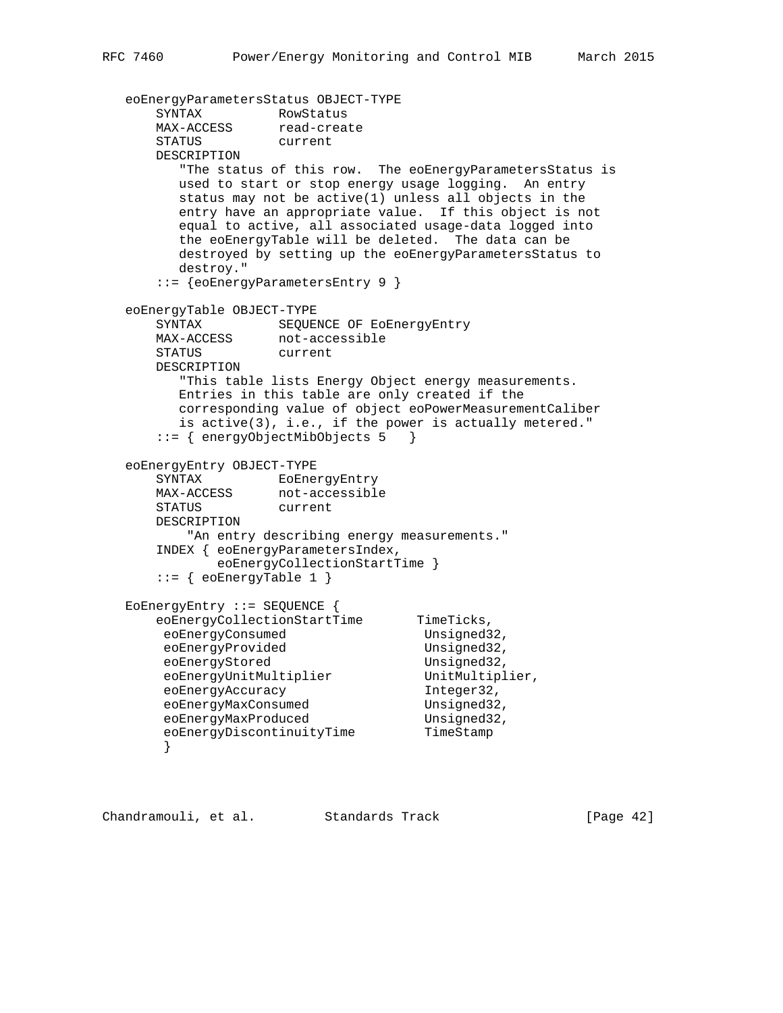```
 eoEnergyParametersStatus OBJECT-TYPE
SYNTAX RowStatus
MAX-ACCESS read-create
      STATUS current
      DESCRIPTION
         "The status of this row. The eoEnergyParametersStatus is
         used to start or stop energy usage logging. An entry
         status may not be active(1) unless all objects in the
         entry have an appropriate value. If this object is not
         equal to active, all associated usage-data logged into
         the eoEnergyTable will be deleted. The data can be
         destroyed by setting up the eoEnergyParametersStatus to
         destroy."
       ::= {eoEnergyParametersEntry 9 }
   eoEnergyTable OBJECT-TYPE
      SYNTAX SEQUENCE OF EoEnergyEntry
 MAX-ACCESS not-accessible
 STATUS current
      DESCRIPTION
         "This table lists Energy Object energy measurements.
         Entries in this table are only created if the
         corresponding value of object eoPowerMeasurementCaliber
         is active(3), i.e., if the power is actually metered."
       ::= { energyObjectMibObjects 5 }
   eoEnergyEntry OBJECT-TYPE
     SYNTAX EoEnergyEntry<br>MAX-ACCESS not-accessible
                  not-accessible<br>current
     STATUS
      DESCRIPTION
         "An entry describing energy measurements."
       INDEX { eoEnergyParametersIndex,
             eoEnergyCollectionStartTime }
       ::= { eoEnergyTable 1 }
   EoEnergyEntry ::= SEQUENCE {
     eoEnergyCollectionStartTime TimeTicks,
      eoEnergyConsumed Unsigned32,
eoEnergyProvided Unsigned32,
eoEnergyStored Unsigned32,
eoEnergyUnitMultiplier UnitMultiplier,
eoEnergyAccuracy integer32,
eoEnergyMaxConsumed Unsigned32,
eoEnergyMaxProduced Unsigned32,
eoEnergyDiscontinuityTime TimeStamp
 }
```
Chandramouli, et al. Standards Track [Page 42]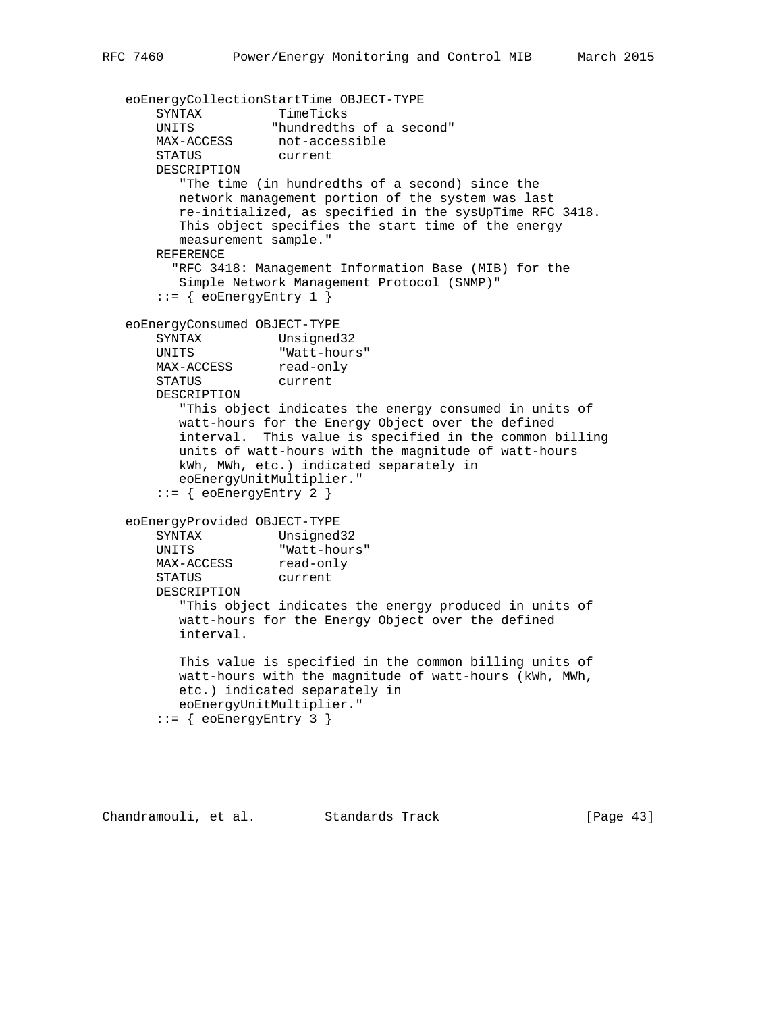```
 eoEnergyCollectionStartTime OBJECT-TYPE
SYNTAX TimeTicks
 UNITS "hundredths of a second"
 MAX-ACCESS not-accessible
 STATUS current
       DESCRIPTION
         "The time (in hundredths of a second) since the
         network management portion of the system was last
         re-initialized, as specified in the sysUpTime RFC 3418.
         This object specifies the start time of the energy
         measurement sample."
       REFERENCE
         "RFC 3418: Management Information Base (MIB) for the
         Simple Network Management Protocol (SNMP)"
      ::= { eoEnergyEntry 1 }
   eoEnergyConsumed OBJECT-TYPE
       SYNTAX Unsigned32
 UNITS "Watt-hours"
MAX-ACCESS read-only
 STATUS current
       DESCRIPTION
         "This object indicates the energy consumed in units of
         watt-hours for the Energy Object over the defined
         interval. This value is specified in the common billing
         units of watt-hours with the magnitude of watt-hours
         kWh, MWh, etc.) indicated separately in
         eoEnergyUnitMultiplier."
      ::= { eoEnergyEntry 2 }
   eoEnergyProvided OBJECT-TYPE
      SYNTAX Unsigned32
 UNITS "Watt-hours"
MAX-ACCESS read-only
 STATUS current
       DESCRIPTION
         "This object indicates the energy produced in units of
         watt-hours for the Energy Object over the defined
         interval.
         This value is specified in the common billing units of
         watt-hours with the magnitude of watt-hours (kWh, MWh,
         etc.) indicated separately in
         eoEnergyUnitMultiplier."
       ::= { eoEnergyEntry 3 }
```
Chandramouli, et al. Standards Track [Page 43]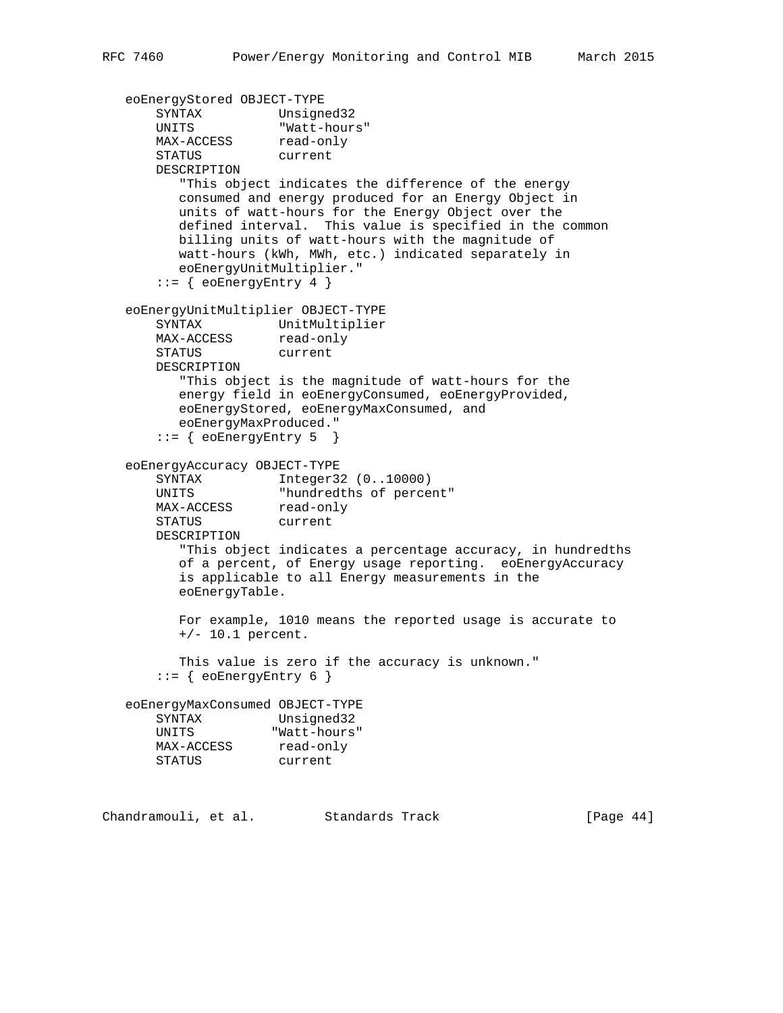```
 eoEnergyStored OBJECT-TYPE
 SYNTAX Unsigned32
 UNITS "Watt-hours"
MAX-ACCESS read-only
 STATUS current
       DESCRIPTION
          "This object indicates the difference of the energy
         consumed and energy produced for an Energy Object in
         units of watt-hours for the Energy Object over the
         defined interval. This value is specified in the common
         billing units of watt-hours with the magnitude of
         watt-hours (kWh, MWh, etc.) indicated separately in
         eoEnergyUnitMultiplier."
      ::= { eoEnergyEntry 4 }
   eoEnergyUnitMultiplier OBJECT-TYPE
       SYNTAX UnitMultiplier
MAX-ACCESS read-only
 STATUS current
       DESCRIPTION
         "This object is the magnitude of watt-hours for the
         energy field in eoEnergyConsumed, eoEnergyProvided,
         eoEnergyStored, eoEnergyMaxConsumed, and
         eoEnergyMaxProduced."
       ::= { eoEnergyEntry 5 }
   eoEnergyAccuracy OBJECT-TYPE
      SYNTAX Integer32 (0..10000)
       UNITS "hundredths of percent"
      UNITS "nundredti<br>MAX-ACCESS read-only
       STATUS current
       DESCRIPTION
          "This object indicates a percentage accuracy, in hundredths
         of a percent, of Energy usage reporting. eoEnergyAccuracy
         is applicable to all Energy measurements in the
         eoEnergyTable.
         For example, 1010 means the reported usage is accurate to
         +/- 10.1 percent.
         This value is zero if the accuracy is unknown."
      ::= { eoEnergyEntry 6 }
   eoEnergyMaxConsumed OBJECT-TYPE
       SYNTAX Unsigned32
 UNITS "Watt-hours"
MAX-ACCESS read-only
 STATUS current
```
Chandramouli, et al. Standards Track [Page 44]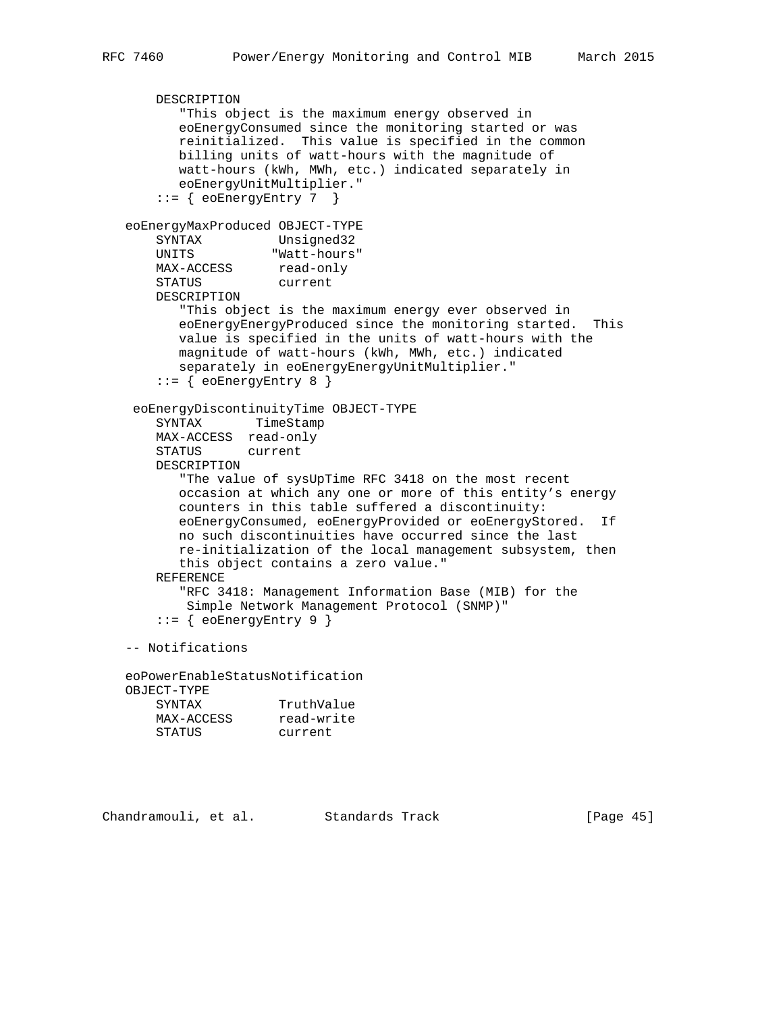```
 DESCRIPTION
          "This object is the maximum energy observed in
          eoEnergyConsumed since the monitoring started or was
          reinitialized. This value is specified in the common
          billing units of watt-hours with the magnitude of
          watt-hours (kWh, MWh, etc.) indicated separately in
          eoEnergyUnitMultiplier."
      ::= { eoEnergyEntry 7 }
   eoEnergyMaxProduced OBJECT-TYPE
 SYNTAX Unsigned32
 UNITS "Watt-hours"
MAX-ACCESS read-only
 STATUS current
       DESCRIPTION
          "This object is the maximum energy ever observed in
          eoEnergyEnergyProduced since the monitoring started. This
          value is specified in the units of watt-hours with the
          magnitude of watt-hours (kWh, MWh, etc.) indicated
          separately in eoEnergyEnergyUnitMultiplier."
       ::= { eoEnergyEntry 8 }
    eoEnergyDiscontinuityTime OBJECT-TYPE
       SYNTAX TimeStamp
       MAX-ACCESS read-only
       STATUS current
       DESCRIPTION
          "The value of sysUpTime RFC 3418 on the most recent
          occasion at which any one or more of this entity's energy
          counters in this table suffered a discontinuity:
          eoEnergyConsumed, eoEnergyProvided or eoEnergyStored. If
          no such discontinuities have occurred since the last
          re-initialization of the local management subsystem, then
          this object contains a zero value."
       REFERENCE
          "RFC 3418: Management Information Base (MIB) for the
           Simple Network Management Protocol (SNMP)"
      ::= { eoEnergyEntry 9 }
   -- Notifications
   eoPowerEnableStatusNotification
   OBJECT-TYPE
      SYNTAX TruthValue
```

| SINIAA     | Truchvaine |
|------------|------------|
| MAX-ACCESS | read-write |
| STATUS     | current    |
|            |            |

Chandramouli, et al. Standards Track [Page 45]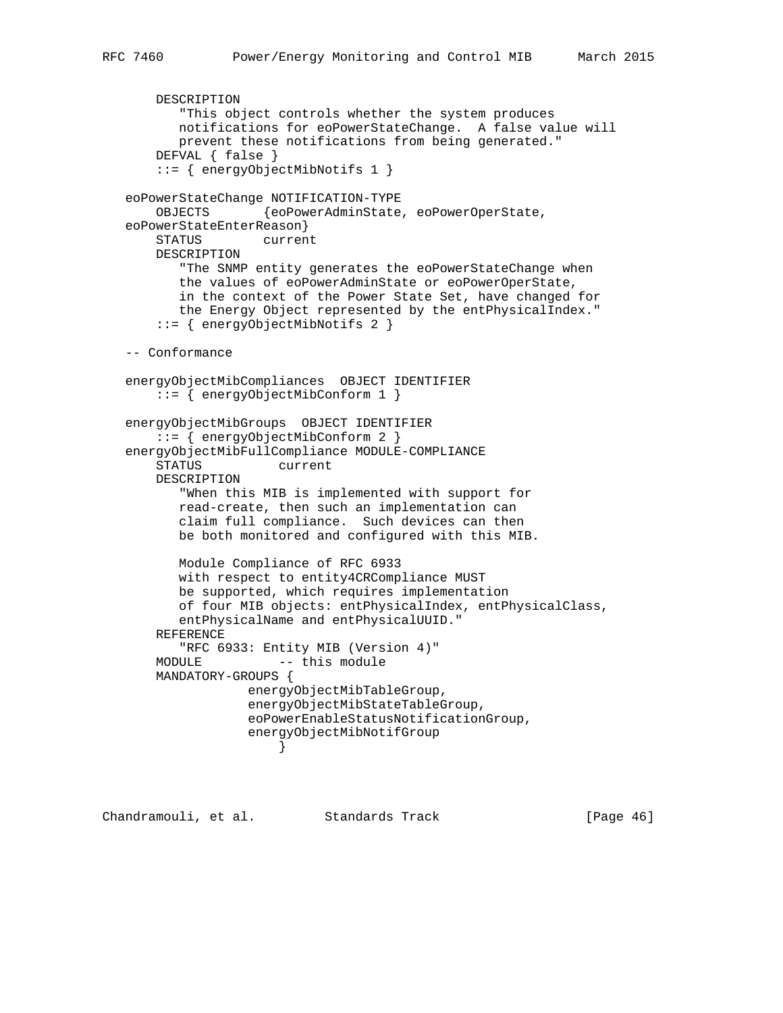```
 DESCRIPTION
          "This object controls whether the system produces
          notifications for eoPowerStateChange. A false value will
          prevent these notifications from being generated."
       DEFVAL { false }
       ::= { energyObjectMibNotifs 1 }
   eoPowerStateChange NOTIFICATION-TYPE
       OBJECTS {eoPowerAdminState, eoPowerOperState,
   eoPowerStateEnterReason}
       STATUS current
       DESCRIPTION
          "The SNMP entity generates the eoPowerStateChange when
          the values of eoPowerAdminState or eoPowerOperState,
          in the context of the Power State Set, have changed for
          the Energy Object represented by the entPhysicalIndex."
       ::= { energyObjectMibNotifs 2 }
   -- Conformance
   energyObjectMibCompliances OBJECT IDENTIFIER
       ::= { energyObjectMibConform 1 }
   energyObjectMibGroups OBJECT IDENTIFIER
       ::= { energyObjectMibConform 2 }
   energyObjectMibFullCompliance MODULE-COMPLIANCE
       STATUS current
       DESCRIPTION
          "When this MIB is implemented with support for
          read-create, then such an implementation can
          claim full compliance. Such devices can then
          be both monitored and configured with this MIB.
          Module Compliance of RFC 6933
          with respect to entity4CRCompliance MUST
          be supported, which requires implementation
          of four MIB objects: entPhysicalIndex, entPhysicalClass,
          entPhysicalName and entPhysicalUUID."
       REFERENCE
          "RFC 6933: Entity MIB (Version 4)"
      MODULE -- this module
       MANDATORY-GROUPS {
                   energyObjectMibTableGroup,
                   energyObjectMibStateTableGroup,
                   eoPowerEnableStatusNotificationGroup,
                   energyObjectMibNotifGroup
 }
```
Chandramouli, et al. Standards Track [Page 46]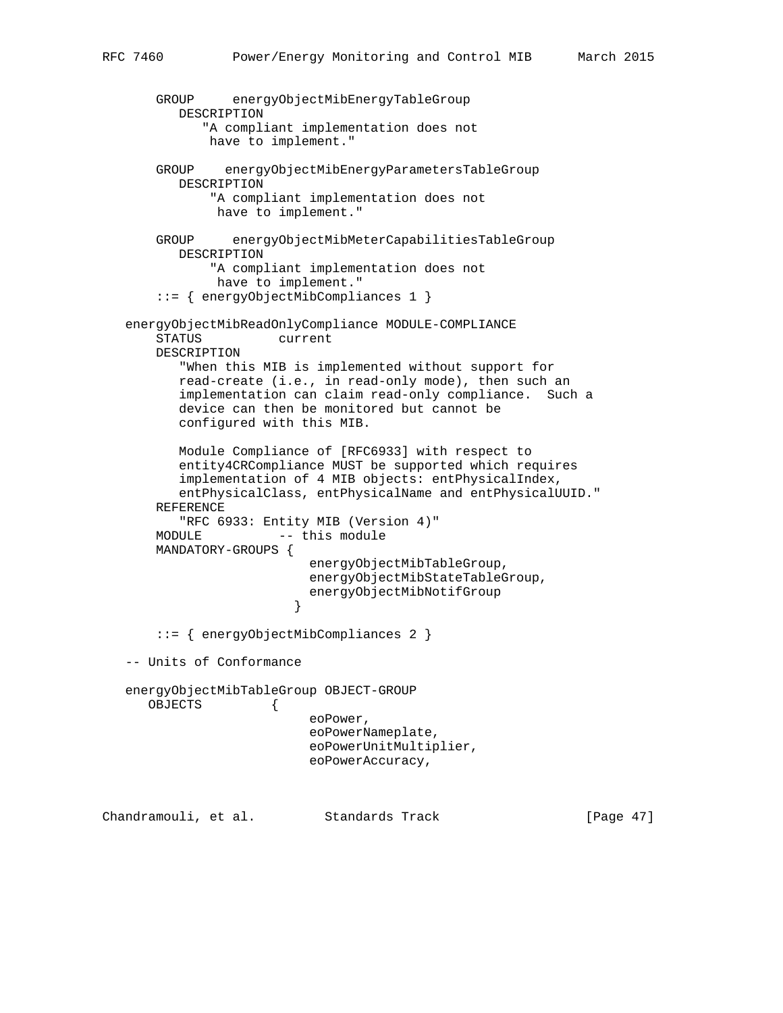```
 GROUP energyObjectMibEnergyTableGroup
          DESCRIPTION
             "A compliant implementation does not
              have to implement."
       GROUP energyObjectMibEnergyParametersTableGroup
          DESCRIPTION
              "A compliant implementation does not
               have to implement."
       GROUP energyObjectMibMeterCapabilitiesTableGroup
          DESCRIPTION
              "A compliant implementation does not
               have to implement."
        ::= { energyObjectMibCompliances 1 }
   energyObjectMibReadOnlyCompliance MODULE-COMPLIANCE
       STATUS current
       DESCRIPTION
          "When this MIB is implemented without support for
          read-create (i.e., in read-only mode), then such an
          implementation can claim read-only compliance. Such a
          device can then be monitored but cannot be
          configured with this MIB.
          Module Compliance of [RFC6933] with respect to
          entity4CRCompliance MUST be supported which requires
          implementation of 4 MIB objects: entPhysicalIndex,
          entPhysicalClass, entPhysicalName and entPhysicalUUID."
       REFERENCE
          "RFC 6933: Entity MIB (Version 4)"
      MODULE -- this module
       MANDATORY-GROUPS {
                           energyObjectMibTableGroup,
                           energyObjectMibStateTableGroup,
                        energyObjectMibNotifGroup<br>}
 }
        ::= { energyObjectMibCompliances 2 }
   -- Units of Conformance
   energyObjectMibTableGroup OBJECT-GROUP
      OBJECTS {
                           eoPower,
                           eoPowerNameplate,
                           eoPowerUnitMultiplier,
                           eoPowerAccuracy,
Chandramouli, et al. Standards Track [Page 47]
```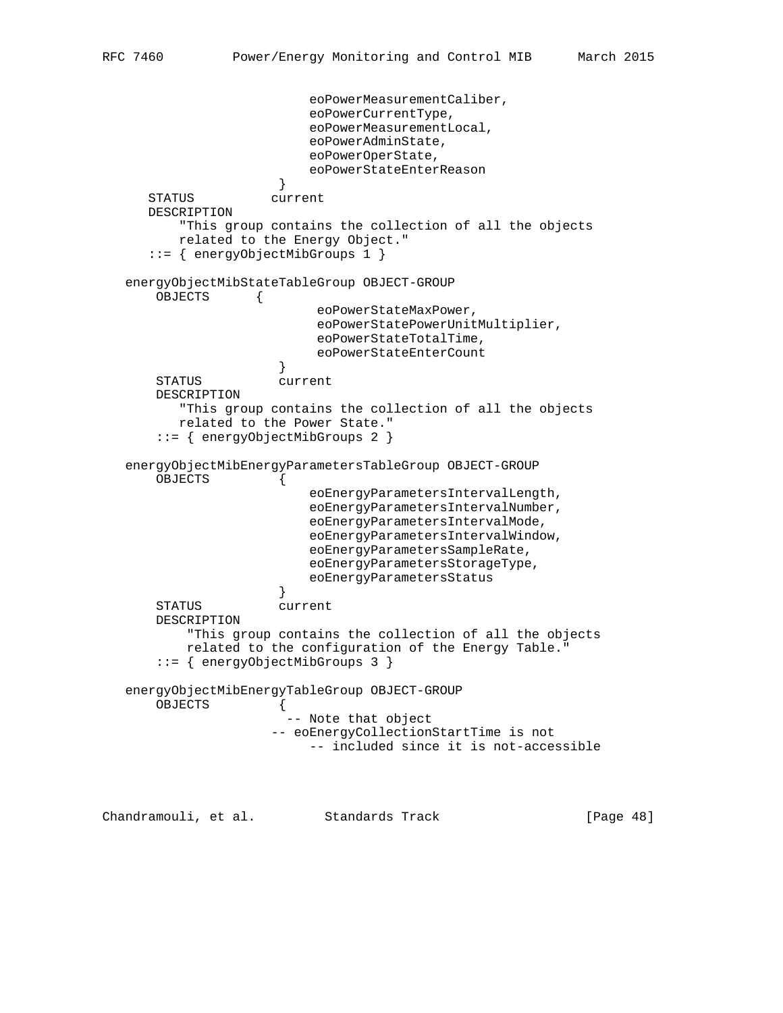```
 eoPowerMeasurementCaliber,
                          eoPowerCurrentType,
                          eoPowerMeasurementLocal,
                          eoPowerAdminState,
                          eoPowerOperState,
                          eoPowerStateEnterReason
 }
      STATUS current
      DESCRIPTION
          "This group contains the collection of all the objects
          related to the Energy Object."
      ::= { energyObjectMibGroups 1 }
   energyObjectMibStateTableGroup OBJECT-GROUP
       OBJECTS {
                           eoPowerStateMaxPower,
                           eoPowerStatePowerUnitMultiplier,
                           eoPowerStateTotalTime,
                           eoPowerStateEnterCount
 }
       STATUS current
       DESCRIPTION
          "This group contains the collection of all the objects
          related to the Power State."
       ::= { energyObjectMibGroups 2 }
   energyObjectMibEnergyParametersTableGroup OBJECT-GROUP
       OBJECTS {
                          eoEnergyParametersIntervalLength,
                          eoEnergyParametersIntervalNumber,
                          eoEnergyParametersIntervalMode,
                          eoEnergyParametersIntervalWindow,
                          eoEnergyParametersSampleRate,
                          eoEnergyParametersStorageType,
                     eoEnergyParametersStatus<br>}
 }
       STATUS current
       DESCRIPTION
           "This group contains the collection of all the objects
           related to the configuration of the Energy Table."
       ::= { energyObjectMibGroups 3 }
   energyObjectMibEnergyTableGroup OBJECT-GROUP
       OBJECTS {
                       -- Note that object
                      -- eoEnergyCollectionStartTime is not
                          -- included since it is not-accessible
```
Chandramouli, et al. Standards Track [Page 48]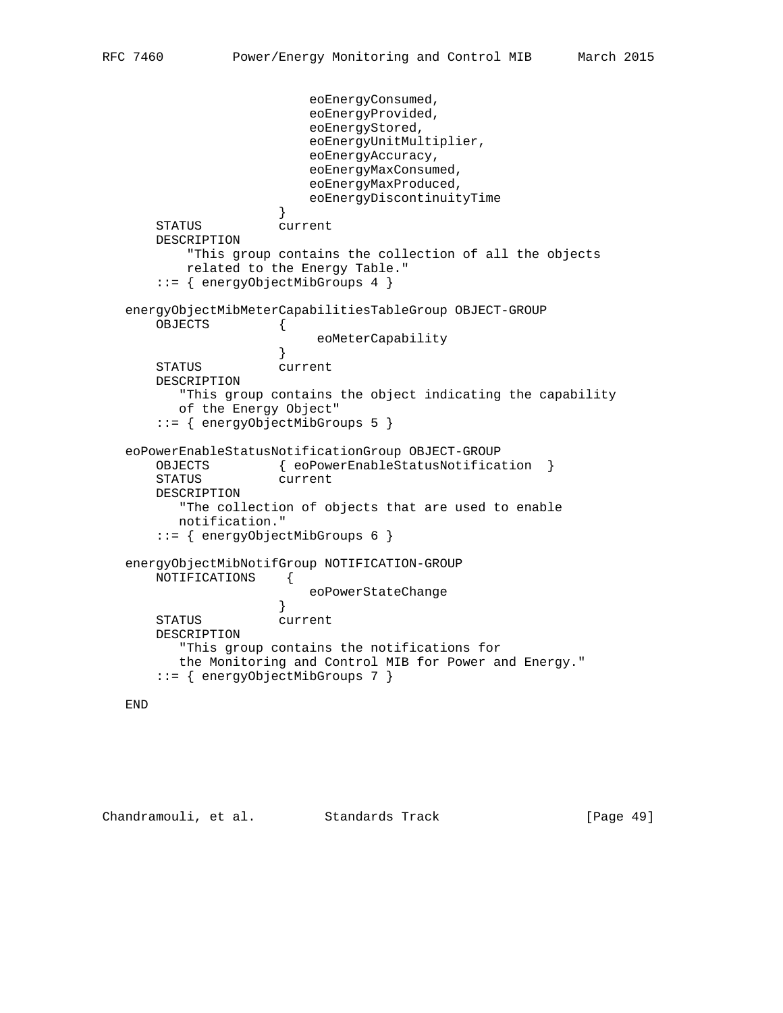```
 eoEnergyConsumed,
                          eoEnergyProvided,
                          eoEnergyStored,
                          eoEnergyUnitMultiplier,
                          eoEnergyAccuracy,
                          eoEnergyMaxConsumed,
                          eoEnergyMaxProduced,
                     eoEnergyDiscontinuityTime<br>}
 }
       STATUS current
       DESCRIPTION
           "This group contains the collection of all the objects
          related to the Energy Table."
       ::= { energyObjectMibGroups 4 }
   energyObjectMibMeterCapabilitiesTableGroup OBJECT-GROUP
       OBJECTS {
                     eoMeterCapability<br>}
 }
       STATUS current
       DESCRIPTION
          "This group contains the object indicating the capability
         of the Energy Object"
       ::= { energyObjectMibGroups 5 }
   eoPowerEnableStatusNotificationGroup OBJECT-GROUP
       OBJECTS { eoPowerEnableStatusNotification }
       STATUS current
       DESCRIPTION
          "The collection of objects that are used to enable
         notification."
       ::= { energyObjectMibGroups 6 }
   energyObjectMibNotifGroup NOTIFICATION-GROUP
       NOTIFICATIONS {
                     eoPowerStateChange<br>}
 }
       STATUS current
       DESCRIPTION
          "This group contains the notifications for
         the Monitoring and Control MIB for Power and Energy."
       ::= { energyObjectMibGroups 7 }
```

```
 END
```
Chandramouli, et al. Standards Track [Page 49]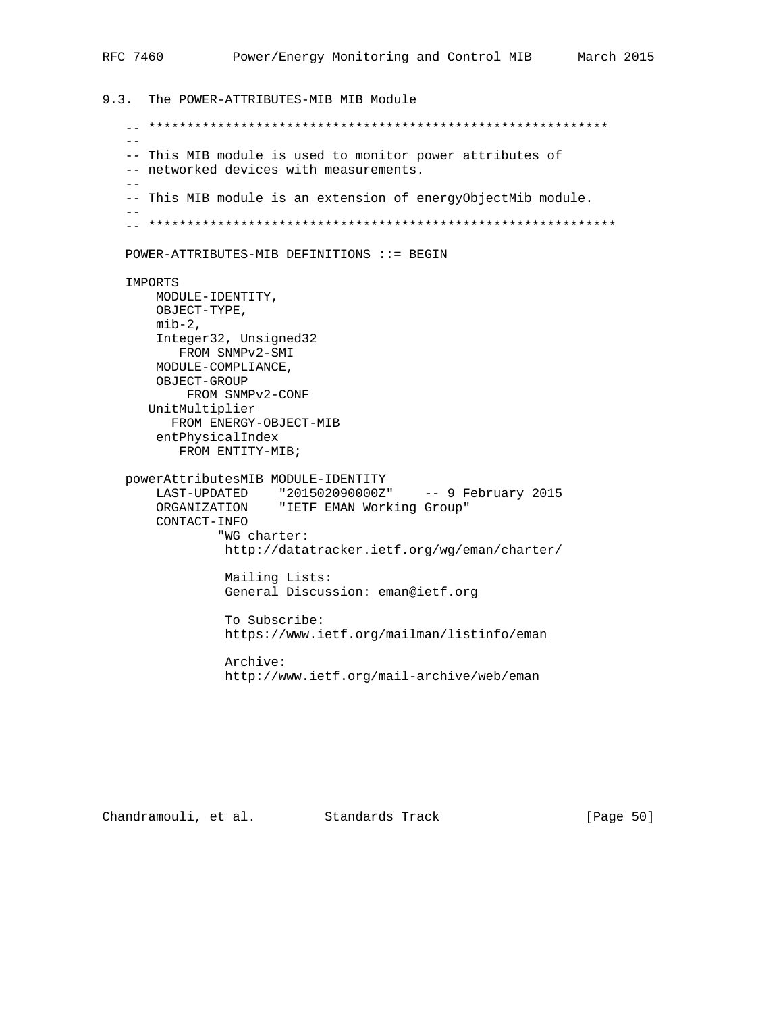9.3. The POWER-ATTRIBUTES-MIB MIB Module -- \*\*\*\*\*\*\*\*\*\*\*\*\*\*\*\*\*\*\*\*\*\*\*\*\*\*\*\*\*\*\*\*\*\*\*\*\*\*\*\*\*\*\*\*\*\*\*\*\*\*\*\*\*\*\*\*\*\*\*\*  $-$  -- This MIB module is used to monitor power attributes of -- networked devices with measurements.  $-$  -- This MIB module is an extension of energyObjectMib module.  $-$  -- \*\*\*\*\*\*\*\*\*\*\*\*\*\*\*\*\*\*\*\*\*\*\*\*\*\*\*\*\*\*\*\*\*\*\*\*\*\*\*\*\*\*\*\*\*\*\*\*\*\*\*\*\*\*\*\*\*\*\*\*\* POWER-ATTRIBUTES-MIB DEFINITIONS ::= BEGIN IMPORTS MODULE-IDENTITY, OBJECT-TYPE,  $min-2$ , Integer32, Unsigned32 FROM SNMPv2-SMI MODULE-COMPLIANCE, OBJECT-GROUP FROM SNMPv2-CONF UnitMultiplier FROM ENERGY-OBJECT-MIB entPhysicalIndex FROM ENTITY-MIB; powerAttributesMIB MODULE-IDENTITY LAST-UPDATED "201502090000Z" -- 9 February 2015 ORGANIZATION "IETF EMAN Working Group" CONTACT-INFO "WG charter: http://datatracker.ietf.org/wg/eman/charter/ Mailing Lists: General Discussion: eman@ietf.org To Subscribe: https://www.ietf.org/mailman/listinfo/eman Archive: http://www.ietf.org/mail-archive/web/eman

Chandramouli, et al. Standards Track [Page 50]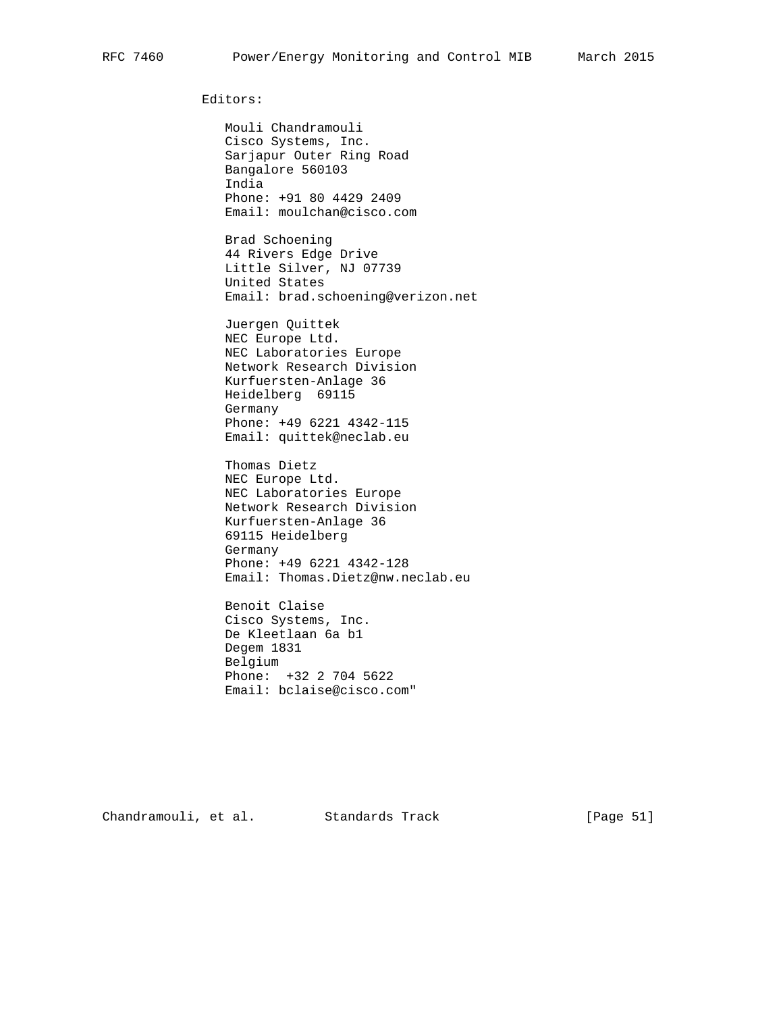Editors:

 Mouli Chandramouli Cisco Systems, Inc. Sarjapur Outer Ring Road Bangalore 560103 India Phone: +91 80 4429 2409 Email: moulchan@cisco.com

 Brad Schoening 44 Rivers Edge Drive Little Silver, NJ 07739 United States Email: brad.schoening@verizon.net

 Juergen Quittek NEC Europe Ltd. NEC Laboratories Europe Network Research Division Kurfuersten-Anlage 36 Heidelberg 69115 Germany Phone: +49 6221 4342-115 Email: quittek@neclab.eu

 Thomas Dietz NEC Europe Ltd. NEC Laboratories Europe Network Research Division Kurfuersten-Anlage 36 69115 Heidelberg Germany Phone: +49 6221 4342-128 Email: Thomas.Dietz@nw.neclab.eu

 Benoit Claise Cisco Systems, Inc. De Kleetlaan 6a b1 Degem 1831 Belgium Phone: +32 2 704 5622 Email: bclaise@cisco.com"

Chandramouli, et al. Standards Track [Page 51]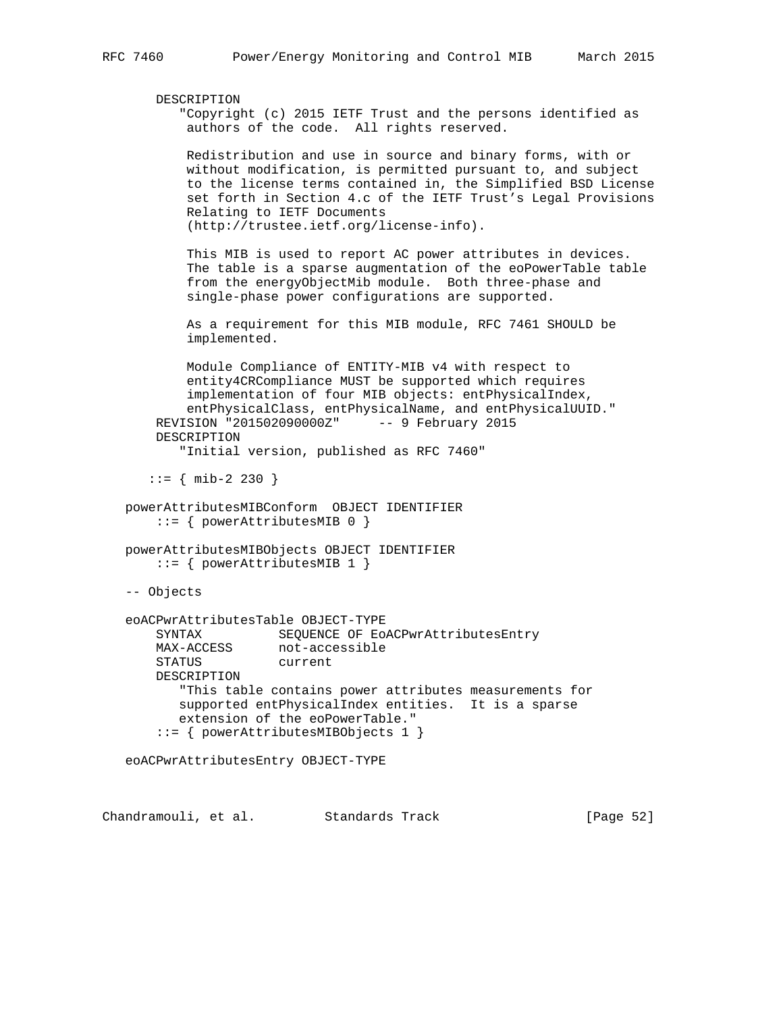```
 DESCRIPTION
        "Copyright (c) 2015 IETF Trust and the persons identified as
         authors of the code. All rights reserved.
         Redistribution and use in source and binary forms, with or
         without modification, is permitted pursuant to, and subject
         to the license terms contained in, the Simplified BSD License
         set forth in Section 4.c of the IETF Trust's Legal Provisions
         Relating to IETF Documents
         (http://trustee.ietf.org/license-info).
         This MIB is used to report AC power attributes in devices.
         The table is a sparse augmentation of the eoPowerTable table
         from the energyObjectMib module. Both three-phase and
         single-phase power configurations are supported.
         As a requirement for this MIB module, RFC 7461 SHOULD be
         implemented.
         Module Compliance of ENTITY-MIB v4 with respect to
         entity4CRCompliance MUST be supported which requires
         implementation of four MIB objects: entPhysicalIndex,
         entPhysicalClass, entPhysicalName, and entPhysicalUUID."
     REVISION "201502090000Z" -- 9 February 2015
     DESCRIPTION
        "Initial version, published as RFC 7460"
   ::= { mib-2 230 }
 powerAttributesMIBConform OBJECT IDENTIFIER
    ::= { powerAttributesMIB 0 }
 powerAttributesMIBObjects OBJECT IDENTIFIER
     ::= { powerAttributesMIB 1 }
 -- Objects
 eoACPwrAttributesTable OBJECT-TYPE
    SYNTAX SEQUENCE OF EOACPwrAttributesEntry<br>MAX-ACCESS not-accessible
                   not-accessible
     STATUS current
     DESCRIPTION
        "This table contains power attributes measurements for
        supported entPhysicalIndex entities. It is a sparse
        extension of the eoPowerTable."
     ::= { powerAttributesMIBObjects 1 }
 eoACPwrAttributesEntry OBJECT-TYPE
```
Chandramouli, et al. Standards Track [Page 52]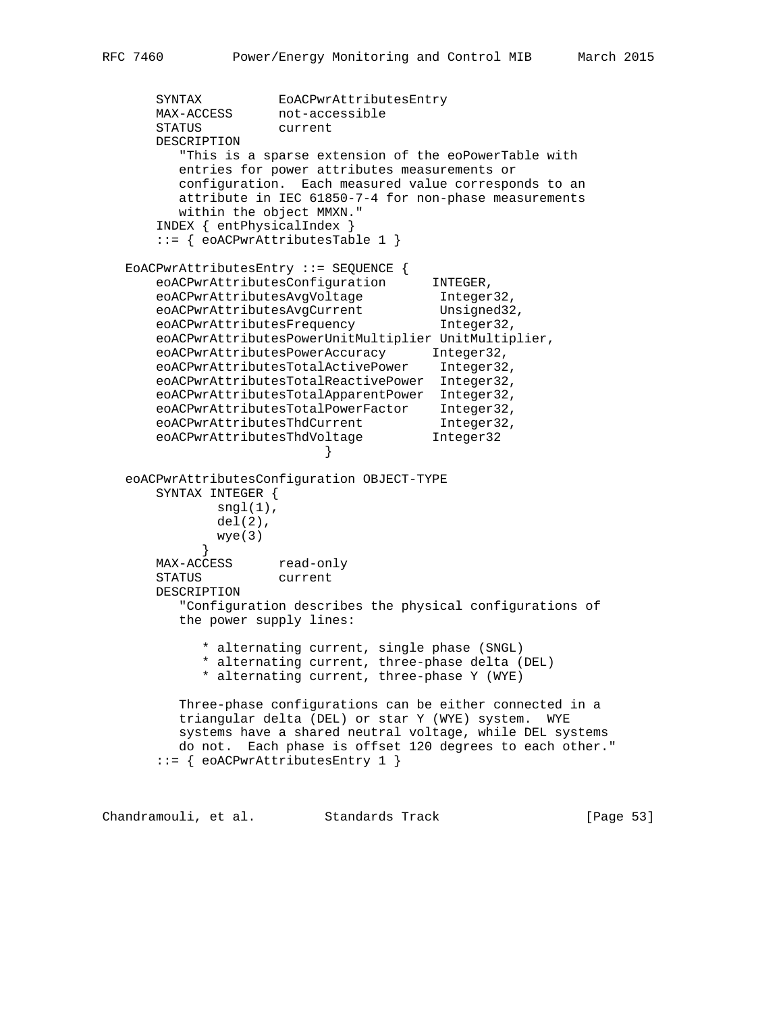```
 SYNTAX EoACPwrAttributesEntry
 MAX-ACCESS not-accessible
 STATUS current
       DESCRIPTION
          "This is a sparse extension of the eoPowerTable with
          entries for power attributes measurements or
         configuration. Each measured value corresponds to an
         attribute in IEC 61850-7-4 for non-phase measurements
          within the object MMXN."
       INDEX { entPhysicalIndex }
       ::= { eoACPwrAttributesTable 1 }
   EoACPwrAttributesEntry ::= SEQUENCE {
      eoACPwrAttributesConfiguration INTEGER,<br>eoACPurAttributesAveVeltese Integer
eoACPwrAttributesAvgVoltage 1nteger32,
eoACPwrAttributesAvgCurrent Unsigned32,
eoACPwrAttributesFrequency 1nteger32,
       eoACPwrAttributesPowerUnitMultiplier UnitMultiplier,
       eoACPwrAttributesPowerAccuracy Integer32,
       eoACPwrAttributesTotalActivePower Integer32,
       eoACPwrAttributesTotalReactivePower Integer32,
       eoACPwrAttributesTotalApparentPower Integer32,
 eoACPwrAttributesTotalPowerFactor Integer32,
eoACPwrAttributesThdCurrent 1nteger32,
eoACPwrAttributesThdVoltage 1nteger32
 }
   eoACPwrAttributesConfiguration OBJECT-TYPE
       SYNTAX INTEGER {
              sngl(1),
             del(2),
              wye(3)
 }
      MAX-ACCESS read-only
       STATUS current
       DESCRIPTION
          "Configuration describes the physical configurations of
          the power supply lines:
             * alternating current, single phase (SNGL)
             * alternating current, three-phase delta (DEL)
            * alternating current, three-phase Y (WYE)
          Three-phase configurations can be either connected in a
          triangular delta (DEL) or star Y (WYE) system. WYE
         systems have a shared neutral voltage, while DEL systems
         do not. Each phase is offset 120 degrees to each other."
       ::= { eoACPwrAttributesEntry 1 }
```
Chandramouli, et al. Standards Track [Page 53]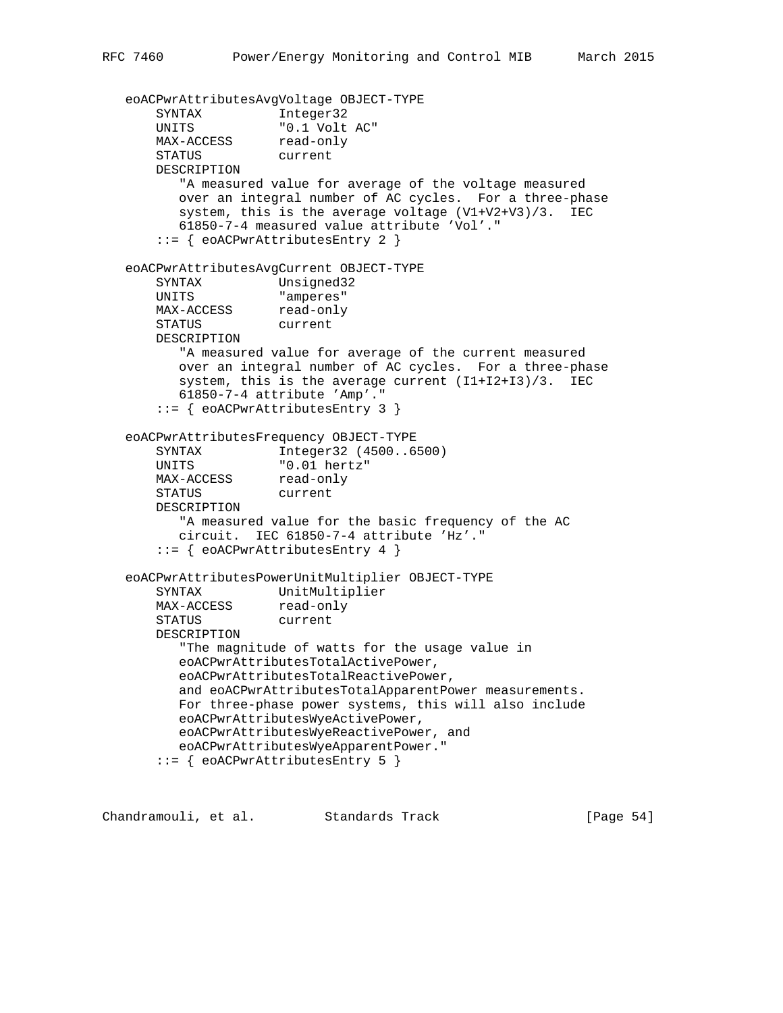eoACPwrAttributesAvgVoltage OBJECT-TYPE SYNTAX Integer32 UNITS "0.1 Volt AC" MAX-ACCESS read-only STATUS current DESCRIPTION "A measured value for average of the voltage measured over an integral number of AC cycles. For a three-phase system, this is the average voltage (V1+V2+V3)/3. IEC 61850-7-4 measured value attribute 'Vol'." ::= { eoACPwrAttributesEntry 2 } eoACPwrAttributesAvgCurrent OBJECT-TYPE SYNTAX Unsigned32 UNITS "amperes" MAX-ACCESS read-only STATUS current DESCRIPTION "A measured value for average of the current measured over an integral number of AC cycles. For a three-phase system, this is the average current  $(11+12+13)/3$ . IEC 61850-7-4 attribute 'Amp'." ::= { eoACPwrAttributesEntry 3 } eoACPwrAttributesFrequency OBJECT-TYPE SYNTAX Integer32 (4500..6500) UNITS "0.01 hertz" MAX-ACCESS read-only STATUS current DESCRIPTION "A measured value for the basic frequency of the AC circuit. IEC 61850-7-4 attribute 'Hz'." ::= { eoACPwrAttributesEntry 4 } eoACPwrAttributesPowerUnitMultiplier OBJECT-TYPE SYNTAX UnitMultiplier MAX-ACCESS read-only STATUS current DESCRIPTION "The magnitude of watts for the usage value in eoACPwrAttributesTotalActivePower, eoACPwrAttributesTotalReactivePower, and eoACPwrAttributesTotalApparentPower measurements. For three-phase power systems, this will also include eoACPwrAttributesWyeActivePower, eoACPwrAttributesWyeReactivePower, and eoACPwrAttributesWyeApparentPower." ::= { eoACPwrAttributesEntry 5 }

Chandramouli, et al. Standards Track [Page 54]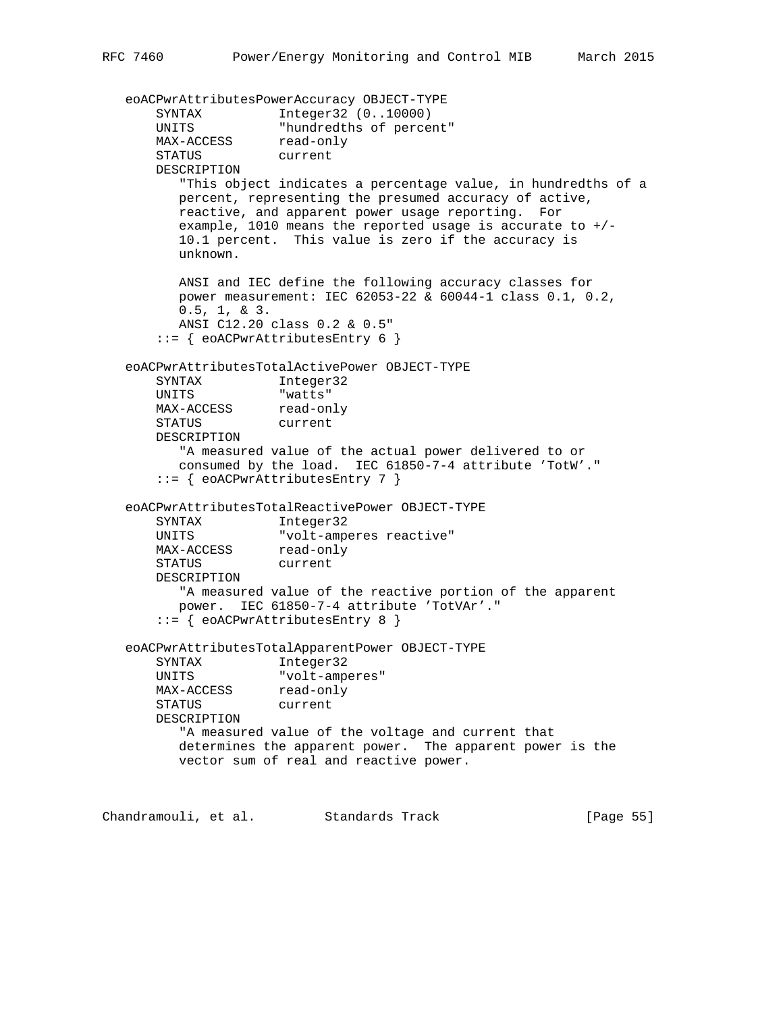eoACPwrAttributesPowerAccuracy OBJECT-TYPE SYNTAX Integer32 (0..10000) UNITS "hundredths of percent" MAX-ACCESS read-only STATUS current DESCRIPTION "This object indicates a percentage value, in hundredths of a percent, representing the presumed accuracy of active, reactive, and apparent power usage reporting. For example, 1010 means the reported usage is accurate to  $+/-$  10.1 percent. This value is zero if the accuracy is unknown. ANSI and IEC define the following accuracy classes for power measurement: IEC 62053-22 & 60044-1 class 0.1, 0.2, 0.5, 1, & 3. ANSI C12.20 class 0.2 & 0.5" ::= { eoACPwrAttributesEntry 6 } eoACPwrAttributesTotalActivePower OBJECT-TYPE SYNTAX Integer32 UNITS "watts" MAX-ACCESS read-only STATUS current DESCRIPTION "A measured value of the actual power delivered to or consumed by the load. IEC 61850-7-4 attribute 'TotW'." ::= { eoACPwrAttributesEntry 7 } eoACPwrAttributesTotalReactivePower OBJECT-TYPE SYNTAX Integer32 UNITS "volt-amperes reactive" MAX-ACCESS read-only STATUS current DESCRIPTION "A measured value of the reactive portion of the apparent power. IEC 61850-7-4 attribute 'TotVAr'." ::= { eoACPwrAttributesEntry 8 } eoACPwrAttributesTotalApparentPower OBJECT-TYPE SYNTAX Integer32 UNITS "volt-amperes" MAX-ACCESS read-only STATUS current DESCRIPTION "A measured value of the voltage and current that determines the apparent power. The apparent power is the vector sum of real and reactive power.

Chandramouli, et al. Standards Track [Page 55]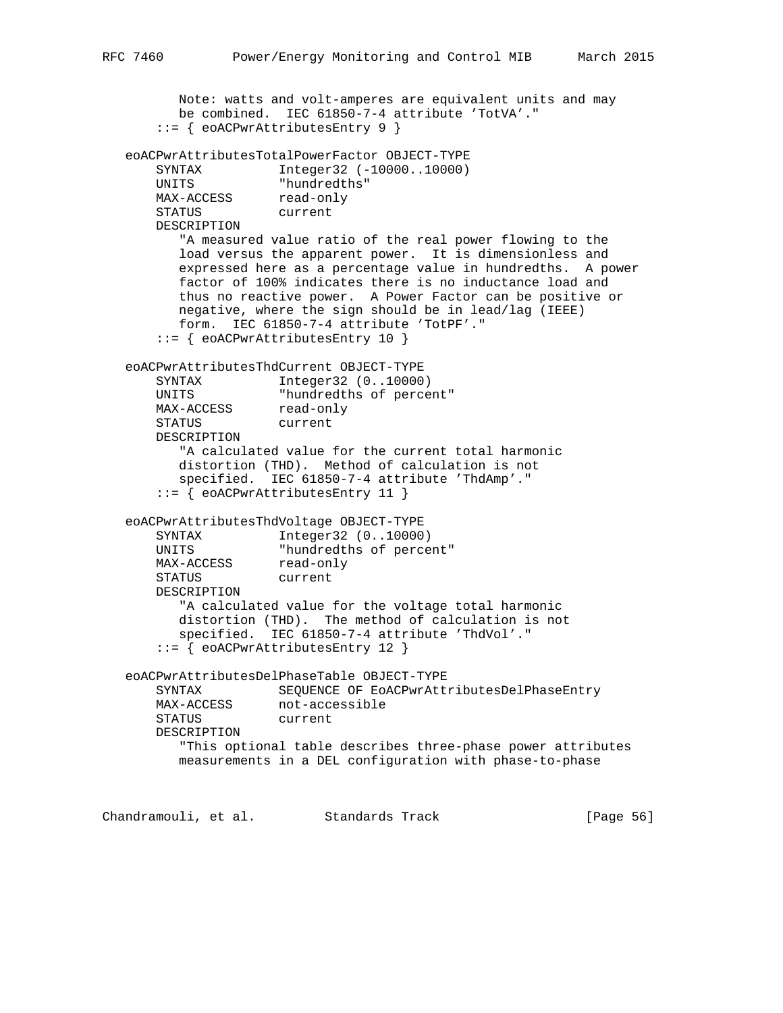```
 Note: watts and volt-amperes are equivalent units and may
         be combined. IEC 61850-7-4 attribute 'TotVA'."
       ::= { eoACPwrAttributesEntry 9 }
   eoACPwrAttributesTotalPowerFactor OBJECT-TYPE
      SYNTAX Integer32 (-10000..10000)<br>UNITS "hundredths"
 UNITS "hundredths"
MAX-ACCESS read-only
 STATUS current
       DESCRIPTION
          "A measured value ratio of the real power flowing to the
          load versus the apparent power. It is dimensionless and
          expressed here as a percentage value in hundredths. A power
          factor of 100% indicates there is no inductance load and
          thus no reactive power. A Power Factor can be positive or
         negative, where the sign should be in lead/lag (IEEE)
         form. IEC 61850-7-4 attribute 'TotPF'."
       ::= { eoACPwrAttributesEntry 10 }
   eoACPwrAttributesThdCurrent OBJECT-TYPE
       SYNTAX Integer32 (0..10000)
 UNITS "hundredths of percent"
MAX-ACCESS read-only
 STATUS current
       DESCRIPTION
          "A calculated value for the current total harmonic
          distortion (THD). Method of calculation is not
          specified. IEC 61850-7-4 attribute 'ThdAmp'."
       ::= { eoACPwrAttributesEntry 11 }
   eoACPwrAttributesThdVoltage OBJECT-TYPE
       SYNTAX Integer32 (0..10000)
       UNITS "hundredths of percent"
MAX-ACCESS read-only
 STATUS current
       DESCRIPTION
         "A calculated value for the voltage total harmonic
          distortion (THD). The method of calculation is not
          specified. IEC 61850-7-4 attribute 'ThdVol'."
       ::= { eoACPwrAttributesEntry 12 }
   eoACPwrAttributesDelPhaseTable OBJECT-TYPE
       SYNTAX SEQUENCE OF EoACPwrAttributesDelPhaseEntry
      MAX-ACCESS not-accessible
       STATUS current
       DESCRIPTION
          "This optional table describes three-phase power attributes
          measurements in a DEL configuration with phase-to-phase
Chandramouli, et al. Standards Track [Page 56]
```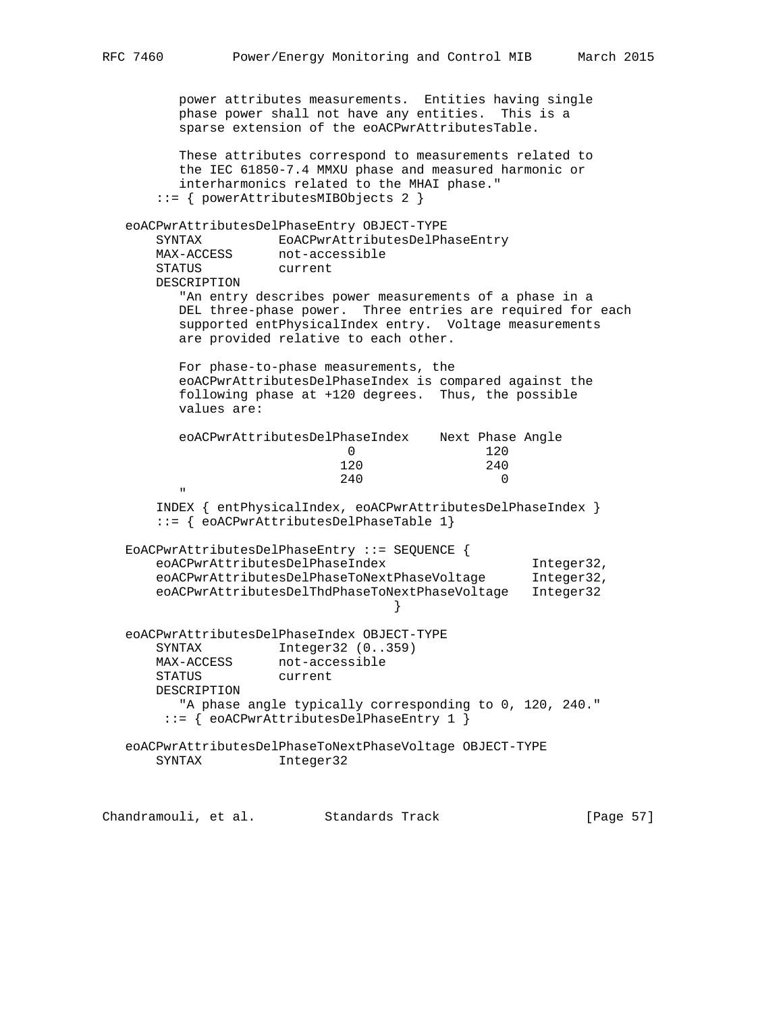power attributes measurements. Entities having single phase power shall not have any entities. This is a sparse extension of the eoACPwrAttributesTable. These attributes correspond to measurements related to the IEC 61850-7.4 MMXU phase and measured harmonic or interharmonics related to the MHAI phase." ::= { powerAttributesMIBObjects 2 } eoACPwrAttributesDelPhaseEntry OBJECT-TYPE SYNTAX EOACPwrAttributesDelPhaseEntry<br>MAX-ACCESS not-accessible MAX-ACCESS not-accessible STATUS current DESCRIPTION "An entry describes power measurements of a phase in a DEL three-phase power. Three entries are required for each supported entPhysicalIndex entry. Voltage measurements are provided relative to each other. For phase-to-phase measurements, the eoACPwrAttributesDelPhaseIndex is compared against the following phase at +120 degrees. Thus, the possible values are: eoACPwrAttributesDelPhaseIndex Next Phase Angle 0 120 120 240 240 0 " "The Contract of the Contract of the Contract of the Contract of the Contract of the Contract of the Contract of the Contract of the Contract of the Contract of the Contract of the Contract of the Contract of the Contrac INDEX { entPhysicalIndex, eoACPwrAttributesDelPhaseIndex } ::= { eoACPwrAttributesDelPhaseTable 1} EoACPwrAttributesDelPhaseEntry ::= SEQUENCE { eoACPwrAttributesDelPhaseIndex Integer32, eoACPwrAttributesDelPhaseToNextPhaseVoltage Integer32, eoACPwrAttributesDelThdPhaseToNextPhaseVoltage Integer32 } eoACPwrAttributesDelPhaseIndex OBJECT-TYPE SYNTAX Integer32 (0..359) MAX-ACCESS not-accessible STATUS current DESCRIPTION "A phase angle typically corresponding to 0, 120, 240." ::= { eoACPwrAttributesDelPhaseEntry 1 } eoACPwrAttributesDelPhaseToNextPhaseVoltage OBJECT-TYPE SYNTAX Integer32

Chandramouli, et al. Standards Track [Page 57]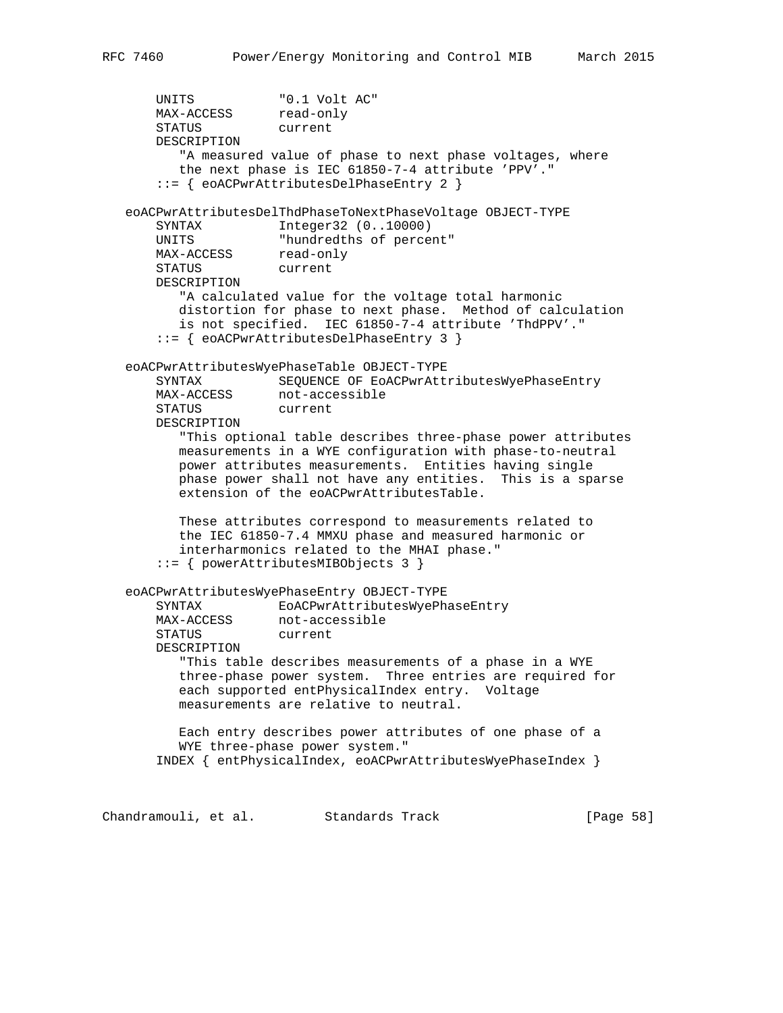UNITS "0.1 Volt AC" MAX-ACCESS read-only STATUS current DESCRIPTION "A measured value of phase to next phase voltages, where the next phase is IEC 61850-7-4 attribute 'PPV'." ::= { eoACPwrAttributesDelPhaseEntry 2 } eoACPwrAttributesDelThdPhaseToNextPhaseVoltage OBJECT-TYPE SYNTAX Integer32 (0..10000) UNITS "hundredths of percent" MAX-ACCESS read-only STATUS current DESCRIPTION "A calculated value for the voltage total harmonic distortion for phase to next phase. Method of calculation is not specified. IEC 61850-7-4 attribute 'ThdPPV'." ::= { eoACPwrAttributesDelPhaseEntry 3 } eoACPwrAttributesWyePhaseTable OBJECT-TYPE SYNTAX SEQUENCE OF EoACPwrAttributesWyePhaseEntry MAX-ACCESS not-accessible STATUS current DESCRIPTION "This optional table describes three-phase power attributes measurements in a WYE configuration with phase-to-neutral power attributes measurements. Entities having single phase power shall not have any entities. This is a sparse extension of the eoACPwrAttributesTable. These attributes correspond to measurements related to the IEC 61850-7.4 MMXU phase and measured harmonic or interharmonics related to the MHAI phase." ::= { powerAttributesMIBObjects 3 } eoACPwrAttributesWyePhaseEntry OBJECT-TYPE SYNTAX EoACPwrAttributesWyePhaseEntry MAX-ACCESS not-accessible STATUS current DESCRIPTION "This table describes measurements of a phase in a WYE three-phase power system. Three entries are required for each supported entPhysicalIndex entry. Voltage measurements are relative to neutral. Each entry describes power attributes of one phase of a WYE three-phase power system." INDEX { entPhysicalIndex, eoACPwrAttributesWyePhaseIndex }

Chandramouli, et al. Standards Track [Page 58]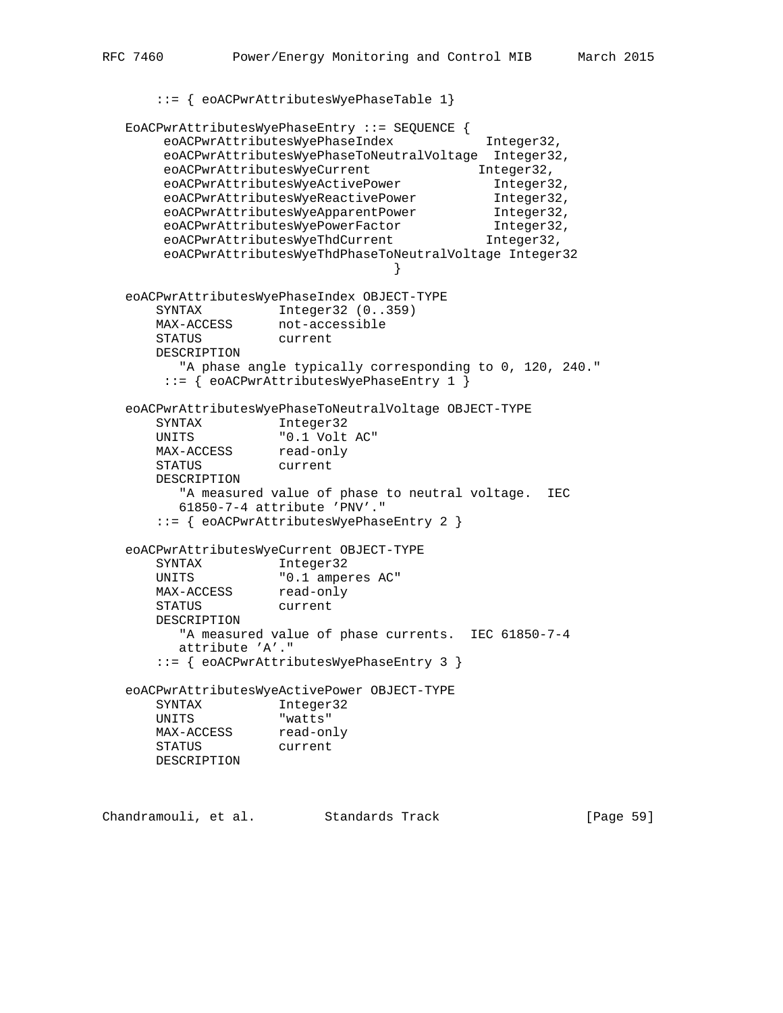```
 ::= { eoACPwrAttributesWyePhaseTable 1}
    EoACPwrAttributesWyePhaseEntry ::= SEQUENCE {
        eoACPwrAttributesWyePhaseIndex Integer32,
         eoACPwrAttributesWyePhaseToNeutralVoltage Integer32,
eoACPwrAttributesWyeCurrent 1nteger32,
eoACPwrAttributesWyeActivePower 1nteger32,
         eoACPwrAttributesWyeReactivePower Integer32,
         eoACPwrAttributesWyeApparentPower Integer32,
 eoACPwrAttributesWyePowerFactor Integer32,
eoACPwrAttributesWyeThdCurrent 1nteger32,
         eoACPwrAttributesWyeThdPhaseToNeutralVoltage Integer32
 }
    eoACPwrAttributesWyePhaseIndex OBJECT-TYPE
       SYNTAX Integer32 (0..359)
       MAX-ACCESS not-accessible
        STATUS current
        DESCRIPTION
          "A phase angle typically corresponding to 0, 120, 240."
         ::= { eoACPwrAttributesWyePhaseEntry 1 }
    eoACPwrAttributesWyePhaseToNeutralVoltage OBJECT-TYPE
 SYNTAX Integer32
 UNITS "0.1 Volt AC"
      MAX-ACCESS read-only
        STATUS current
        DESCRIPTION
           "A measured value of phase to neutral voltage. IEC
           61850-7-4 attribute 'PNV'."
        ::= { eoACPwrAttributesWyePhaseEntry 2 }
    eoACPwrAttributesWyeCurrent OBJECT-TYPE
        SYNTAX Integer32
UNITS \blacksquare \blacksquare \blacksquare \blacksquare \blacksquare \blacksquare \blacksquare \blacksquare \blacksquare \blacksquare \blacksquare \blacksquare \blacksquare \blacksquare \blacksquare \blacksquare \blacksquare \blacksquare \blacksquare \blacksquare \blacksquare \blacksquare \blacksquare \blacksquare \blacksquare \blacksquare \blacksquare \blacksquare \blacksquare \blacksquare \blacksquareMAX-ACCESS read-only
 STATUS current
        DESCRIPTION
           "A measured value of phase currents. IEC 61850-7-4
           attribute 'A'."
        ::= { eoACPwrAttributesWyePhaseEntry 3 }
    eoACPwrAttributesWyeActivePower OBJECT-TYPE
       SYNTAX Integer32
        UNITS "watts"
MAX-ACCESS read-only
 STATUS current
        DESCRIPTION
```
Chandramouli, et al. Standards Track [Page 59]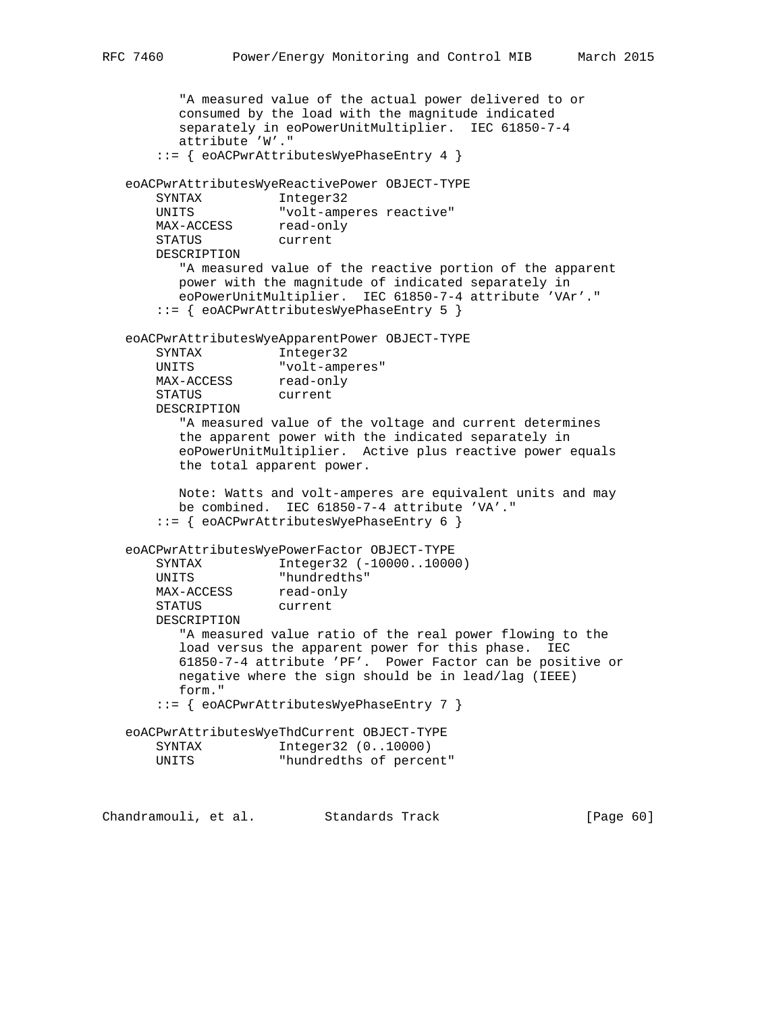```
 "A measured value of the actual power delivered to or
          consumed by the load with the magnitude indicated
          separately in eoPowerUnitMultiplier. IEC 61850-7-4
          attribute 'W'."
       ::= { eoACPwrAttributesWyePhaseEntry 4 }
   eoACPwrAttributesWyeReactivePower OBJECT-TYPE
      SYNTAX Integer32
 UNITS "volt-amperes reactive"
MAX-ACCESS read-only
 STATUS current
       DESCRIPTION
         "A measured value of the reactive portion of the apparent
          power with the magnitude of indicated separately in
          eoPowerUnitMultiplier. IEC 61850-7-4 attribute 'VAr'."
       ::= { eoACPwrAttributesWyePhaseEntry 5 }
   eoACPwrAttributesWyeApparentPower OBJECT-TYPE
       SYNTAX Integer32
       UNITS "volt-amperes"
MAX-ACCESS read-only
 STATUS current
       DESCRIPTION
          "A measured value of the voltage and current determines
          the apparent power with the indicated separately in
          eoPowerUnitMultiplier. Active plus reactive power equals
          the total apparent power.
          Note: Watts and volt-amperes are equivalent units and may
          be combined. IEC 61850-7-4 attribute 'VA'."
       ::= { eoACPwrAttributesWyePhaseEntry 6 }
   eoACPwrAttributesWyePowerFactor OBJECT-TYPE
      SYNTAX Integer32 (-10000..10000)
 UNITS "hundredths"
MAX-ACCESS read-only
 STATUS current
       DESCRIPTION
          "A measured value ratio of the real power flowing to the
          load versus the apparent power for this phase. IEC
          61850-7-4 attribute 'PF'. Power Factor can be positive or
         negative where the sign should be in lead/lag (IEEE)
          form."
       ::= { eoACPwrAttributesWyePhaseEntry 7 }
   eoACPwrAttributesWyeThdCurrent OBJECT-TYPE
      SYNTAX Integer32 (0..10000)<br>UNITS "hundredths of perce
                    "hundredths of percent"
```
Chandramouli, et al. Standards Track [Page 60]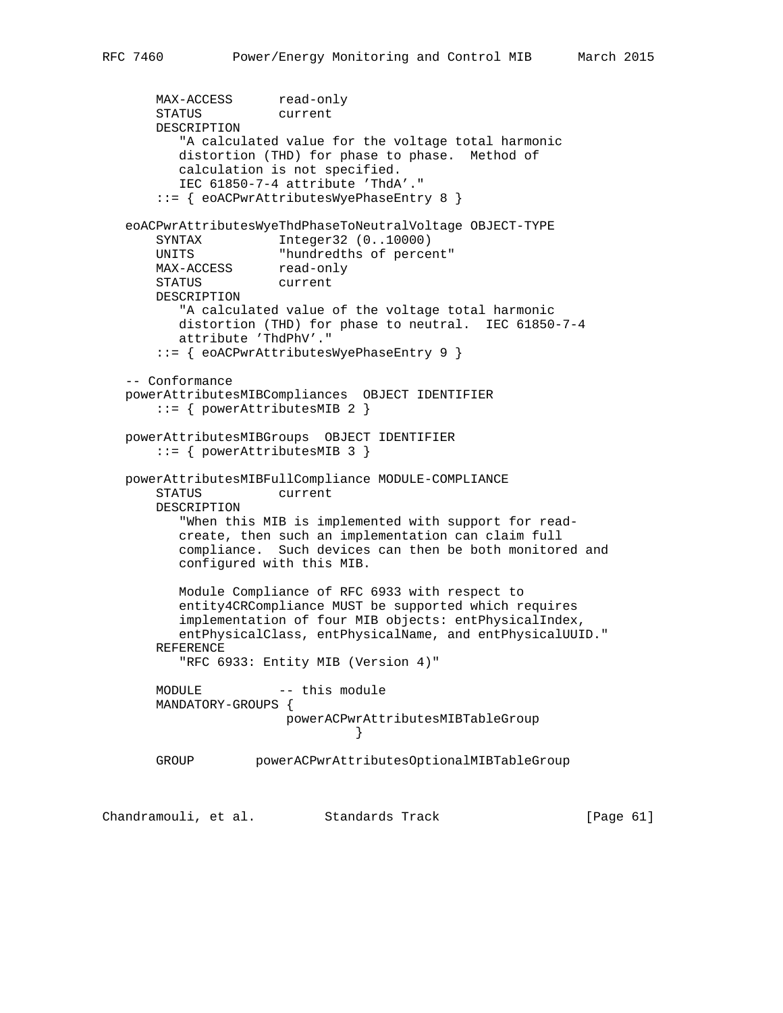```
MAX-ACCESS read-only
       STATUS current
       DESCRIPTION
          "A calculated value for the voltage total harmonic
          distortion (THD) for phase to phase. Method of
          calculation is not specified.
          IEC 61850-7-4 attribute 'ThdA'."
       ::= { eoACPwrAttributesWyePhaseEntry 8 }
   eoACPwrAttributesWyeThdPhaseToNeutralVoltage OBJECT-TYPE
       SYNTAX Integer32 (0..10000)
      UNITS "hundredths of percent"<br>MAX-ACCESS read-only
      UNIIN<br>MAX-ACCESS
       STATUS current
       DESCRIPTION
          "A calculated value of the voltage total harmonic
          distortion (THD) for phase to neutral. IEC 61850-7-4
          attribute 'ThdPhV'."
       ::= { eoACPwrAttributesWyePhaseEntry 9 }
   -- Conformance
   powerAttributesMIBCompliances OBJECT IDENTIFIER
       ::= { powerAttributesMIB 2 }
   powerAttributesMIBGroups OBJECT IDENTIFIER
       ::= { powerAttributesMIB 3 }
   powerAttributesMIBFullCompliance MODULE-COMPLIANCE
       STATUS current
       DESCRIPTION
          "When this MIB is implemented with support for read-
          create, then such an implementation can claim full
          compliance. Such devices can then be both monitored and
          configured with this MIB.
          Module Compliance of RFC 6933 with respect to
          entity4CRCompliance MUST be supported which requires
          implementation of four MIB objects: entPhysicalIndex,
          entPhysicalClass, entPhysicalName, and entPhysicalUUID."
       REFERENCE
          "RFC 6933: Entity MIB (Version 4)"
      MODULE -- this module
       MANDATORY-GROUPS {
                        powerACPwrAttributesMIBTableGroup
 }
       GROUP powerACPwrAttributesOptionalMIBTableGroup
```
Chandramouli, et al. Standards Track [Page 61]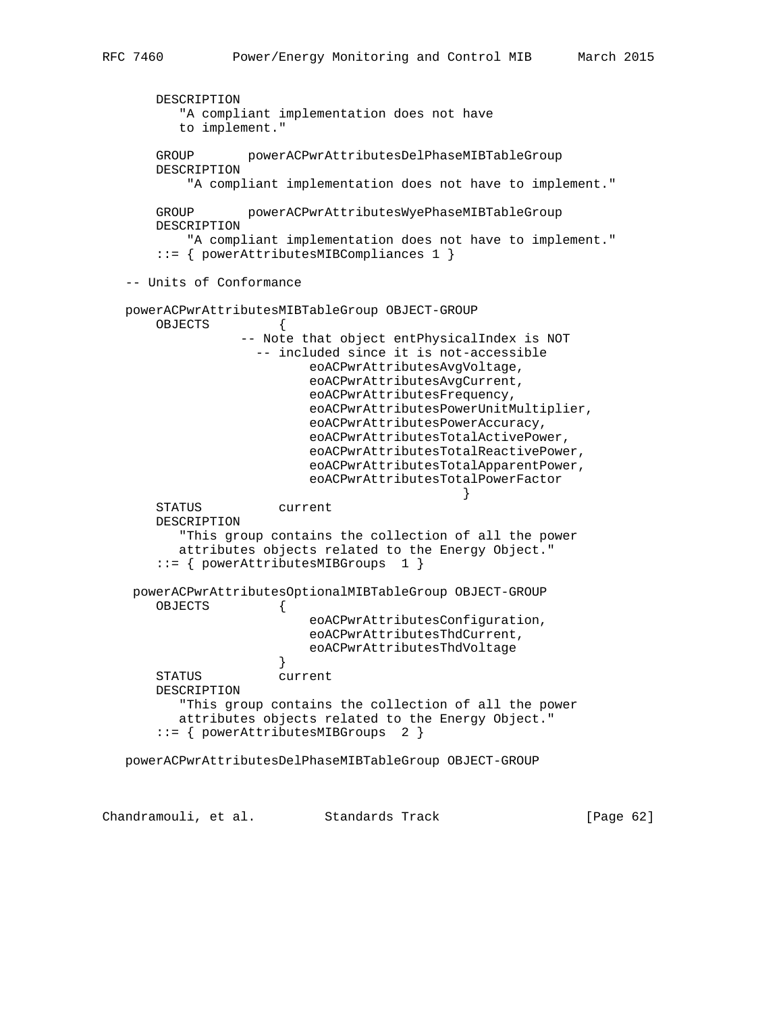```
 DESCRIPTION
          "A compliant implementation does not have
          to implement."
       GROUP powerACPwrAttributesDelPhaseMIBTableGroup
       DESCRIPTION
           "A compliant implementation does not have to implement."
       GROUP powerACPwrAttributesWyePhaseMIBTableGroup
       DESCRIPTION
           "A compliant implementation does not have to implement."
       ::= { powerAttributesMIBCompliances 1 }
   -- Units of Conformance
   powerACPwrAttributesMIBTableGroup OBJECT-GROUP
      OBJECTS
                  -- Note that object entPhysicalIndex is NOT
                   -- included since it is not-accessible
                          eoACPwrAttributesAvgVoltage,
                          eoACPwrAttributesAvgCurrent,
                          eoACPwrAttributesFrequency,
                          eoACPwrAttributesPowerUnitMultiplier,
                          eoACPwrAttributesPowerAccuracy,
                          eoACPwrAttributesTotalActivePower,
                          eoACPwrAttributesTotalReactivePower,
                          eoACPwrAttributesTotalApparentPower,
                          eoACPwrAttributesTotalPowerFactor
 }
       STATUS current
       DESCRIPTION
          "This group contains the collection of all the power
          attributes objects related to the Energy Object."
       ::= { powerAttributesMIBGroups 1 }
    powerACPwrAttributesOptionalMIBTableGroup OBJECT-GROUP
       OBJECTS {
                          eoACPwrAttributesConfiguration,
                          eoACPwrAttributesThdCurrent,
                          eoACPwrAttributesThdVoltage
 }
       STATUS current
       DESCRIPTION
          "This group contains the collection of all the power
          attributes objects related to the Energy Object."
       ::= { powerAttributesMIBGroups 2 }
   powerACPwrAttributesDelPhaseMIBTableGroup OBJECT-GROUP
```
Chandramouli, et al. Standards Track [Page 62]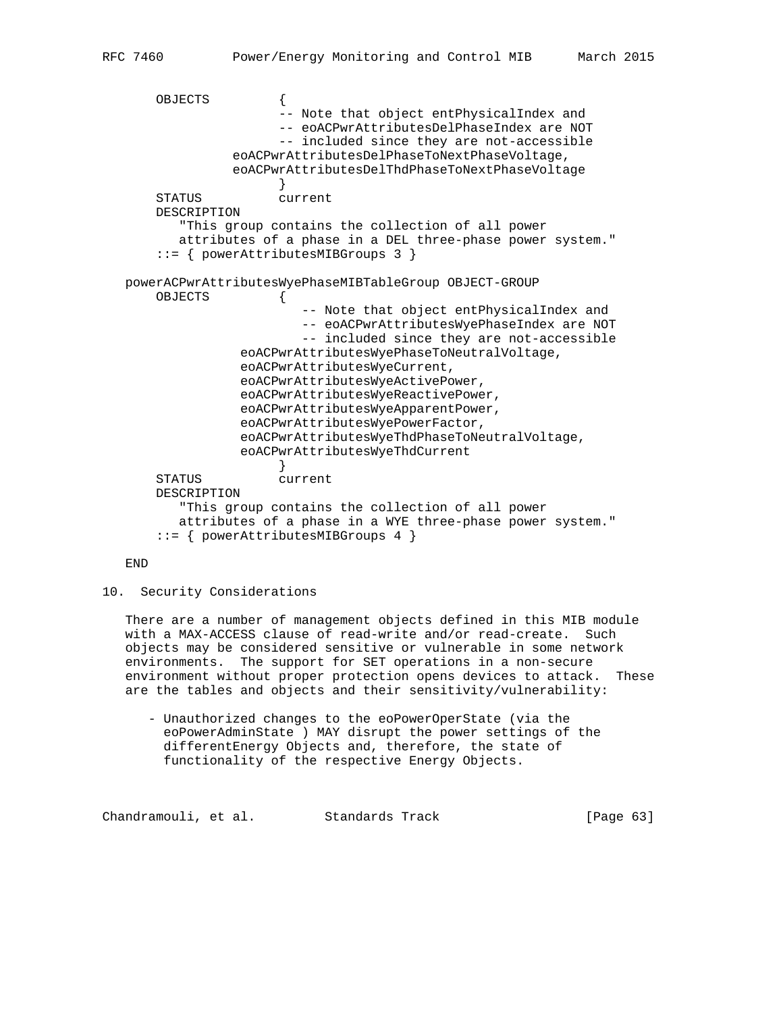OBJECTS { -- Note that object entPhysicalIndex and -- eoACPwrAttributesDelPhaseIndex are NOT -- included since they are not-accessible eoACPwrAttributesDelPhaseToNextPhaseVoltage, eoACPwrAttributesDelThdPhaseToNextPhaseVoltage } STATUS current DESCRIPTION "This group contains the collection of all power attributes of a phase in a DEL three-phase power system." ::= { powerAttributesMIBGroups 3 } powerACPwrAttributesWyePhaseMIBTableGroup OBJECT-GROUP OBJECTS { -- Note that object entPhysicalIndex and -- eoACPwrAttributesWyePhaseIndex are NOT -- included since they are not-accessible eoACPwrAttributesWyePhaseToNeutralVoltage, eoACPwrAttributesWyeCurrent, eoACPwrAttributesWyeActivePower, eoACPwrAttributesWyeReactivePower, eoACPwrAttributesWyeApparentPower, eoACPwrAttributesWyePowerFactor, eoACPwrAttributesWyeThdPhaseToNeutralVoltage, eoACPwrAttributesWyeThdCurrent } STATUS current DESCRIPTION "This group contains the collection of all power attributes of a phase in a WYE three-phase power system." ::= { powerAttributesMIBGroups 4 }

# END

### 10. Security Considerations

 There are a number of management objects defined in this MIB module with a MAX-ACCESS clause of read-write and/or read-create. Such objects may be considered sensitive or vulnerable in some network environments. The support for SET operations in a non-secure environment without proper protection opens devices to attack. These are the tables and objects and their sensitivity/vulnerability:

 - Unauthorized changes to the eoPowerOperState (via the eoPowerAdminState ) MAY disrupt the power settings of the differentEnergy Objects and, therefore, the state of functionality of the respective Energy Objects.

Chandramouli, et al. Standards Track [Page 63]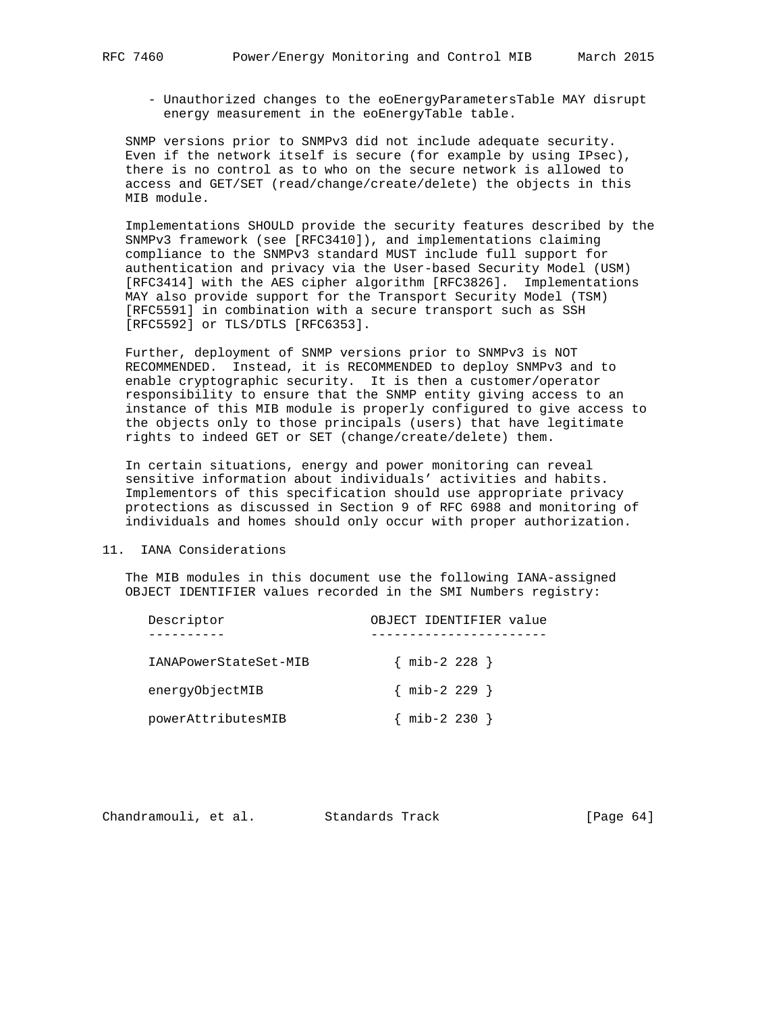- Unauthorized changes to the eoEnergyParametersTable MAY disrupt energy measurement in the eoEnergyTable table.

 SNMP versions prior to SNMPv3 did not include adequate security. Even if the network itself is secure (for example by using IPsec), there is no control as to who on the secure network is allowed to access and GET/SET (read/change/create/delete) the objects in this MIB module.

 Implementations SHOULD provide the security features described by the SNMPv3 framework (see [RFC3410]), and implementations claiming compliance to the SNMPv3 standard MUST include full support for authentication and privacy via the User-based Security Model (USM) [RFC3414] with the AES cipher algorithm [RFC3826]. Implementations MAY also provide support for the Transport Security Model (TSM) [RFC5591] in combination with a secure transport such as SSH [RFC5592] or TLS/DTLS [RFC6353].

 Further, deployment of SNMP versions prior to SNMPv3 is NOT RECOMMENDED. Instead, it is RECOMMENDED to deploy SNMPv3 and to enable cryptographic security. It is then a customer/operator responsibility to ensure that the SNMP entity giving access to an instance of this MIB module is properly configured to give access to the objects only to those principals (users) that have legitimate rights to indeed GET or SET (change/create/delete) them.

 In certain situations, energy and power monitoring can reveal sensitive information about individuals' activities and habits. Implementors of this specification should use appropriate privacy protections as discussed in Section 9 of RFC 6988 and monitoring of individuals and homes should only occur with proper authorization.

## 11. IANA Considerations

 The MIB modules in this document use the following IANA-assigned OBJECT IDENTIFIER values recorded in the SMI Numbers registry:

| Descriptor            | OBJECT IDENTIFIER value |
|-----------------------|-------------------------|
|                       |                         |
| IANAPowerStateSet-MIB | $\{$ mib-2 228 $\}$     |
| energyObjectMIB       | $\{$ mib-2 229 $\}$     |
| powerAttributesMIB    | ${min-2 230}$           |

| Chandramouli, et al. |  | Standards Track | [Page $64$ ] |  |
|----------------------|--|-----------------|--------------|--|
|----------------------|--|-----------------|--------------|--|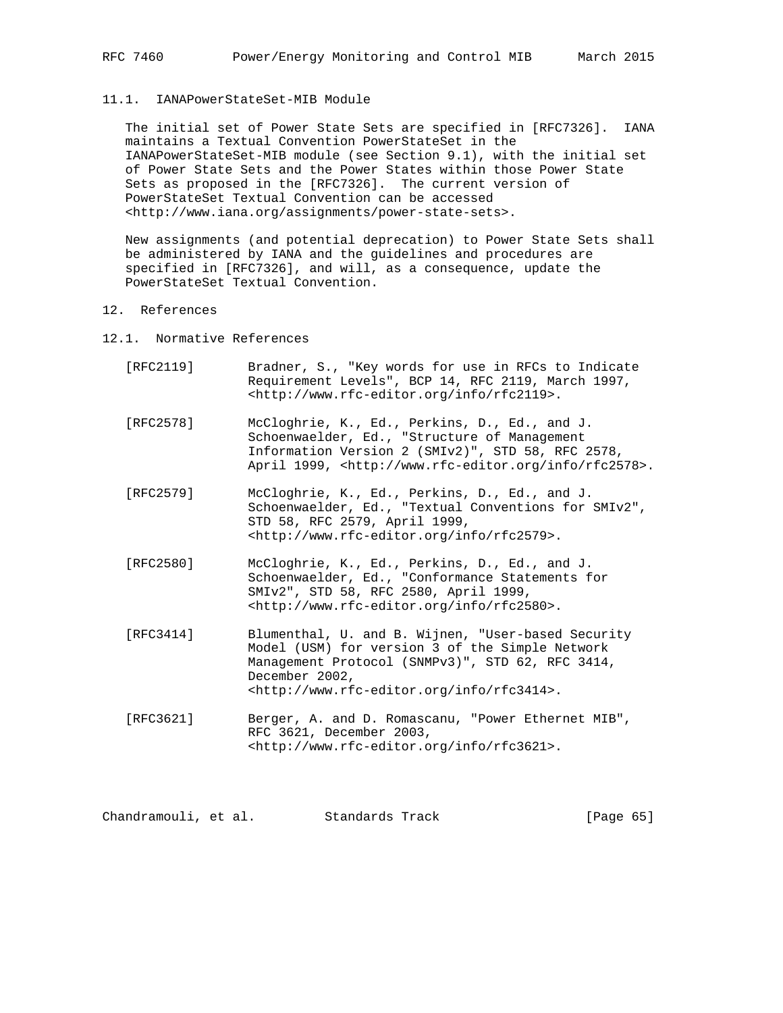### 11.1. IANAPowerStateSet-MIB Module

 The initial set of Power State Sets are specified in [RFC7326]. IANA maintains a Textual Convention PowerStateSet in the IANAPowerStateSet-MIB module (see Section 9.1), with the initial set of Power State Sets and the Power States within those Power State Sets as proposed in the [RFC7326]. The current version of PowerStateSet Textual Convention can be accessed <http://www.iana.org/assignments/power-state-sets>.

 New assignments (and potential deprecation) to Power State Sets shall be administered by IANA and the guidelines and procedures are specified in [RFC7326], and will, as a consequence, update the PowerStateSet Textual Convention.

### 12. References

- 12.1. Normative References
	- [RFC2119] Bradner, S., "Key words for use in RFCs to Indicate Requirement Levels", BCP 14, RFC 2119, March 1997, <http://www.rfc-editor.org/info/rfc2119>.
	- [RFC2578] McCloghrie, K., Ed., Perkins, D., Ed., and J. Schoenwaelder, Ed., "Structure of Management Information Version 2 (SMIv2)", STD 58, RFC 2578, April 1999, <http://www.rfc-editor.org/info/rfc2578>.
	- [RFC2579] McCloghrie, K., Ed., Perkins, D., Ed., and J. Schoenwaelder, Ed., "Textual Conventions for SMIv2", STD 58, RFC 2579, April 1999, <http://www.rfc-editor.org/info/rfc2579>.
	- [RFC2580] McCloghrie, K., Ed., Perkins, D., Ed., and J. Schoenwaelder, Ed., "Conformance Statements for SMIv2", STD 58, RFC 2580, April 1999, <http://www.rfc-editor.org/info/rfc2580>.
	- [RFC3414] Blumenthal, U. and B. Wijnen, "User-based Security Model (USM) for version 3 of the Simple Network Management Protocol (SNMPv3)", STD 62, RFC 3414, December 2002, <http://www.rfc-editor.org/info/rfc3414>.
	- [RFC3621] Berger, A. and D. Romascanu, "Power Ethernet MIB", RFC 3621, December 2003, <http://www.rfc-editor.org/info/rfc3621>.

Chandramouli, et al. Standards Track [Page 65]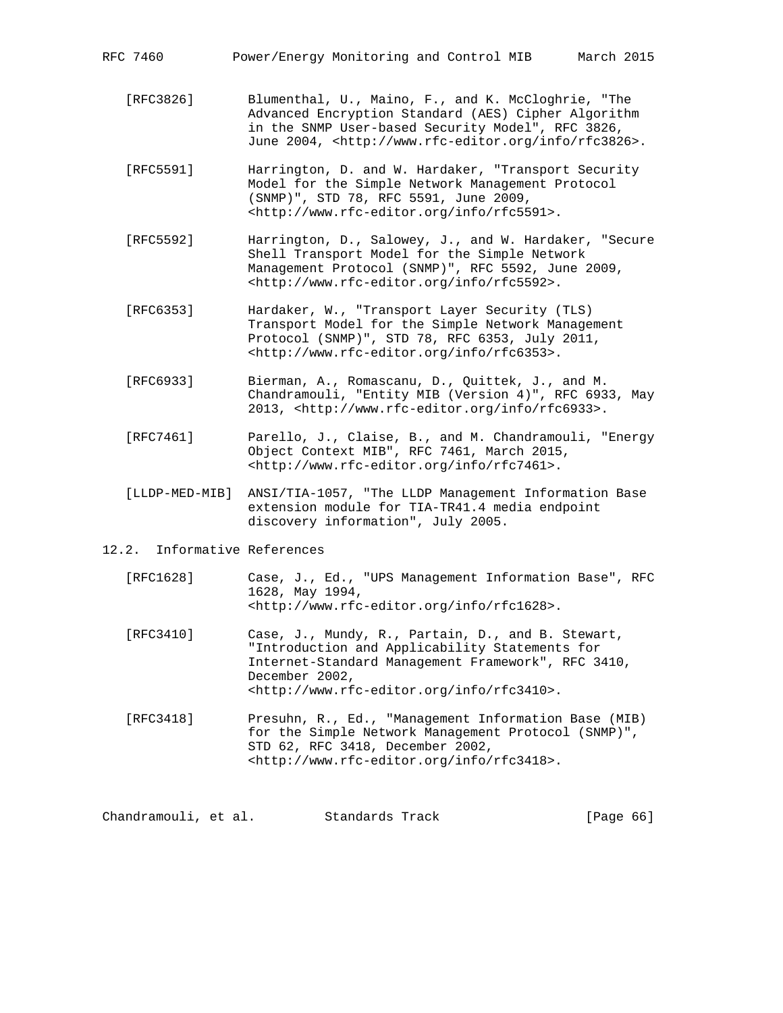- [RFC3826] Blumenthal, U., Maino, F., and K. McCloghrie, "The Advanced Encryption Standard (AES) Cipher Algorithm in the SNMP User-based Security Model", RFC 3826, June 2004, <http://www.rfc-editor.org/info/rfc3826>.
- [RFC5591] Harrington, D. and W. Hardaker, "Transport Security Model for the Simple Network Management Protocol (SNMP)", STD 78, RFC 5591, June 2009, <http://www.rfc-editor.org/info/rfc5591>.
- [RFC5592] Harrington, D., Salowey, J., and W. Hardaker, "Secure Shell Transport Model for the Simple Network Management Protocol (SNMP)", RFC 5592, June 2009, <http://www.rfc-editor.org/info/rfc5592>.
- [RFC6353] Hardaker, W., "Transport Layer Security (TLS) Transport Model for the Simple Network Management Protocol (SNMP)", STD 78, RFC 6353, July 2011, <http://www.rfc-editor.org/info/rfc6353>.
- [RFC6933] Bierman, A., Romascanu, D., Quittek, J., and M. Chandramouli, "Entity MIB (Version 4)", RFC 6933, May 2013, <http://www.rfc-editor.org/info/rfc6933>.
- [RFC7461] Parello, J., Claise, B., and M. Chandramouli, "Energy Object Context MIB", RFC 7461, March 2015, <http://www.rfc-editor.org/info/rfc7461>.
- [LLDP-MED-MIB] ANSI/TIA-1057, "The LLDP Management Information Base extension module for TIA-TR41.4 media endpoint discovery information", July 2005.
- 12.2. Informative References
	- [RFC1628] Case, J., Ed., "UPS Management Information Base", RFC 1628, May 1994, <http://www.rfc-editor.org/info/rfc1628>.
	- [RFC3410] Case, J., Mundy, R., Partain, D., and B. Stewart, "Introduction and Applicability Statements for Internet-Standard Management Framework", RFC 3410, December 2002, <http://www.rfc-editor.org/info/rfc3410>.
	- [RFC3418] Presuhn, R., Ed., "Management Information Base (MIB) for the Simple Network Management Protocol (SNMP)", STD 62, RFC 3418, December 2002, <http://www.rfc-editor.org/info/rfc3418>.

Chandramouli, et al. Standards Track [Page 66]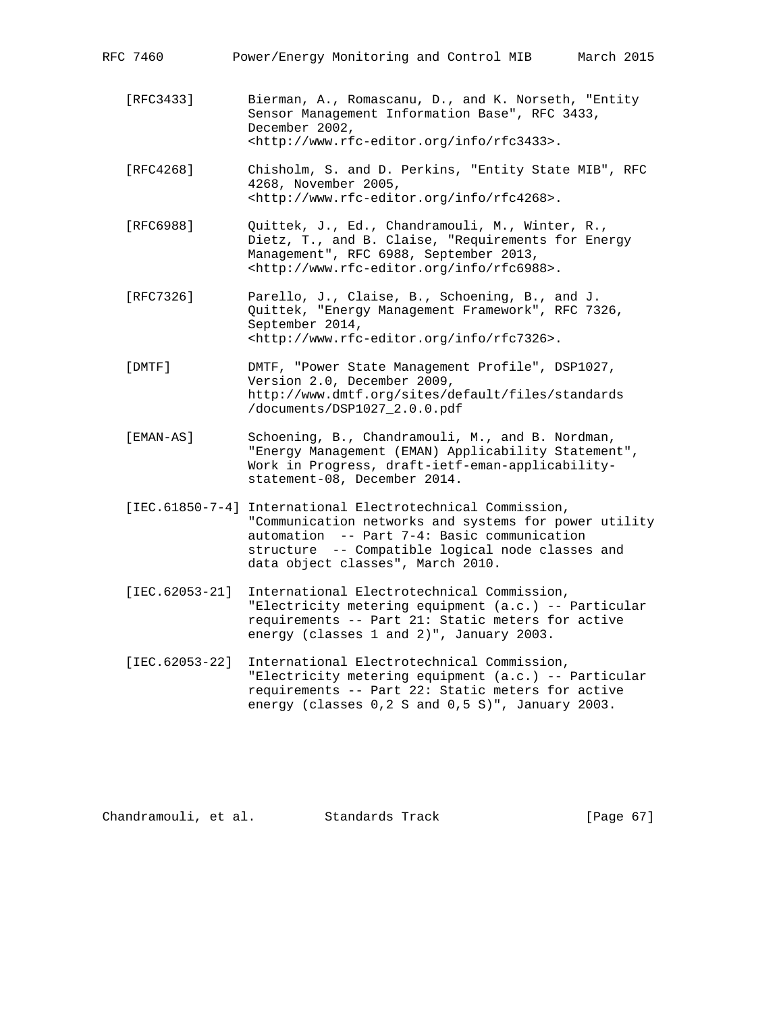| RFC 7460         | March 2015<br>Power/Energy Monitoring and Control MIB                                                                                                                                                                                                       |
|------------------|-------------------------------------------------------------------------------------------------------------------------------------------------------------------------------------------------------------------------------------------------------------|
| [RFC3433]        | Bierman, A., Romascanu, D., and K. Norseth, "Entity<br>Sensor Management Information Base", RFC 3433,<br>December 2002,<br><http: info="" rfc3433="" www.rfc-editor.org="">.</http:>                                                                        |
| [RFC4268]        | Chisholm, S. and D. Perkins, "Entity State MIB", RFC<br>4268, November 2005,<br><http: info="" rfc4268="" www.rfc-editor.org="">.</http:>                                                                                                                   |
| [RFC6988]        | Quittek, J., Ed., Chandramouli, M., Winter, R.,<br>Dietz, T., and B. Claise, "Requirements for Energy<br>Management", RFC 6988, September 2013,<br><http: info="" rfc6988="" www.rfc-editor.org="">.</http:>                                                |
| [RFC7326]        | Parello, J., Claise, B., Schoening, B., and J.<br>Quittek, "Energy Management Framework", RFC 7326,<br>September 2014,<br><http: info="" rfc7326="" www.rfc-editor.org="">.</http:>                                                                         |
| [DMTF]           | DMTF, "Power State Management Profile", DSP1027,<br>Version 2.0, December 2009,<br>http://www.dmtf.org/sites/default/files/standards<br>/documents/DSP1027_2.0.0.pdf                                                                                        |
| [EMAN-AS]        | Schoening, B., Chandramouli, M., and B. Nordman,<br>"Energy Management (EMAN) Applicability Statement",<br>Work in Progress, draft-ietf-eman-applicability-<br>statement-08, December 2014.                                                                 |
|                  | [IEC.61850-7-4] International Electrotechnical Commission,<br>"Communication networks and systems for power utility<br>automation -- Part 7-4: Basic communication<br>structure -- Compatible logical node classes and<br>data object classes", March 2010. |
| $[IEC.62053-21]$ | International Electrotechnical Commission,<br>"Electricity metering equipment (a.c.) -- Particular<br>requirements -- Part 21: Static meters for active<br>energy (classes 1 and 2)", January 2003.                                                         |
| $[IEC.62053-22]$ | International Electrotechnical Commission,<br>"Electricity metering equipment (a.c.) -- Particular<br>requirements -- Part 22: Static meters for active<br>energy (classes 0,2 S and 0,5 S)", January 2003.                                                 |

Chandramouli, et al. Standards Track [Page 67]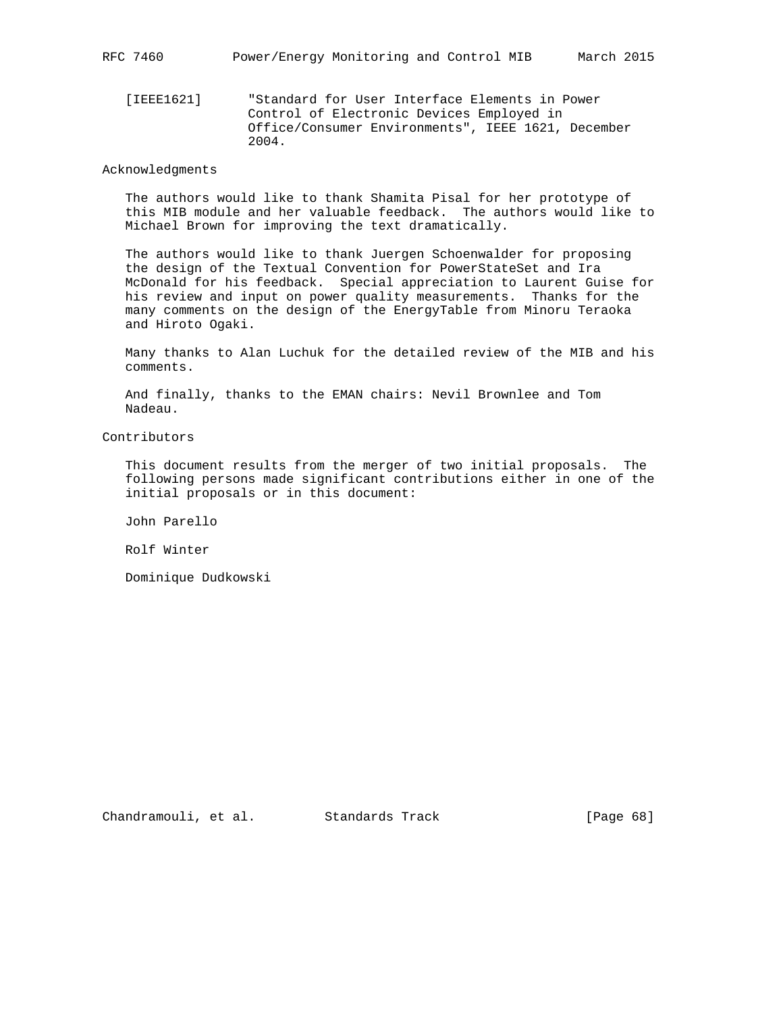[IEEE1621] "Standard for User Interface Elements in Power Control of Electronic Devices Employed in Office/Consumer Environments", IEEE 1621, December 2004.

## Acknowledgments

 The authors would like to thank Shamita Pisal for her prototype of this MIB module and her valuable feedback. The authors would like to Michael Brown for improving the text dramatically.

 The authors would like to thank Juergen Schoenwalder for proposing the design of the Textual Convention for PowerStateSet and Ira McDonald for his feedback. Special appreciation to Laurent Guise for his review and input on power quality measurements. Thanks for the many comments on the design of the EnergyTable from Minoru Teraoka and Hiroto Ogaki.

 Many thanks to Alan Luchuk for the detailed review of the MIB and his comments.

 And finally, thanks to the EMAN chairs: Nevil Brownlee and Tom Nadeau.

Contributors

 This document results from the merger of two initial proposals. The following persons made significant contributions either in one of the initial proposals or in this document:

John Parello

Rolf Winter

Dominique Dudkowski